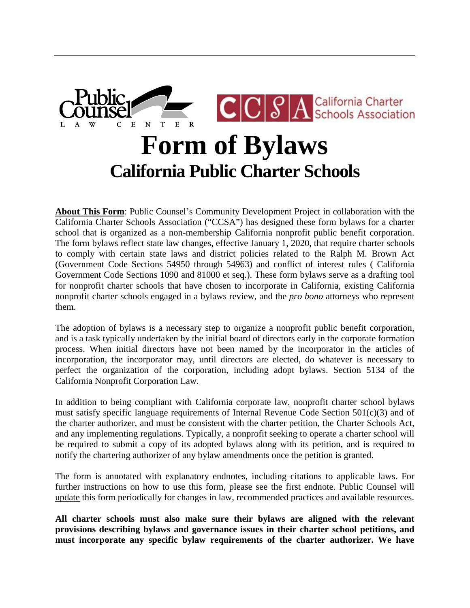

# **Form of Bylaws California Public Charter Schools**

**About This Form**: Public Counsel's Community Development Project in collaboration with the California Charter Schools Association ("CCSA") has designed these form bylaws for a charter school that is organized as a non-membership California nonprofit public benefit corporation. The form bylaws reflect state law changes, effective January 1, 2020, that require charter schools to comply with certain state laws and district policies related to the Ralph M. Brown Act (Government Code Sections 54950 through 54963) and conflict of interest rules ( California Government Code Sections 1090 and 81000 et seq.). These form bylaws serve as a drafting tool for nonprofit charter schools that have chosen to incorporate in California, existing California nonprofit charter schools engaged in a bylaws review, and the *pro bono* attorneys who represent them.

The adoption of bylaws is a necessary step to organize a nonprofit public benefit corporation, and is a task typically undertaken by the initial board of directors early in the corporate formation process. When initial directors have not been named by the incorporator in the articles of incorporation, the incorporator may, until directors are elected, do whatever is necessary to perfect the organization of the corporation, including adopt bylaws. Section 5134 of the California Nonprofit Corporation Law.

In addition to being compliant with California corporate law, nonprofit charter school bylaws must satisfy specific language requirements of Internal Revenue Code Section  $501(c)(3)$  and of the charter authorizer, and must be consistent with the charter petition, the Charter Schools Act, and any implementing regulations. Typically, a nonprofit seeking to operate a charter school will be required to submit a copy of its adopted bylaws along with its petition, and is required to notify the chartering authorizer of any bylaw amendments once the petition is granted.

The form is annotated with explanatory endnotes, including citations to applicable laws. For further instructions on how to use this form, please see the first endnote. Public Counsel will update this form periodically for changes in law, recommended practices and available resources.

**All charter schools must also make sure their bylaws are aligned with the relevant provisions describing bylaws and governance issues in their charter school petitions, and must incorporate any specific bylaw requirements of the charter authorizer. We have**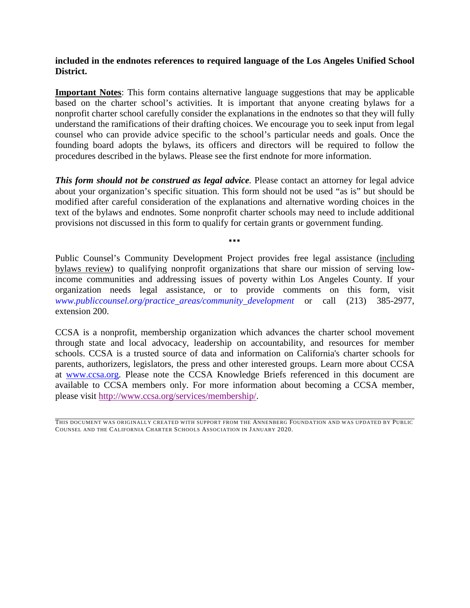# **included in the endnotes references to required language of the Los Angeles Unified School District.**

**Important Notes**: This form contains alternative language suggestions that may be applicable based on the charter school's activities. It is important that anyone creating bylaws for a nonprofit charter school carefully consider the explanations in the endnotes so that they will fully understand the ramifications of their drafting choices. We encourage you to seek input from legal counsel who can provide advice specific to the school's particular needs and goals. Once the founding board adopts the bylaws, its officers and directors will be required to follow the procedures described in the bylaws. Please see the first endnote for more information.

**This form should not be construed as legal advice.** Please contact an attorney for legal advice about your organization's specific situation. This form should not be used "as is" but should be modified after careful consideration of the explanations and alternative wording choices in the text of the bylaws and endnotes. Some nonprofit charter schools may need to include additional provisions not discussed in this form to qualify for certain grants or government funding.

▪▪▪

Public Counsel's Community Development Project provides free legal assistance (including bylaws review) to qualifying nonprofit organizations that share our mission of serving lowincome communities and addressing issues of poverty within Los Angeles County. If your organization needs legal assistance, or to provide comments on this form, visit *[www.publiccounsel.org/practice\\_areas/community\\_development](http://www.publiccounsel.org/practice_areas/community_development)* or call (213) 385-2977, extension 200.

CCSA is a nonprofit, membership organization which advances the charter school movement through state and local advocacy, leadership on accountability, and resources for member schools. CCSA is a trusted source of data and information on California's charter schools for parents, authorizers, legislators, the press and other interested groups. Learn more about CCSA at [www.ccsa.org.](http://www.ccsa.org/) Please note the CCSA Knowledge Briefs referenced in this document are available to CCSA members only. For more information about becoming a CCSA member, please visit [http://www.ccsa.org/services/membership/.](http://www.ccsa.org/services/membership/)

THIS DOCUMENT WAS ORIGINALLY CREATED WITH SUPPORT FROM THE ANNENBERG FOUNDATION AND WAS UPDATED BY PUBLIC COUNSEL AND THE CALIFORNIA CHARTER SCHOOLS ASSOCIATION IN JANUARY 2020.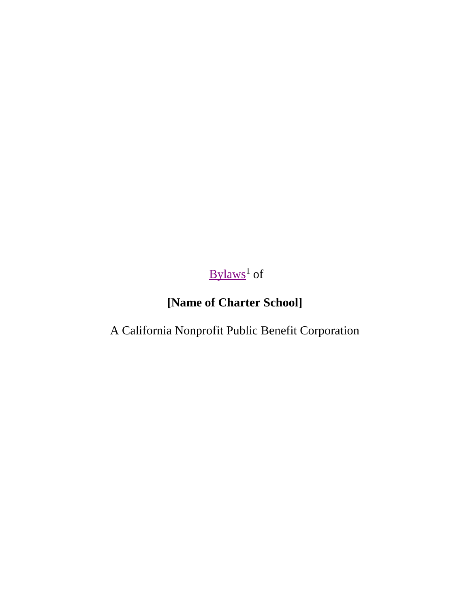# <span id="page-2-0"></span> $By laws<sup>1</sup>$  of

# **[Name of Charter School]**

A California Nonprofit Public Benefit Corporation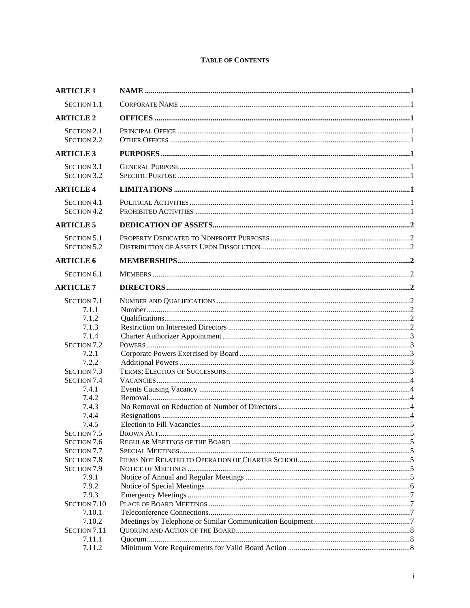# **TABLE OF CONTENTS**

| <b>ARTICLE 1</b>                                                        |  |
|-------------------------------------------------------------------------|--|
| <b>SECTION 1.1</b>                                                      |  |
| <b>ARTICLE 2</b>                                                        |  |
| <b>SECTION 2.1</b><br><b>SECTION 2.2</b>                                |  |
| <b>ARTICLE 3</b>                                                        |  |
| <b>SECTION 3.1</b><br><b>SECTION 3.2</b>                                |  |
| <b>ARTICLE 4</b>                                                        |  |
| <b>SECTION 4.1</b><br><b>SECTION 4.2</b>                                |  |
| <b>ARTICLE 5</b>                                                        |  |
| <b>SECTION 5.1</b><br><b>SECTION 5.2</b>                                |  |
| <b>ARTICLE 6</b>                                                        |  |
| <b>SECTION 6.1</b>                                                      |  |
| <b>ARTICLE 7</b>                                                        |  |
| <b>SECTION 7.1</b><br>7.1.1<br>7.1.2<br>7.1.3                           |  |
| 7.1.4<br><b>SECTION 7.2</b><br>7.2.1                                    |  |
| 7.2.2<br><b>SECTION 7.3</b><br><b>SECTION 7.4</b><br>7.4.1              |  |
| 7.4.2<br>7.4.3<br>7.4.4                                                 |  |
| 7.4.5<br>SECTION <sub>7.5</sub><br><b>SECTION 7.6</b>                   |  |
| <b>SECTION 7.7</b><br><b>SECTION 7.8</b><br><b>SECTION 7.9</b><br>7.9.1 |  |
| 7.9.2<br>7.9.3<br>SECTION 7.10                                          |  |
| 7.10.1<br>7.10.2<br>SECTION 7.11                                        |  |
| 7.11.1<br>7.11.2                                                        |  |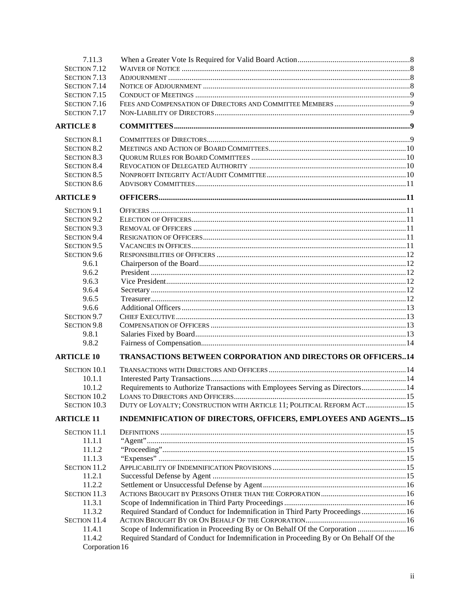| 7.11.3                 |                                                                                       |  |
|------------------------|---------------------------------------------------------------------------------------|--|
| SECTION 7.12           |                                                                                       |  |
| <b>SECTION 7.13</b>    |                                                                                       |  |
| SECTION 7.14           |                                                                                       |  |
| SECTION 7.15           |                                                                                       |  |
| SECTION 7.16           |                                                                                       |  |
| SECTION 7.17           |                                                                                       |  |
| <b>ARTICLE 8</b>       |                                                                                       |  |
| <b>SECTION 8.1</b>     |                                                                                       |  |
| <b>SECTION 8.2</b>     |                                                                                       |  |
| <b>SECTION 8.3</b>     |                                                                                       |  |
| <b>SECTION 8.4</b>     |                                                                                       |  |
| <b>SECTION 8.5</b>     |                                                                                       |  |
| <b>SECTION 8.6</b>     |                                                                                       |  |
| <b>ARTICLE 9</b>       |                                                                                       |  |
| SECTION 9.1            |                                                                                       |  |
| SECTION <sub>9.2</sub> |                                                                                       |  |
| SECTION 9.3            |                                                                                       |  |
| <b>SECTION 9.4</b>     |                                                                                       |  |
| SECTION 9.5            |                                                                                       |  |
| SECTION 9.6            |                                                                                       |  |
| 9.6.1                  |                                                                                       |  |
| 9.6.2                  |                                                                                       |  |
| 9.6.3                  |                                                                                       |  |
| 9.6.4                  |                                                                                       |  |
| 9.6.5                  |                                                                                       |  |
| 9.6.6                  |                                                                                       |  |
| SECTION 9.7            |                                                                                       |  |
| <b>SECTION 9.8</b>     |                                                                                       |  |
| 9.8.1                  |                                                                                       |  |
| 9.8.2                  |                                                                                       |  |
| <b>ARTICLE 10</b>      | <b>TRANSACTIONS BETWEEN CORPORATION AND DIRECTORS OR OFFICERS14</b>                   |  |
| <b>SECTION 10.1</b>    |                                                                                       |  |
| 10.1.1                 |                                                                                       |  |
| 10.1.2                 | Requirements to Authorize Transactions with Employees Serving as Directors 14         |  |
| <b>SECTION 10.2</b>    |                                                                                       |  |
| <b>SECTION 10.3</b>    | DUTY OF LOYALTY; CONSTRUCTION WITH ARTICLE 11; POLITICAL REFORM ACT 15                |  |
| <b>ARTICLE 11</b>      | INDEMNIFICATION OF DIRECTORS, OFFICERS, EMPLOYEES AND AGENTS15                        |  |
| <b>SECTION 11.1</b>    |                                                                                       |  |
| 11.1.1                 |                                                                                       |  |
| 11.1.2                 |                                                                                       |  |
| 11.1.3                 |                                                                                       |  |
| <b>SECTION 11.2</b>    |                                                                                       |  |
| 11.2.1                 |                                                                                       |  |
| 11.2.2                 |                                                                                       |  |
| <b>SECTION 11.3</b>    |                                                                                       |  |
| 11.3.1                 |                                                                                       |  |
| 11.3.2                 | Required Standard of Conduct for Indemnification in Third Party Proceedings 16        |  |
| <b>SECTION 11.4</b>    |                                                                                       |  |
| 11.4.1                 | Scope of Indemnification in Proceeding By or On Behalf Of the Corporation  16         |  |
| 11.4.2                 | Required Standard of Conduct for Indemnification in Proceeding By or On Behalf Of the |  |
| Corporation 16         |                                                                                       |  |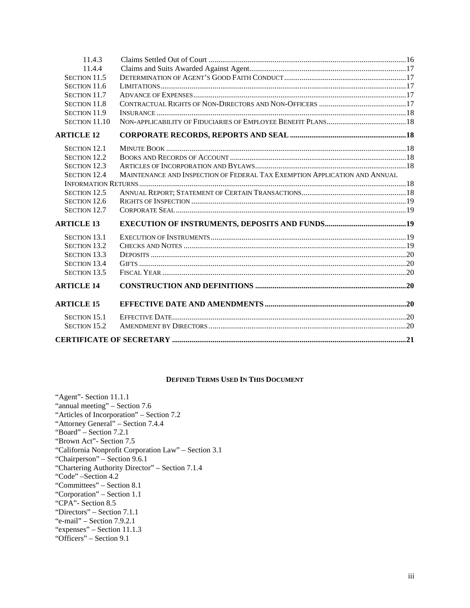| 11.4.3              |                                                                            |  |
|---------------------|----------------------------------------------------------------------------|--|
| 11.4.4              |                                                                            |  |
| SECTION 11.5        |                                                                            |  |
| SECTION 11.6        |                                                                            |  |
| SECTION 11.7        |                                                                            |  |
| <b>SECTION 11.8</b> |                                                                            |  |
| <b>SECTION 11.9</b> |                                                                            |  |
| SECTION 11.10       |                                                                            |  |
| <b>ARTICLE 12</b>   |                                                                            |  |
| <b>SECTION 12.1</b> |                                                                            |  |
| <b>SECTION 12.2</b> |                                                                            |  |
| <b>SECTION 12.3</b> |                                                                            |  |
| <b>SECTION 12.4</b> | MAINTENANCE AND INSPECTION OF FEDERAL TAX EXEMPTION APPLICATION AND ANNUAL |  |
|                     |                                                                            |  |
| <b>SECTION 12.5</b> |                                                                            |  |
| <b>SECTION 12.6</b> |                                                                            |  |
| SECTION 12.7        |                                                                            |  |
| <b>ARTICLE 13</b>   |                                                                            |  |
| <b>SECTION 13.1</b> |                                                                            |  |
| <b>SECTION 13.2</b> |                                                                            |  |
| <b>SECTION 13.3</b> |                                                                            |  |
| <b>SECTION 13.4</b> |                                                                            |  |
| <b>SECTION 13.5</b> |                                                                            |  |
| <b>ARTICLE 14</b>   |                                                                            |  |
| <b>ARTICLE 15</b>   |                                                                            |  |
| <b>SECTION 15.1</b> |                                                                            |  |
| <b>SECTION 15.2</b> |                                                                            |  |
|                     |                                                                            |  |

#### **DEFINED TERMS USED IN THIS DOCUMENT**

"Agent"- Section 11.1.1 "annual meeting" – [Section 7.6](#page-11-2) "Articles of Incorporation" – [Section 7.2](#page-9-1) "Attorney General" – Section [7.4.4](#page-10-4) "Board" – [Section 7.2.1](#page-9-1) "Brown Act"- Section 7.5 "California Nonprofit Corporation Law" – [Section 3.1](#page-7-6) "Chairperson" – Section [9.6.1](#page-18-1) "Chartering Authority Director" – Section 7.1.4 "Code" [–Section 4.2](#page-7-10) "Committees" – [Section 8.1](#page-15-4) "Corporation" – [Section 1.1](#page-7-1) "CPA"- Section 8.5 "Directors" – Section [7.1.1](#page-8-7) "e-mail" – Section 7.9.2.1 "expenses" – Section 11.1.3 "Officers" – [Section 9.1](#page-17-2)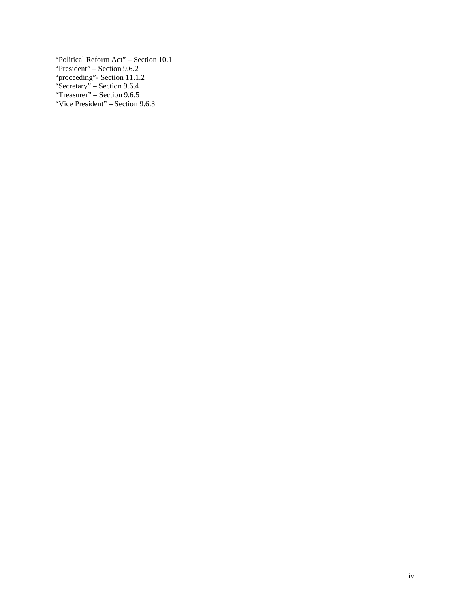"Political Reform Act" – Section 10.1 "President" – Section [9.6.2](#page-18-2) "proceeding"- Section 11.1.2 "Secretary" – Section [9.6.4](#page-18-4) "Treasurer" – Section 9.6.5 "Vice President" – Section 9.6.3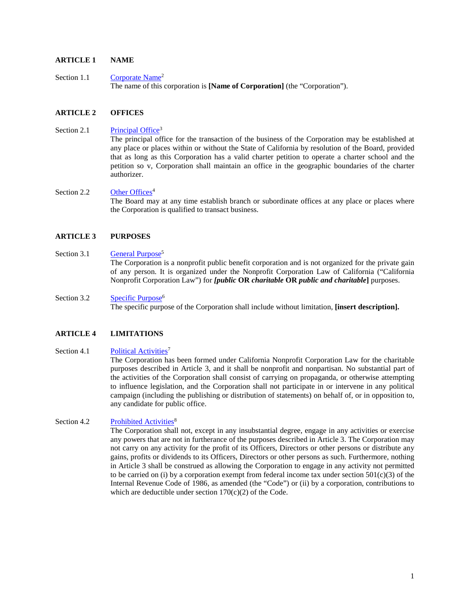# <span id="page-7-0"></span>**ARTICLE 1 NAME**

<span id="page-7-1"></span>Section 1.1 Corporate Name<sup>2</sup> The name of this corporation is **[Name of Corporation]** (the "Corporation").

#### <span id="page-7-2"></span>**ARTICLE 2 OFFICES**

#### Section 2.1 Principal Office<sup>3</sup>

<span id="page-7-4"></span><span id="page-7-3"></span>The principal office for the transaction of the business of the Corporation may be established at any place or places within or without the State of California by resolution of the Board, provided that as long as this Corporation has a valid charter petition to operate a charter school and the petition so v, Corporation shall maintain an office in the geographic boundaries of the charter authorizer.

#### Section 2.2 Other Offices<sup>4</sup> The Board may at any time establish branch or subordinate offices at any place or places where the Corporation is qualified to transact business.

#### <span id="page-7-5"></span>**ARTICLE 3 PURPOSES**

#### Section 3.1 General Purpose<sup>5</sup>

<span id="page-7-7"></span><span id="page-7-6"></span>The Corporation is a nonprofit public benefit corporation and is not organized for the private gain of any person. It is organized under the Nonprofit Corporation Law of California ("California Nonprofit Corporation Law") for *[public* **OR** *charitable* **OR** *public and charitable***]** purposes.

# Section 3.2 Specific Purpose<sup>6</sup> The specific purpose of the Corporation shall include without limitation, **[insert description].**

# <span id="page-7-8"></span>**ARTICLE 4 LIMITATIONS**

# <span id="page-7-9"></span>Section 4.1 Political Activities<sup>7</sup> The Corporation has been formed under California Nonprofit Corporation Law for the charitable purposes described in [Article 3,](#page-7-5) and it shall be nonprofit and nonpartisan. No substantial part of the activities of the Corporation shall consist of carrying on propaganda, or otherwise attempting to influence legislation, and the Corporation shall not participate in or intervene in any political campaign (including the publishing or distribution of statements) on behalf of, or in opposition to, any candidate for public office.

# Section 4.2 Prohibited Activities<sup>8</sup>

<span id="page-7-10"></span>The Corporation shall not, except in any insubstantial degree, engage in any activities or exercise any powers that are not in furtherance of the purposes described in [Article 3.](#page-7-5) The Corporation may not carry on any activity for the profit of its Officers, Directors or other persons or distribute any gains, profits or dividends to its Officers, Directors or other persons as such. Furthermore, nothing in [Article 3](#page-7-5) shall be construed as allowing the Corporation to engage in any activity not permitted to be carried on (i) by a corporation exempt from federal income tax under section  $501(c)(3)$  of the Internal Revenue Code of 1986, as amended (the "Code") or (ii) by a corporation, contributions to which are deductible under section  $170(c)(2)$  of the Code.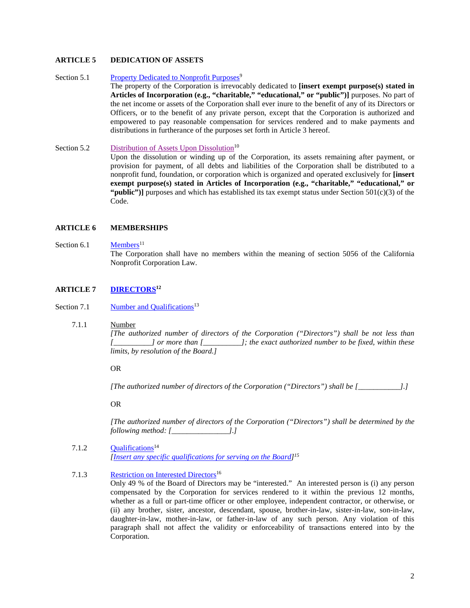# <span id="page-8-0"></span>**ARTICLE 5 DEDICATION OF ASSETS**

Section 5.1 Property Dedicated to Nonprofit Purposes<sup>9</sup>

<span id="page-8-1"></span>The property of the Corporation is irrevocably dedicated to **[insert exempt purpose(s) stated in Articles of Incorporation (e.g., "charitable," "educational," or "public")]** purposes. No part of the net income or assets of the Corporation shall ever inure to the benefit of any of its Directors or Officers, or to the benefit of any private person, except that the Corporation is authorized and empowered to pay reasonable compensation for services rendered and to make payments and distributions in furtherance of the purposes set forth in [Article 3](#page-7-5) hereof.

<span id="page-8-2"></span>Section 5.2 Distribution of Assets Upon Dissolution<sup>10</sup> Upon the dissolution or winding up of the Corporation, its assets remaining after payment, or provision for payment, of all debts and liabilities of the Corporation shall be distributed to a nonprofit fund, foundation, or corporation which is organized and operated exclusively for **[insert exempt purpose(s) stated in Articles of Incorporation (e.g., "charitable," "educational," or**  "**public")**] purposes and which has established its tax exempt status under Section  $501(c)(3)$  of the Code.

#### <span id="page-8-3"></span>**ARTICLE 6 MEMBERSHIPS**

#### Section  $6.1$  Members<sup>11</sup>

<span id="page-8-5"></span><span id="page-8-4"></span>The Corporation shall have no members within the meaning of section 5056 of the California Nonprofit Corporation Law.

# **ARTICLE 7 [DIRECTORS1](#page-32-1)2**

Section 7.1 Number and Qualifications<sup>13</sup>

#### <span id="page-8-7"></span>7.1.1 Number

<span id="page-8-6"></span>*[The authorized number of directors of the Corporation ("Directors") shall be not less than [\_\_\_\_\_\_\_\_\_\_] or more than [\_\_\_\_\_\_\_\_\_\_]; the exact authorized number to be fixed, within these limits, by resolution of the Board.]* 

#### OR

*[The authorized number of directors of the Corporation ("Directors") shall be [\_\_\_\_\_\_\_\_\_\_\_].]*

OR

<span id="page-8-8"></span>*[The authorized number of directors of the Corporation ("Directors") shall be determined by the following method: [\_\_\_\_\_\_\_\_\_\_\_\_\_\_\_].]*

7.1.2 Oualifications<sup>14</sup> *[\[Insert any specific qualifications for serving on the Board\]](#page-34-2)15*

# 7.1.3 Restriction on Interested Directors<sup>16</sup>

<span id="page-8-11"></span><span id="page-8-10"></span><span id="page-8-9"></span>Only 49 % of the Board of Directors may be "interested." An interested person is (i) any person compensated by the Corporation for services rendered to it within the previous 12 months, whether as a full or part-time officer or other employee, independent contractor, or otherwise, or (ii) any brother, sister, ancestor, descendant, spouse, brother-in-law, sister-in-law, son-in-law, daughter-in-law, mother-in-law, or father-in-law of any such person. Any violation of this paragraph shall not affect the validity or enforceability of transactions entered into by the Corporation.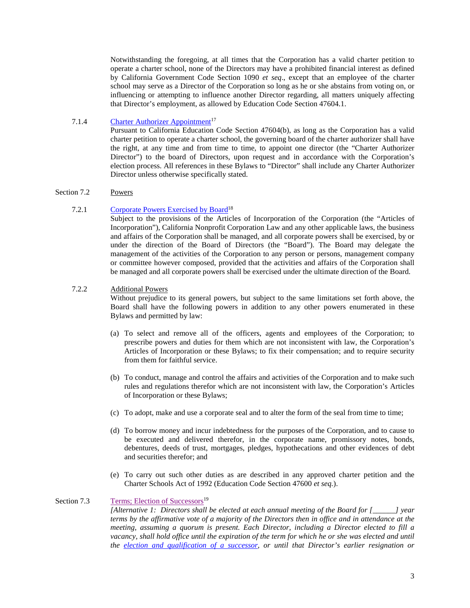Notwithstanding the foregoing, at all times that the Corporation has a valid charter petition to operate a charter school, none of the Directors may have a prohibited financial interest as defined by California Government Code Section 1090 *et seq*., except that an employee of the charter school may serve as a Director of the Corporation so long as he or she abstains from voting on, or influencing or attempting to influence another Director regarding, all matters uniquely affecting that Director's employment, as allowed by Education Code Section 47604.1.

# 7.1.4 [Charter Authorizer](#page-35-1) Appointment<sup>17</sup>

<span id="page-9-0"></span>Pursuant to California Education Code Section 47604(b), as long as the Corporation has a valid charter petition to operate a charter school, the governing board of the charter authorizer shall have the right, at any time and from time to time, to appoint one director (the "Charter Authorizer Director") to the board of Directors, upon request and in accordance with the Corporation's election process. All references in these Bylaws to "Director" shall include any Charter Authorizer Director unless otherwise specifically stated.

# <span id="page-9-1"></span>Section 7.2 Powers

# 7.2.1 Corporate Powers Exercised by Board<sup>18</sup>

<span id="page-9-2"></span>Subject to the provisions of the Articles of Incorporation of the Corporation (the "Articles of Incorporation"), California Nonprofit Corporation Law and any other applicable laws, the business and affairs of the Corporation shall be managed, and all corporate powers shall be exercised, by or under the direction of the Board of Directors (the "Board"). The Board may delegate the management of the activities of the Corporation to any person or persons, management company or committee however composed, provided that the activities and affairs of the Corporation shall be managed and all corporate powers shall be exercised under the ultimate direction of the Board.

# <span id="page-9-3"></span>7.2.2 Additional Powers

Without prejudice to its general powers, but subject to the same limitations set forth above, the Board shall have the following powers in addition to any other powers enumerated in these Bylaws and permitted by law:

- (a) To select and remove all of the officers, agents and employees of the Corporation; to prescribe powers and duties for them which are not inconsistent with law, the Corporation's Articles of Incorporation or these Bylaws; to fix their compensation; and to require security from them for faithful service.
- (b) To conduct, manage and control the affairs and activities of the Corporation and to make such rules and regulations therefor which are not inconsistent with law, the Corporation's Articles of Incorporation or these Bylaws;
- (c) To adopt, make and use a corporate seal and to alter the form of the seal from time to time;
- (d) To borrow money and incur indebtedness for the purposes of the Corporation, and to cause to be executed and delivered therefor, in the corporate name, promissory notes, bonds, debentures, deeds of trust, mortgages, pledges, hypothecations and other evidences of debt and securities therefor; and
- (e) To carry out such other duties as are described in any approved charter petition and the Charter Schools Act of 1992 (Education Code Section 47600 *et seq.*).

# Section 7.3 Terms; Election of Successors<sup>19</sup>

<span id="page-9-5"></span><span id="page-9-4"></span>*[Alternative 1: Directors shall be elected at each annual meeting of the Board for [\_\_\_\_\_\_] year terms by the affirmative vote of a majority of the Directors then in office and in attendance at the meeting, assuming a quorum is present. Each Director, including a Director elected to fill a vacancy, shall hold office until the expiration of the term for which he or she was elected and until the [election and qualification of a successor,](#page-36-2) or until that Director's earlier resignation or*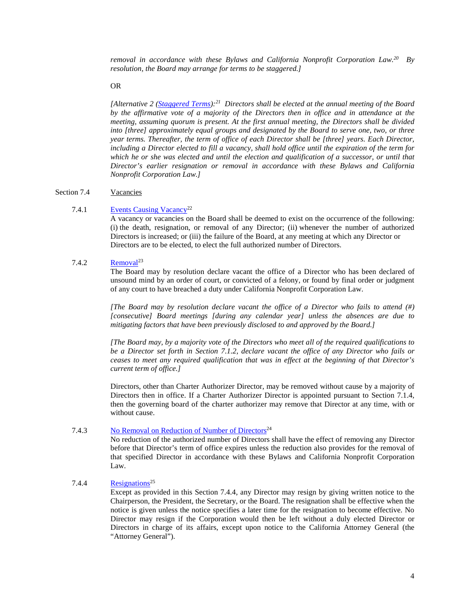*removal in accordance with these Bylaws and California Nonprofit Corporation Law. 20 By resolution, the Board may arrange for terms to be staggered.]*

OR

<span id="page-10-5"></span>*[Alternative 2 [\(Staggered Terms\)](#page-36-3):21 Directors shall be elected at the annual meeting of the Board by the affirmative vote of a majority of the Directors then in office and in attendance at the meeting, assuming quorum is present. At the first annual meeting, the Directors shall be divided into [three] approximately equal groups and designated by the Board to serve one, two, or three year terms. Thereafter, the term of office of each Director shall be [three] years. Each Director, including a Director elected to fill a vacancy, shall hold office until the expiration of the term for which he or she was elected and until the election and qualification of a successor, or until that Director's earlier resignation or removal in accordance with these Bylaws and California Nonprofit Corporation Law.]*

#### <span id="page-10-0"></span>Section 7.4 Vacancies

#### 7.4.1 Events Causing Vacancy<sup>22</sup>

<span id="page-10-1"></span>A vacancy or vacancies on the Board shall be deemed to exist on the occurrence of the following: (i) the death, resignation, or removal of any Director; (ii) whenever the number of authorized Directors is increased; or (iii) the failure of the Board, at any meeting at which any Director or Directors are to be elected, to elect the full authorized number of Directors.

### $7.4.2$  Removal<sup>23</sup>

<span id="page-10-2"></span>The Board may by resolution declare vacant the office of a Director who has been declared of unsound mind by an order of court, or convicted of a felony, or found by final order or judgment of any court to have breached a duty under California Nonprofit Corporation Law.

*[The Board may by resolution declare vacant the office of a Director who fails to attend (#) [consecutive] Board meetings [during any calendar year] unless the absences are due to mitigating factors that have been previously disclosed to and approved by the Board.]*

*[The Board may, by a majority vote of the Directors who meet all of the required qualifications to be a Director set forth in Section [7.1.2,](#page-8-8) declare vacant the office of any Director who fails or ceases to meet any required qualification that was in effect at the beginning of that Director's current term of office.]*

Directors, other than Charter Authorizer Director, may be removed without cause by a majority of Directors then in office. If a Charter Authorizer Director is appointed pursuant to Section 7.1.4, then the governing board of the charter authorizer may remove that Director at any time, with or without cause.

# 7.4.3 No Removal on Reduction of Number of Directors<sup>24</sup>

<span id="page-10-3"></span>No reduction of the authorized number of Directors shall have the effect of removing any Director before that Director's term of office expires unless the reduction also provides for the removal of that specified Director in accordance with these Bylaws and California Nonprofit Corporation Law.

# 7.4.4 Resignations<sup>25</sup>

<span id="page-10-4"></span>Except as provided in this Section [7.4.4,](#page-10-4) any Director may resign by giving written notice to the Chairperson, the President, the Secretary, or the Board. The resignation shall be effective when the notice is given unless the notice specifies a later time for the resignation to become effective. No Director may resign if the Corporation would then be left without a duly elected Director or Directors in charge of its affairs, except upon notice to the California Attorney General (the "Attorney General").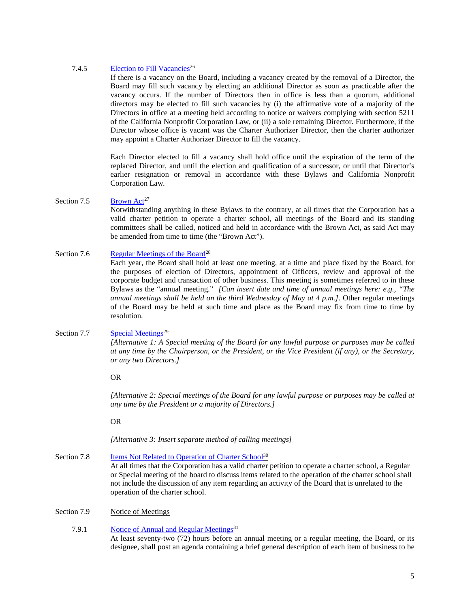#### 7.4.5 Election to Fill Vacancies<sup>26</sup>

<span id="page-11-0"></span>If there is a vacancy on the Board, including a vacancy created by the removal of a Director, the Board may fill such vacancy by electing an additional Director as soon as practicable after the vacancy occurs. If the number of Directors then in office is less than a quorum, additional directors may be elected to fill such vacancies by (i) the affirmative vote of a majority of the Directors in office at a meeting held according to notice or waivers complying with section 5211 of the California Nonprofit Corporation Law, or (ii) a sole remaining Director. Furthermore, if the Director whose office is vacant was the Charter Authorizer Director, then the charter authorizer may appoint a Charter Authorizer Director to fill the vacancy.

Each Director elected to fill a vacancy shall hold office until the expiration of the term of the replaced Director, and until the election and qualification of a successor, or until that Director's earlier resignation or removal in accordance with these Bylaws and California Nonprofit Corporation Law.

#### Section 7.5 Brown  $Act^{27}$

<span id="page-11-1"></span>Notwithstanding anything in these Bylaws to the contrary, at all times that the Corporation has a valid charter petition to operate a charter school, all meetings of the Board and its standing committees shall be called, noticed and held in accordance with the Brown Act, as said Act may be amended from time to time (the "Brown Act").

# Section 7.6 [Regular Meetings](#page-38-3) of the Board<sup>28</sup>

<span id="page-11-2"></span>Each year, the Board shall hold at least one meeting, at a time and place fixed by the Board, for the purposes of election of Directors, appointment of Officers, review and approval of the corporate budget and transaction of other business. This meeting is sometimes referred to in these Bylaws as the "annual meeting." *[Can insert date and time of annual meetings here: e.g., "The annual meetings shall be held on the third Wednesday of May at 4 p.m.]*. Other regular meetings of the Board may be held at such time and place as the Board may fix from time to time by resolution.

#### Section 7.7 Special Meetings<sup>29</sup>

<span id="page-11-3"></span>*[Alternative 1: A Special meeting of the Board for any lawful purpose or purposes may be called at any time by the Chairperson, or the President, or the Vice President (if any), or the Secretary, or any two Directors.]*

#### OR

*[Alternative 2: Special meetings of the Board for any lawful purpose or purposes may be called at any time by the President or a majority of Directors.]*

OR

*[Alternative 3: Insert separate method of calling meetings]*

# Section 7.8 Items Not Related to Operation of Charter School<sup>30</sup>

<span id="page-11-4"></span>At all times that the Corporation has a valid charter petition to operate a charter school, a Regular or Special meeting of the board to discuss items related to the operation of the charter school shall not include the discussion of any item regarding an activity of the Board that is unrelated to the operation of the charter school.

#### <span id="page-11-5"></span>Section 7.9 Notice of Meetings

#### 7.9.1 Notice of Annual and Regular Meetings<sup>31</sup>

<span id="page-11-6"></span>At least seventy-two (72) hours before an annual meeting or a regular meeting, the Board, or its designee, shall post an agenda containing a brief general description of each item of business to be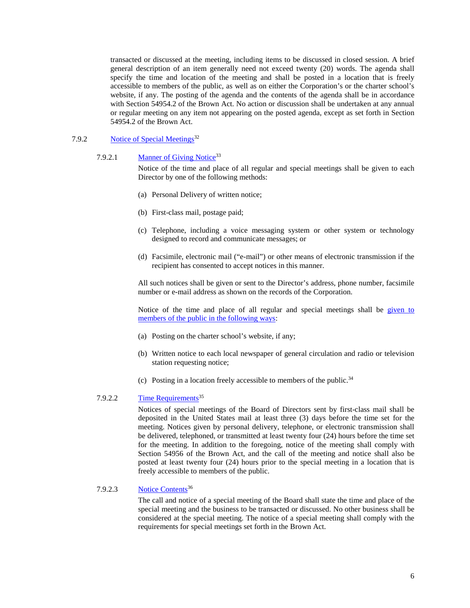transacted or discussed at the meeting, including items to be discussed in closed session. A brief general description of an item generally need not exceed twenty (20) words. The agenda shall specify the time and location of the meeting and shall be posted in a location that is freely accessible to members of the public, as well as on either the Corporation's or the charter school's website, if any. The posting of the agenda and the contents of the agenda shall be in accordance with Section 54954.2 of the Brown Act. No action or discussion shall be undertaken at any annual or regular meeting on any item not appearing on the posted agenda, except as set forth in Section 54954.2 of the Brown Act.

# 7.9.2 Notice of Special Meetings<sup>32</sup>

#### <span id="page-12-0"></span>7.9.2.1 Manner of Giving Notice<sup>33</sup>

<span id="page-12-1"></span>Notice of the time and place of all regular and special meetings shall be given to each Director by one of the following methods:

- (a) Personal Delivery of written notice;
- (b) First-class mail, postage paid;
- (c) Telephone, including a voice messaging system or other system or technology designed to record and communicate messages; or
- (d) Facsimile, electronic mail ("e-mail") or other means of electronic transmission if the recipient has consented to accept notices in this manner.

All such notices shall be given or sent to the Director's address, phone number, facsimile number or e-mail address as shown on the records of the Corporation.

<span id="page-12-2"></span>Notice of the time and place of all regular and special meetings shall be [given to](#page-39-2)  [members of the public in the following ways:](#page-39-2)

- (a) Posting on the charter school's website, if any;
- (b) Written notice to each local newspaper of general circulation and radio or television station requesting notice;
- <span id="page-12-3"></span>(c) Posting in a location freely accessible to members of the public.<sup>34</sup>

# 7.9.2.2 Time Requirements<sup>35</sup>

Notices of special meetings of the Board of Directors sent by first-class mail shall be deposited in the United States mail at least three (3) days before the time set for the meeting. Notices given by personal delivery, telephone, or electronic transmission shall be delivered, telephoned, or transmitted at least twenty four (24) hours before the time set for the meeting. In addition to the foregoing, notice of the meeting shall comply with Section 54956 of the Brown Act, and the call of the meeting and notice shall also be posted at least twenty four (24) hours prior to the special meeting in a location that is freely accessible to members of the public.

#### 7.9.2.3 Notice Contents<sup>36</sup>

<span id="page-12-4"></span>The call and notice of a special meeting of the Board shall state the time and place of the special meeting and the business to be transacted or discussed. No other business shall be considered at the special meeting. The notice of a special meeting shall comply with the requirements for special meetings set forth in the Brown Act.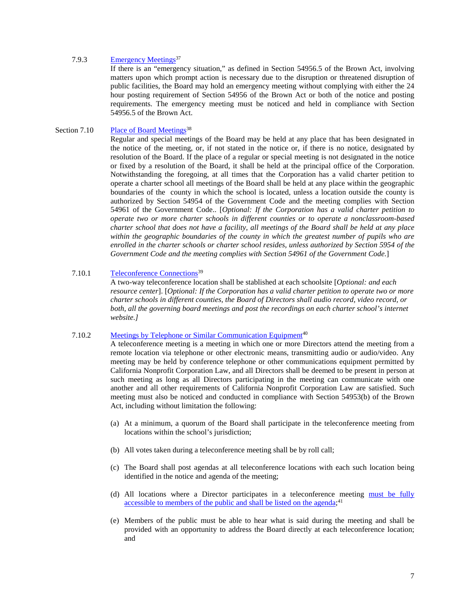#### 7.9.3 Emergency Meetings<sup>37</sup>

<span id="page-13-0"></span>If there is an "emergency situation," as defined in Section 54956.5 of the Brown Act, involving matters upon which prompt action is necessary due to the disruption or threatened disruption of public facilities, the Board may hold an emergency meeting without complying with either the 24 hour posting requirement of Section 54956 of the Brown Act or both of the notice and posting requirements. The emergency meeting must be noticed and held in compliance with Section 54956.5 of the Brown Act.

#### Section 7.10 Place of Board Meetings<sup>38</sup>

<span id="page-13-1"></span>Regular and special meetings of the Board may be held at any place that has been designated in the notice of the meeting, or, if not stated in the notice or, if there is no notice, designated by resolution of the Board. If the place of a regular or special meeting is not designated in the notice or fixed by a resolution of the Board, it shall be held at the principal office of the Corporation. Notwithstanding the foregoing, at all times that the Corporation has a valid charter petition to operate a charter school all meetings of the Board shall be held at any place within the geographic boundaries of the county in which the school is located, unless a location outside the county is authorized by Section 54954 of the Government Code and the meeting complies with Section 54961 of the Government Code.. [*Optional: If the Corporation has a valid charter petition to operate two or more charter schools in different counties or to operate a nonclassroom-based charter school that does not have a facility, all meetings of the Board shall be held at any place within the geographic boundaries of the county in which the greatest number of pupils who are enrolled in the charter schools or charter school resides, unless authorized by Section 5954 of the Government Code and the meeting complies with Section 54961 of the Government Code.*]

#### 7.10.1 Teleconference Connections<sup>39</sup>

<span id="page-13-2"></span>A two-way teleconference location shall be stablished at each schoolsite [*Optional: and each resource center*]. [*Optional: If the Corporation has a valid charter petition to operate two or more charter schools in different counties, the Board of Directors shall audio record, video record, or*  both, all the governing board meetings and post the recordings on each charter school's internet *website.]*

#### 7.10.2 Meetings by Telephone or Similar Communication Equipment<sup>40</sup>

<span id="page-13-3"></span>A teleconference meeting is a meeting in which one or more Directors attend the meeting from a remote location via telephone or other electronic means, transmitting audio or audio/video. Any meeting may be held by conference telephone or other communications equipment permitted by California Nonprofit Corporation Law, and all Directors shall be deemed to be present in person at such meeting as long as all Directors participating in the meeting can communicate with one another and all other requirements of California Nonprofit Corporation Law are satisfied. Such meeting must also be noticed and conducted in compliance with Section 54953(b) of the Brown Act, including without limitation the following:

- (a) At a minimum, a quorum of the Board shall participate in the teleconference meeting from locations within the school's jurisdiction;
- (b) All votes taken during a teleconference meeting shall be by roll call;
- (c) The Board shall post agendas at all teleconference locations with each such location being identified in the notice and agenda of the meeting;
- <span id="page-13-4"></span>(d) All locations where a Director participates in a teleconference meeting [must be fully](#page-40-2)  [accessible to members of the public and shall be listed on the agenda;](#page-40-2)<sup>41</sup>
- (e) Members of the public must be able to hear what is said during the meeting and shall be provided with an opportunity to address the Board directly at each teleconference location; and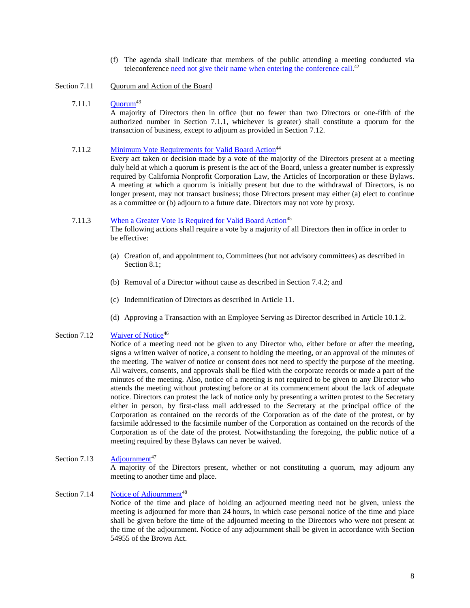- <span id="page-14-7"></span>(f) The agenda shall indicate that members of the public attending a meeting conducted via teleconference [need not give their name when entering the conference call.](#page-40-3)<sup>42</sup>
- <span id="page-14-9"></span><span id="page-14-0"></span>Section 7.11 Quorum and Action of the Board

#### $7.11.1$   $Quorum<sup>43</sup>$

<span id="page-14-1"></span>A majority of Directors then in office (but no fewer than two Directors or one-fifth of the authorized number in Section [7.1.1,](#page-8-7) whichever is greater) shall constitute a quorum for the [transaction of business, except to adjourn as provided in](#page-40-5) [Section 7.12.](#page-14-5)

#### <span id="page-14-2"></span>7.11.2 Minimum Vote Requirements for Valid Board Action<sup>44</sup>

<span id="page-14-8"></span>Every act taken or decision made by a vote of the majority of the Directors present at a meeting duly held at which a quorum is present is the act of the Board, unless a greater number is expressly required by California Nonprofit Corporation Law, the Articles of Incorporation or these Bylaws. A meeting at which a quorum is initially present but due to the withdrawal of Directors, is no longer present, may not transact business; those Directors present may either (a) elect to continue as a committee or (b) adjourn to a future date. Directors may not vote by proxy.

#### 7.11.3 When a Greater Vote Is Required for Valid Board Action<sup>45</sup>

<span id="page-14-3"></span>The following actions shall require a vote by a majority of all Directors then in office in order to be effective:

- (a) Creation of, and appointment to, Committees (but not advisory committees) as described in [Section 8.1;](#page-15-4)
- (b) Removal of a Director without cause as described in Section [7.4.2;](#page-10-2) and
- (c) Indemnification of Directors as described in [Article 11.](#page-21-2)
- <span id="page-14-4"></span>(d) Approving a Transaction with an Employee Serving as Director described in [Article 10.1](#page-20-1).2.

#### Section 7.12 Waiver of Notice<sup>46</sup>

Notice of a meeting need not be given to any Director who, either before or after the meeting, signs a written waiver of notice, a consent to holding the meeting, or an approval of the minutes of the meeting. The waiver of notice or consent does not need to specify the purpose of the meeting. All waivers, consents, and approvals shall be filed with the corporate records or made a part of the minutes of the meeting. Also, notice of a meeting is not required to be given to any Director who attends the meeting without protesting before or at its commencement about the lack of adequate notice. Directors can protest the lack of notice only by presenting a written protest to the Secretary either in person, by first-class mail addressed to the Secretary at the principal office of the Corporation as contained on the records of the Corporation as of the date of the protest, or by facsimile addressed to the facsimile number of the Corporation as contained on the records of the Corporation as of the date of the protest. Notwithstanding the foregoing, the public notice of a [meeting required by these Bylaws can never be waived.](#page-41-1)

#### <span id="page-14-5"></span>Section 7.13  $\qquad$  Adjournment<sup>47</sup>

A majority of the Directors present, whether or not constituting a quorum, may adjourn any meeting to another time and place.

# Section 7.14 Notice of Adjournment<sup>48</sup>

<span id="page-14-6"></span>Notice of the time and place of holding an adjourned meeting need not be given, unless the meeting is adjourned for more than 24 hours, in which case personal notice of the time and place shall be given before the time of the adjourned meeting to the Directors who were not present at the time of the adjournment. Notice of any adjournment shall be given in accordance with Section 54955 of the Brown Act.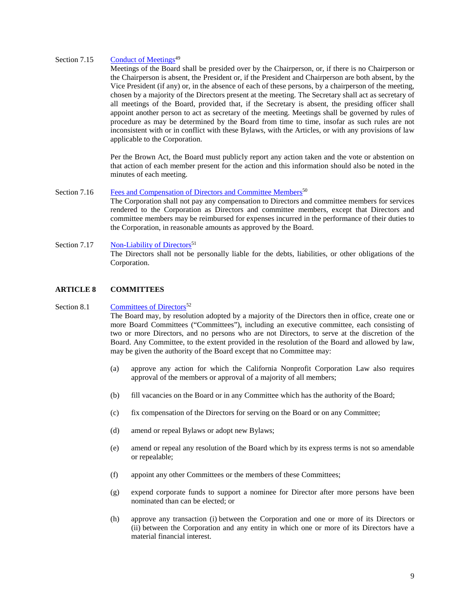#### Section 7.15 Conduct of Meetings<sup>49</sup>

<span id="page-15-0"></span>Meetings of the Board shall be presided over by the Chairperson, or, if there is no Chairperson or the Chairperson is absent, the President or, if the President and Chairperson are both absent, by the Vice President (if any) or, in the absence of each of these persons, by a chairperson of the meeting, chosen by a majority of the Directors present at the meeting. The Secretary shall act as secretary of all meetings of the Board, provided that, if the Secretary is absent, the presiding officer shall appoint another person to act as secretary of the meeting. Meetings shall be governed by rules of procedure as may be determined by the Board from time to time, insofar as such rules are not inconsistent with or in conflict with these Bylaws, with the Articles, or with any provisions of law applicable to the Corporation.

Per the Brown Act, the Board must publicly report any action taken and the vote or abstention on that action of each member present for the action and this information should also be noted in the minutes of each meeting.

# Section 7.16 [Fees and Compensation of Directors](#page-42-0) and Committee Members<sup>50</sup>

<span id="page-15-2"></span><span id="page-15-1"></span>The Corporation shall not pay any compensation to Directors and committee members for services rendered to the Corporation as Directors and committee members, except that Directors and committee members may be reimbursed for expenses incurred in the performance of their duties to the Corporation, in reasonable amounts as approved by the Board.

# Section 7.17 **Non-Liability of Directors**<sup>51</sup> The Directors shall not be personally liable for the debts, liabilities, or other obligations of the Corporation.

# <span id="page-15-3"></span>**ARTICLE 8 COMMITTEES**

#### Section 8.1 Committees of Directors<sup>52</sup>

<span id="page-15-4"></span>The Board may, by resolution adopted by a majority of the Directors then in office, create one or more Board Committees ("Committees"), including an executive committee, each consisting of two or more Directors, and no persons who are not Directors, to serve at the discretion of the Board. Any Committee, to the extent provided in the resolution of the Board and allowed by law, may be given the authority of the Board except that no Committee may:

- (a) approve any action for which the California Nonprofit Corporation Law also requires approval of the members or approval of a majority of all members;
- (b) fill vacancies on the Board or in any Committee which has the authority of the Board;
- (c) fix compensation of the Directors for serving on the Board or on any Committee;
- (d) amend or repeal Bylaws or adopt new Bylaws;
- (e) amend or repeal any resolution of the Board which by its express terms is not so amendable or repealable;
- (f) appoint any other Committees or the members of these Committees;
- (g) expend corporate funds to support a nominee for Director after more persons have been nominated than can be elected; or
- (h) approve any transaction (i) between the Corporation and one or more of its Directors or (ii) between the Corporation and any entity in which one or more of its Directors have a material financial interest.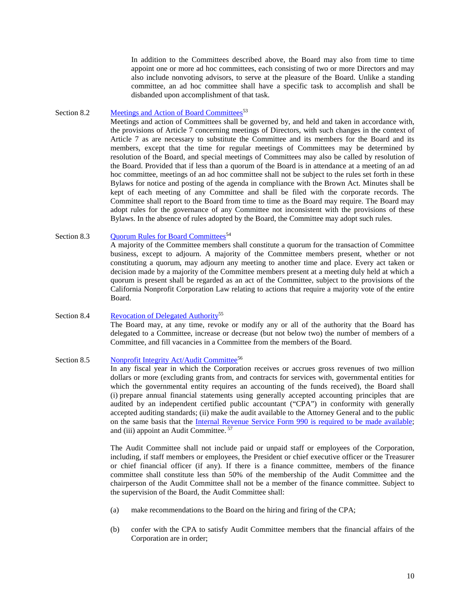In addition to the Committees described above, the Board may also from time to time appoint one or more ad hoc committees, each consisting of two or more Directors and may also include nonvoting advisors, to serve at the pleasure of the Board. Unlike a standing committee, an ad hoc committee shall have a specific task to accomplish and shall be disbanded upon accomplishment of that task.

#### Section 8.2 Meetings and Action of Board Committees<sup>53</sup>

<span id="page-16-0"></span>Meetings and action of Committees shall be governed by, and held and taken in accordance with, the provisions of [Article 7](#page-8-5) concerning meetings of Directors, with such changes in the context of [Article 7](#page-8-5) as are necessary to substitute the Committee and its members for the Board and its members, except that the time for regular meetings of Committees may be determined by resolution of the Board, and special meetings of Committees may also be called by resolution of the Board. Provided that if less than a quorum of the Board is in attendance at a meeting of an ad hoc committee, meetings of an ad hoc committee shall not be subject to the rules set forth in these Bylaws for notice and posting of the agenda in compliance with the Brown Act. Minutes shall be kept of each meeting of any Committee and shall be filed with the corporate records. The Committee shall report to the Board from time to time as the Board may require. The Board may adopt rules for the governance of any Committee not inconsistent with the provisions of these Bylaws. In the absence of rules adopted by the Board, the Committee may adopt such rules.

# Section 8.3 Quorum Rules for Board Committees<sup>54</sup>

<span id="page-16-1"></span>A majority of the Committee members shall constitute a quorum for the transaction of Committee business, except to adjourn. A majority of the Committee members present, whether or not constituting a quorum, may adjourn any meeting to another time and place. Every act taken or decision made by a majority of the Committee members present at a meeting duly held at which a quorum is present shall be regarded as an act of the Committee, subject to the provisions of the California Nonprofit Corporation Law relating to actions that require a majority vote of the entire Board.

# <span id="page-16-4"></span><span id="page-16-2"></span>Section 8.4 Revocation of Delegated Authority<sup>55</sup> The Board may, at any time, revoke or modify any or all of the authority that the Board has delegated to a Committee, increase or decrease (but not below two) the number of members of a Committee, and fill vacancies in a Committee from the members of the Board.

#### Section 8.5 Nonprofit Integrity Act/Audit Committee<sup>56</sup>

<span id="page-16-3"></span>In any fiscal year in which the Corporation receives or accrues gross revenues of two million dollars or more (excluding grants from, and contracts for services with, governmental entities for which the governmental entity requires an accounting of the funds received), the Board shall (i) prepare annual financial statements using generally accepted accounting principles that are audited by an independent certified public accountant ("CPA") in conformity with generally accepted auditing standards; (ii) make the audit available to the Attorney General and to the public on the same basis that the [Internal Revenue Service Form 990 is required to be made available;](#page-45-0) and (iii) appoint an Audit Committee. <sup>57</sup>

<span id="page-16-5"></span>The Audit Committee shall not include paid or unpaid staff or employees of the Corporation, including, if staff members or employees, the President or chief executive officer or the Treasurer or chief financial officer (if any). If there is a finance committee, members of the finance committee shall constitute less than 50% of the membership of the Audit Committee and the chairperson of the Audit Committee shall not be a member of the finance committee. Subject to the supervision of the Board, the Audit Committee shall:

- (a) make recommendations to the Board on the hiring and firing of the CPA;
- (b) confer with the CPA to satisfy Audit Committee members that the financial affairs of the Corporation are in order;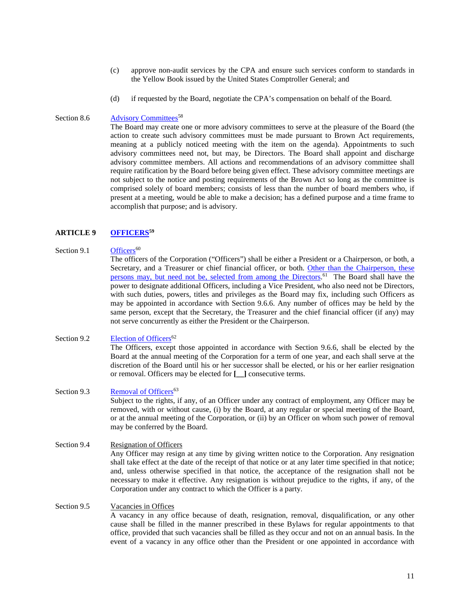- (c) approve non-audit services by the CPA and ensure such services conform to standards in the Yellow Book issued by the United States Comptroller General; and
- (d) if requested by the Board, negotiate the CPA's compensation on behalf of the Board.

# Section 8.6 Advisory Committees<sup>58</sup>

<span id="page-17-0"></span>The Board may create one or more advisory committees to serve at the pleasure of the Board (the action to create such advisory committees must be made pursuant to Brown Act requirements, meaning at a publicly noticed meeting with the item on the agenda). Appointments to such advisory committees need not, but may, be Directors. The Board shall appoint and discharge advisory committee members. All actions and recommendations of an advisory committee shall require ratification by the Board before being given effect. These advisory committee meetings are not subject to the notice and posting requirements of the Brown Act so long as the committee is comprised solely of board members; consists of less than the number of board members who, if present at a meeting, would be able to make a decision; has a defined purpose and a time frame to accomplish that purpose; and is advisory.

# **ARTICLE 9 [OFFICERS5](#page-46-0)9**

#### Section 9.1  $\qquad \qquad$  Officers<sup>60</sup>

<span id="page-17-7"></span><span id="page-17-2"></span><span id="page-17-1"></span>The officers of the Corporation ("Officers") shall be either a President or a Chairperson, or both, a Secretary, and a Treasurer or chief financial officer, or both. Other than the Chairperson, these persons [may, but need not be, selected from among the Directors.](#page-46-2)<sup>61</sup> The Board shall have the power to designate additional Officers, including a Vice President, who also need not be Directors, with such duties, powers, titles and privileges as the Board may fix, including such Officers as may be appointed in accordance with Section 9.6.6. Any number of offices may be held by the same person, except that the Secretary, the Treasurer and the chief financial officer (if any) may not serve concurrently as either the President or the Chairperson.

# <span id="page-17-3"></span>Section 9.2 Election of Officers<sup>62</sup> The Officers, except those appointed in accordance with Section 9.6.6, shall be elected by the Board at the annual meeting of the Corporation for a term of one year, and each shall serve at the discretion of the Board until his or her successor shall be elected, or his or her earlier resignation or removal. Officers may be elected for **[\_\_]** consecutive terms.

- <span id="page-17-4"></span>Section 9.3 Removal of Officers<sup>63</sup> Subject to the rights, if any, of an Officer under any contract of employment, any Officer may be removed, with or without cause, (i) by the Board, at any regular or special meeting of the Board, or at the annual meeting of the Corporation, or (ii) by an Officer on whom such power of removal may be conferred by the Board.
- <span id="page-17-5"></span>Section 9.4 Resignation of Officers Any Officer may resign at any time by giving written notice to the Corporation. Any resignation shall take effect at the date of the receipt of that notice or at any later time specified in that notice; and, unless otherwise specified in that notice, the acceptance of the resignation shall not be necessary to make it effective. Any resignation is without prejudice to the rights, if any, of the Corporation under any contract to which the Officer is a party.

# <span id="page-17-6"></span>Section 9.5 Vacancies in Offices A vacancy in any office because of death, resignation, removal, disqualification, or any other cause shall be filled in the manner prescribed in these Bylaws for regular appointments to that office, provided that such vacancies shall be filled as they occur and not on an annual basis. In the event of a vacancy in any office other than the President or one appointed in accordance with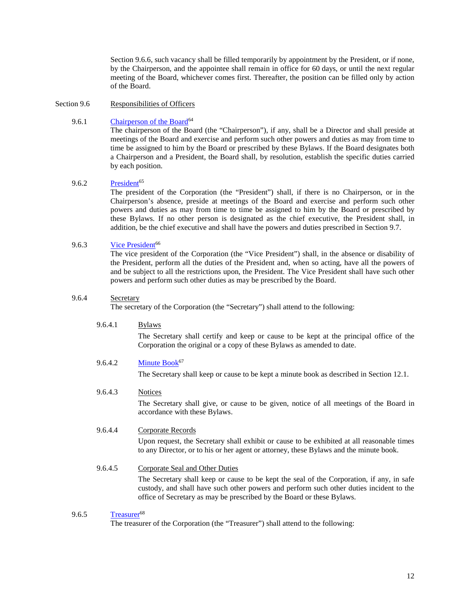Section 9.6.6, such vacancy shall be filled temporarily by appointment by the President, or if none, by the Chairperson, and the appointee shall remain in office for 60 days, or until the next regular meeting of the Board, whichever comes first. Thereafter, the position can be filled only by action of the Board.

#### <span id="page-18-0"></span>Section 9.6 Responsibilities of Officers

# 9.6.1 Chairperson of the Board<sup>64</sup>

<span id="page-18-1"></span>The chairperson of the Board (the "Chairperson"), if any, shall be a Director and shall preside at meetings of the Board and exercise and perform such other powers and duties as may from time to time be assigned to him by the Board or prescribed by these Bylaws. If the Board designates both a Chairperson and a President, the Board shall, by resolution, establish the specific duties carried by each position.

#### 9.6.2 President<sup>65</sup>

<span id="page-18-2"></span>The president of the Corporation (the "President") shall, if there is no Chairperson, or in the Chairperson's absence, preside at meetings of the Board and exercise and perform such other powers and duties as may from time to time be assigned to him by the Board or prescribed by these Bylaws. If no other person is designated as the chief executive, the President shall, in addition, be the chief executive and shall have the powers and duties prescribed in [Section 9.7.](#page-19-1) 

# 9.6.3 Vice President<sup>66</sup>

<span id="page-18-3"></span>The vice president of the Corporation (the "Vice President") shall, in the absence or disability of the President, perform all the duties of the President and, when so acting, have all the powers of and be subject to all the restrictions upon, the President. The Vice President shall have such other powers and perform such other duties as may be prescribed by the Board.

#### <span id="page-18-4"></span>9.6.4 Secretary

The secretary of the Corporation (the "Secretary") shall attend to the following:

# 9.6.4.1 **Bylaws**

<span id="page-18-6"></span>The Secretary shall certify and keep or cause to be kept at the principal office of the Corporation the original or a copy of these Bylaws as amended to date.

# 9.6.4.2 Minute  $Book<sup>67</sup>$

The Secretary shall keep or cause to be kept a minute book as described in [Section 12.1.](#page-24-3)

# 9.6.4.3 Notices

The Secretary shall give, or cause to be given, notice of all meetings of the Board in accordance with these Bylaws.

# 9.6.4.4 Corporate Records

Upon request, the Secretary shall exhibit or cause to be exhibited at all reasonable times to any Director, or to his or her agent or attorney, these Bylaws and the minute book.

# 9.6.4.5 Corporate Seal and Other Duties

The Secretary shall keep or cause to be kept the seal of the Corporation, if any, in safe custody, and shall have such other powers and perform such other duties incident to the office of Secretary as may be prescribed by the Board or these Bylaws.

# 9.6.5 Treasurer<sup>68</sup>

<span id="page-18-5"></span>The treasurer of the Corporation (the "Treasurer") shall attend to the following: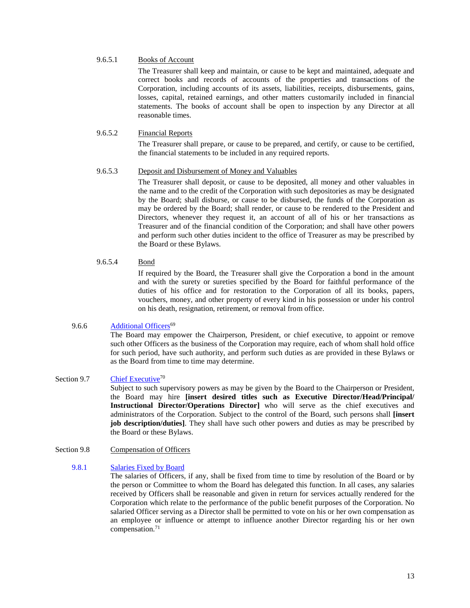# 9.6.5.1 Books of Account

The Treasurer shall keep and maintain, or cause to be kept and maintained, adequate and correct books and records of accounts of the properties and transactions of the Corporation, including accounts of its assets, liabilities, receipts, disbursements, gains, losses, capital, retained earnings, and other matters customarily included in financial statements. The books of account shall be open to inspection by any Director at all reasonable times.

# 9.6.5.2 Financial Reports

The Treasurer shall prepare, or cause to be prepared, and certify, or cause to be certified, the financial statements to be included in any required reports.

#### 9.6.5.3 Deposit and Disbursement of Money and Valuables

The Treasurer shall deposit, or cause to be deposited, all money and other valuables in the name and to the credit of the Corporation with such depositories as may be designated by the Board; shall disburse, or cause to be disbursed, the funds of the Corporation as may be ordered by the Board; shall render, or cause to be rendered to the President and Directors, whenever they request it, an account of all of his or her transactions as Treasurer and of the financial condition of the Corporation; and shall have other powers and perform such other duties incident to the office of Treasurer as may be prescribed by the Board or these Bylaws.

# 9.6.5.4 Bond

If required by the Board, the Treasurer shall give the Corporation a bond in the amount and with the surety or sureties specified by the Board for faithful performance of the duties of his office and for restoration to the Corporation of all its books, papers, vouchers, money, and other property of every kind in his possession or under his control on his death, resignation, retirement, or removal from office.

# 9.6.6 Additional Officers<sup>69</sup>

<span id="page-19-0"></span>The Board may empower the Chairperson, President, or chief executive, to appoint or remove such other Officers as the business of the Corporation may require, each of whom shall hold office for such period, have such authority, and perform such duties as are provided in these Bylaws or [as the Board from time to time may determine.](#page-48-2)

# <span id="page-19-4"></span><span id="page-19-1"></span>Section 9.7 Chief Executive<sup>70</sup>

Subject to such supervisory powers as may be given by the Board to the Chairperson or President, the Board may hire **[insert desired titles such as Executive Director/Head/Principal/ Instructional Director/Operations Director]** who will serve as the chief executives and administrators of the Corporation. Subject to the control of the Board, such persons shall **[insert job description/duties]**. They shall have such other powers and duties as may be prescribed by the Board or these Bylaws.

#### <span id="page-19-2"></span>Section 9.8 Compensation of Officers

#### 9.8.1 [Salaries Fixed by Board](#page-48-3)

<span id="page-19-5"></span><span id="page-19-3"></span>The salaries of Officers, if any, shall be fixed from time to time by resolution of the Board or by the person or Committee to whom the Board has delegated this function. In all cases, any salaries received by Officers shall be reasonable and given in return for services actually rendered for the Corporation which relate to the performance of the public benefit purposes of the Corporation. No salaried Officer serving as a Director shall be permitted to vote on his or her own compensation as an employee or influence or attempt to influence another Director regarding his or her own compensation. 71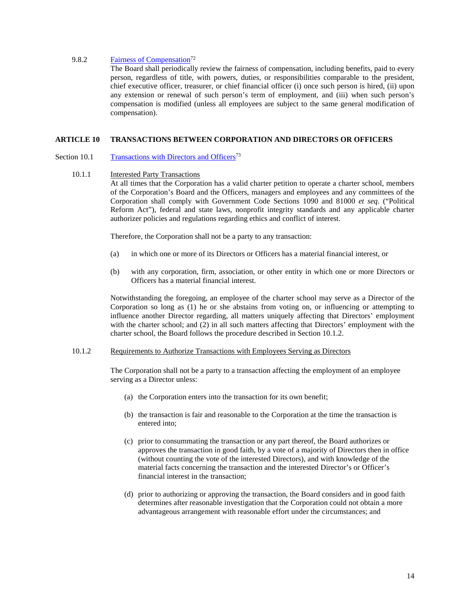# 9.8.2 Fairness of Compensation<sup>72</sup>

<span id="page-20-0"></span>The Board shall periodically review the fairness of compensation, including benefits, paid to every person, regardless of title, with powers, duties, or responsibilities comparable to the president, chief executive officer, treasurer, or chief financial officer (i) once such person is hired, (ii) upon any extension or renewal of such person's term of employment, and (iii) when such person's compensation is modified (unless all employees are subject to the same general modification of compensation).

# <span id="page-20-5"></span><span id="page-20-1"></span>**ARTICLE 10 [TRANSACTIONS BETWEEN CORPORATION AND DIRECTORS OR OFFICERS](#page-49-1)**

# <span id="page-20-2"></span>Section 10.1 Transactions with Directors and Officers<sup>73</sup>

# <span id="page-20-3"></span>10.1.1 Interested Party Transactions

At all times that the Corporation has a valid charter petition to operate a charter school, members of the Corporation's Board and the Officers, managers and employees and any committees of the Corporation shall comply with Government Code Sections 1090 and 81000 *et seq.* ("Political Reform Act"), federal and state laws, nonprofit integrity standards and any applicable charter authorizer policies and regulations regarding ethics and conflict of interest.

Therefore, the Corporation shall not be a party to any transaction:

- (a) in which one or more of its Directors or Officers has a material financial interest, or
- (b) with any corporation, firm, association, or other entity in which one or more Directors or Officers has a material financial interest.

Notwithstanding the foregoing, an employee of the charter school may serve as a Director of the Corporation so long as (1) he or she abstains from voting on, or influencing or attempting to influence another Director regarding, all matters uniquely affecting that Directors' employment with the charter school; and (2) in all such matters affecting that Directors' employment with the charter school, the Board follows the procedure described in Section 10.1.2.

#### <span id="page-20-4"></span>10.1.2 Requirements to Authorize Transactions with Employees Serving as Directors

The Corporation shall not be a party to a transaction affecting the employment of an employee serving as a Director unless:

- (a) the Corporation enters into the transaction for its own benefit;
- (b) the transaction is fair and reasonable to the Corporation at the time the transaction is entered into;
- (c) prior to consummating the transaction or any part thereof, the Board authorizes or approves the transaction in good faith, by a vote of a majority of Directors then in office (without counting the vote of the interested Directors), and with knowledge of the material facts concerning the transaction and the interested Director's or Officer's financial interest in the transaction;
- (d) prior to authorizing or approving the transaction, the Board considers and in good faith determines after reasonable investigation that the Corporation could not obtain a more advantageous arrangement with reasonable effort under the circumstances; and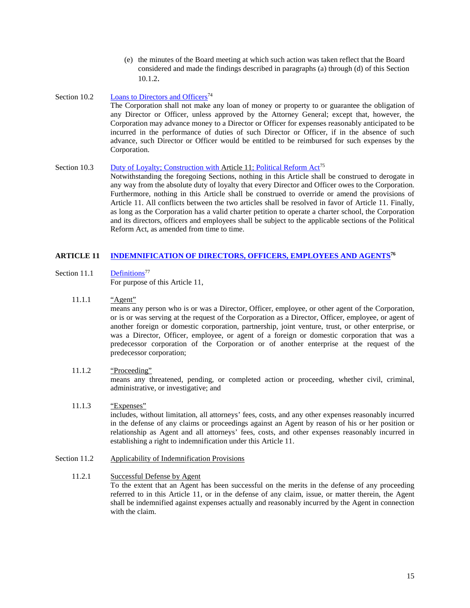- <span id="page-21-0"></span>(e) the minutes of the Board meeting at which such action was taken reflect that the Board considered and made the findings described in paragraphs (a) through (d) of this Section 10.1.2.
- Section 10.2 Loans to Directors and Officers<sup>74</sup> The Corporation shall not make any loan of money or property to or guarantee the obligation of any Director or Officer, unless approved by the Attorney General; except that, however, the Corporation may advance money to a Director or Officer for expenses reasonably anticipated to be incurred in the performance of duties of such Director or Officer, if in the absence of such advance, such Director or Officer would be entitled to be reimbursed for such expenses by the Corporation.

# Section 10.3 Duty of Loyalty; Construction with Article 11; Political Reform Act<sup>75</sup>

<span id="page-21-1"></span>Notwithstanding the foregoing Sections, nothing in this Article shall be construed to derogate in any way from the absolute duty of loyalty that every Director and Officer owes to the Corporation. Furthermore, nothing in this Article shall be construed to override or amend the provisions of Article 11. All conflicts between the two articles shall be resolved in favor of Article 11. Finally, as long as the Corporation has a valid charter petition to operate a charter school, the Corporation and its directors, officers and employees shall be subject to the applicable sections of the Political Reform Act, as amended from time to time.

# **ARTICLE 11 [INDEMNIFICATION OF DIRECTORS, OFFICERS, EMPLOYEES AND AGENTS7](#page-50-0)6**

- <span id="page-21-4"></span>Section 11.1 Definitions<sup>77</sup> For purpose of this [Article 11,](#page-21-2)
	- 11.1.1 "Agent"

<span id="page-21-3"></span><span id="page-21-2"></span>means any person who is or was a Director, Officer, employee, or other agent of the Corporation, or is or was serving at the request of the Corporation as a Director, Officer, employee, or agent of another foreign or domestic corporation, partnership, joint venture, trust, or other enterprise, or was a Director, Officer, employee, or agent of a foreign or domestic corporation that was a predecessor corporation of the Corporation or of another enterprise at the request of the predecessor corporation;

# <span id="page-21-5"></span>11.1.2 "Proceeding"

means any threatened, pending, or completed action or proceeding, whether civil, criminal, administrative, or investigative; and

# <span id="page-21-6"></span>11.1.3 "Expenses" includes, without limitation, all attorneys' fees, costs, and any other expenses reasonably incurred in the defense of any claims or proceedings against an Agent by reason of his or her position or relationship as Agent and all attorneys' fees, costs, and other expenses reasonably incurred in establishing a right to indemnification under this [Article 11.](#page-21-2)

<span id="page-21-7"></span>Section 11.2 Applicability of Indemnification Provisions

# <span id="page-21-8"></span>11.2.1 Successful Defense by Agent

To the extent that an Agent has been successful on the merits in the defense of any proceeding referred to in this [Article 11,](#page-21-2) or in the defense of any claim, issue, or matter therein, the Agent shall be indemnified against expenses actually and reasonably incurred by the Agent in connection with the claim.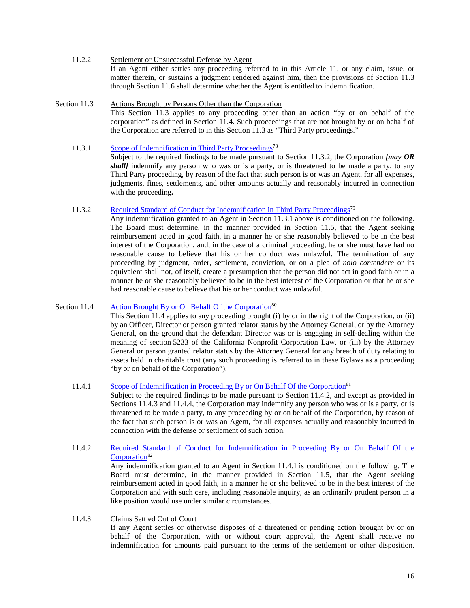- <span id="page-22-0"></span>11.2.2 Settlement or Unsuccessful Defense by Agent If an Agent either settles any proceeding referred to in this [Article 11,](#page-21-2) or any claim, issue, or matter therein, or sustains a judgment rendered against him, then the provisions of [Section 11.3](#page-22-1) throug[h Section 11.6](#page-23-2) shall determine whether the Agent is entitled to indemnification.
- <span id="page-22-2"></span><span id="page-22-1"></span>Section 11.3 Actions Brought by Persons Other than the Corporation This [Section 11.3](#page-22-1) applies to any proceeding other than an action "by or on behalf of the corporation" as defined in [Section 11.4.](#page-22-4) Such proceedings that are not brought by or on behalf of the Corporation are referred to in this [Section 11.3](#page-22-1) as "Third Party proceedings."
	- 11.3.1 Scope of Indemnification in Third Party Proceedings<sup>78</sup> Subject to the required findings to be made pursuant to Section [11.3.2,](#page-22-3) the Corporation *[may OR shall]* indemnify any person who was or is a party, or is threatened to be made a party, to any Third Party proceeding, by reason of the fact that such person is or was an Agent, for all expenses, judgments, fines, settlements, and other amounts actually and reasonably incurred in connection with the proceeding**.**
	- 11.3.2 Required Standard of Conduct for Indemnification in Third Party Proceedings<sup>79</sup>

<span id="page-22-3"></span>Any indemnification granted to an Agent in Section 11.3.1 above is conditioned on the following. The Board must determine, in the manner provided in [Section 11.5,](#page-23-1) that the Agent seeking reimbursement acted in good faith, in a manner he or she reasonably believed to be in the best interest of the Corporation, and, in the case of a criminal proceeding, he or she must have had no reasonable cause to believe that his or her conduct was unlawful. The termination of any proceeding by judgment, order, settlement, conviction, or on a plea of *nolo contendere* or its equivalent shall not, of itself, create a presumption that the person did not act in good faith or in a manner he or she reasonably believed to be in the best interest of the Corporation or that he or she had reasonable cause to believe that his or her conduct was unlawful.

# Section 11.4 Action Brought By or On Behalf Of the Corporation<sup>80</sup>

<span id="page-22-4"></span>This [Section 11.4](#page-22-4) applies to any proceeding brought (i) by or in the right of the Corporation, or (ii) by an Officer, Director or person granted relator status by the Attorney General, or by the Attorney General, on the ground that the defendant Director was or is engaging in self-dealing within the meaning of section 5233 of the California Nonprofit Corporation Law, or (iii) by the Attorney General or person granted relator status by the Attorney General for any breach of duty relating to assets held in charitable trust (any such proceeding is referred to in these Bylaws as a proceeding "by or on behalf of the Corporation").

11.4.1 Scope of Indemnification in Proceeding By or On Behalf Of the Corporation<sup>81</sup>

<span id="page-22-5"></span>Subject to the required findings to be made pursuant to Section [11.4.2,](#page-22-6) and except as provided in Sections [11.4.3](#page-22-7) and [11.4.4,](#page-23-0) the Corporation may indemnify any person who was or is a party, or is threatened to be made a party, to any proceeding by or on behalf of the Corporation, by reason of the fact that such person is or was an Agent, for all expenses actually and reasonably incurred in connection with the defense or settlement of such action.

11.4.2 [Required Standard of Conduct for Indemnification in Proceeding By or On Behalf Of the](#page-52-2)  Corporation<sup>82</sup>

<span id="page-22-6"></span>Any indemnification granted to an Agent in Section 11.4.1 is conditioned on the following. The Board must determine, in the manner provided in [Section 11.5,](#page-23-1) that the Agent seeking reimbursement acted in good faith, in a manner he or she believed to be in the best interest of the Corporation and with such care, including reasonable inquiry, as an ordinarily prudent person in a like position would use under similar circumstances.

<span id="page-22-7"></span>11.4.3 Claims Settled Out of Court

If any Agent settles or otherwise disposes of a threatened or pending action brought by or on behalf of the Corporation, with or without court approval, the Agent shall receive no indemnification for amounts paid pursuant to the terms of the settlement or other disposition.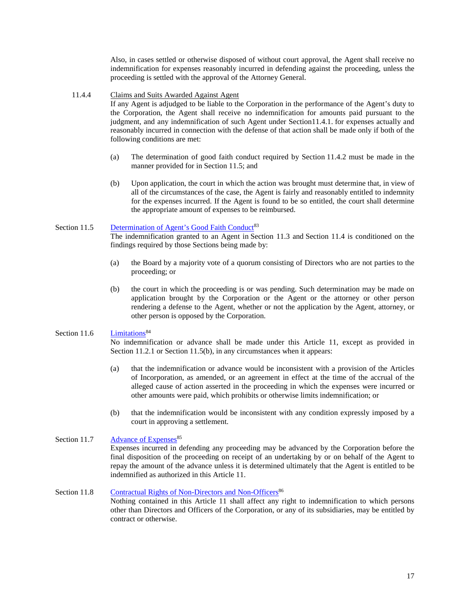Also, in cases settled or otherwise disposed of without court approval, the Agent shall receive no indemnification for expenses reasonably incurred in defending against the proceeding, unless the proceeding is settled with the approval of the Attorney General.

#### <span id="page-23-0"></span>11.4.4 Claims and Suits Awarded Against Agent

If any Agent is adjudged to be liable to the Corporation in the performance of the Agent's duty to the Corporation, the Agent shall receive no indemnification for amounts paid pursuant to the judgment, and any indemnification of such Agent under Section11.4.1. for expenses actually and reasonably incurred in connection with the defense of that action shall be made only if both of the following conditions are met:

- (a) The determination of good faith conduct required by Section [11.4.2](#page-22-6) must be made in the manner provided for in [Section 11.5;](#page-23-1) and
- (b) Upon application, the court in which the action was brought must determine that, in view of all of the circumstances of the case, the Agent is fairly and reasonably entitled to indemnity for the expenses incurred. If the Agent is found to be so entitled, the court shall determine the appropriate amount of expenses to be reimbursed.

# Section 11.5 Determination of Agent's Good Faith Conduct<sup>83</sup>

<span id="page-23-1"></span>The indemnification granted to an Agent in [Section 11.3](#page-22-1) and [Section 11.4](#page-22-4) is conditioned on the findings required by those Sections being made by:

- (a) the Board by a majority vote of a quorum consisting of Directors who are not parties to the proceeding; or
- (b) the court in which the proceeding is or was pending. Such determination may be made on application brought by the Corporation or the Agent or the attorney or other person rendering a defense to the Agent, whether or not the application by the Agent, attorney, or other person is opposed by the Corporation.

#### Section 11.6  $\qquad$  Limitations<sup>84</sup>

<span id="page-23-2"></span>No indemnification or advance shall be made under this [Article 11,](#page-21-2) except as provided in Section [11.2.1](#page-21-8) or [Section 11.5\(](#page-23-1)b), in any circumstances when it appears:

- (a) that the indemnification or advance would be inconsistent with a provision of the Articles of Incorporation, as amended, or an agreement in effect at the time of the accrual of the alleged cause of action asserted in the proceeding in which the expenses were incurred or other amounts were paid, which prohibits or otherwise limits indemnification; or
- (b) that the indemnification would be inconsistent with any condition expressly imposed by a court in approving a settlement.

# Section 11.7 Advance of Expenses<sup>85</sup>

<span id="page-23-4"></span><span id="page-23-3"></span>Expenses incurred in defending any proceeding may be advanced by the Corporation before the final disposition of the proceeding on receipt of an undertaking by or on behalf of the Agent to repay the amount of the advance unless it is determined ultimately that the Agent is entitled to be indemnified as authorized in this [Article 11.](#page-21-2)

Section 11.8 Contractual Rights of Non-Directors and Non-Officers<sup>86</sup> Nothing contained in this [Article 11](#page-21-2) shall affect any right to indemnification to which persons other than Directors and Officers of the Corporation, or any of its subsidiaries, may be entitled by contract or otherwise.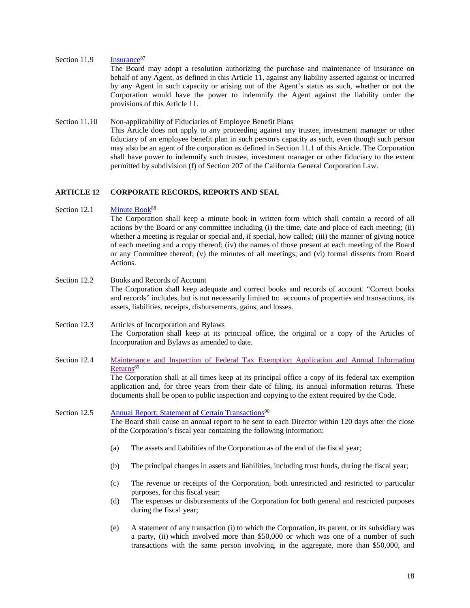#### Section 11.9 Insurance<sup>87</sup>

<span id="page-24-0"></span>The Board may adopt a resolution authorizing the purchase and maintenance of insurance on behalf of any Agent, as defined in this [Article 11,](#page-21-2) against any liability asserted against or incurred by any Agent in such capacity or arising out of the Agent's status as such, whether or not the Corporation would have the power to indemnify the Agent against the liability under the provisions of this [Article 11.](#page-21-2)

#### <span id="page-24-1"></span>Section 11.10 Non-applicability of Fiduciaries of Employee Benefit Plans This Article does not apply to any proceeding against any trustee, investment manager or other fiduciary of an employee benefit plan in such person's capacity as such, even though such person may also be an agent of the corporation as defined in Section 11.1 of this Article. The Corporation shall have power to indemnify such trustee, investment manager or other fiduciary to the extent permitted by subdivision (f) of Section 207 of the California General Corporation Law.

# <span id="page-24-2"></span>**ARTICLE 12 CORPORATE RECORDS, REPORTS AND SEAL**

#### Section 12.1 Minute Book<sup>88</sup>

<span id="page-24-3"></span>The Corporation shall keep a minute book in written form which shall contain a record of all actions by the Board or any committee including (i) the time, date and place of each meeting; (ii) whether a meeting is regular or special and, if special, how called; (iii) the manner of giving notice of each meeting and a copy thereof; (iv) the names of those present at each meeting of the Board or any Committee thereof; (v) the minutes of all meetings; and (vi) formal dissents from Board Actions.

<span id="page-24-4"></span>Section 12.2 Books and Records of Account The Corporation shall keep adequate and correct books and records of account. "Correct books and records" includes, but is not necessarily limited to: accounts of properties and transactions, its assets, liabilities, receipts, disbursements, gains, and losses.

# <span id="page-24-5"></span>Section 12.3 Articles of Incorporation and Bylaws The Corporation shall keep at its principal office, the original or a copy of the Articles of Incorporation and Bylaws as amended to date.

Section 12.4 [Maintenance and Inspection of Federal Tax Exemption Application and Annual](#page-54-1) Information Returns<sup>89</sup>

<span id="page-24-7"></span><span id="page-24-6"></span>The Corporation shall at all times keep at its principal office a copy of its federal tax exemption application and, for three years from their date of filing, its annual information returns. These documents shall be open to public inspection and copying to the extent required by the Code.

Section 12.5 Annual Report; Statement of Certain Transactions<sup>90</sup> The Board shall cause an annual report to be sent to each Director within 120 days after the close of the Corporation's fiscal year containing the following information:

- (a) The assets and liabilities of the Corporation as of the end of the fiscal year;
- (b) The principal changes in assets and liabilities, including trust funds, during the fiscal year;
- (c) The revenue or receipts of the Corporation, both unrestricted and restricted to particular purposes, for this fiscal year;
- (d) The expenses or disbursements of the Corporation for both general and restricted purposes during the fiscal year;
- (e) A statement of any transaction (i) to which the Corporation, its parent, or its subsidiary was a party, (ii) which involved more than \$50,000 or which was one of a number of such transactions with the same person involving, in the aggregate, more than \$50,000, and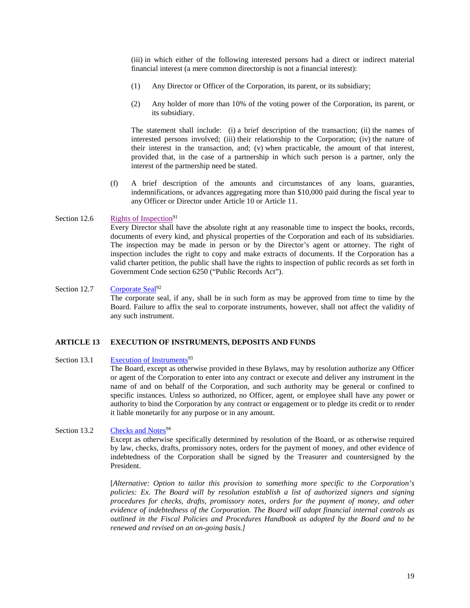(iii) in which either of the following interested persons had a direct or indirect material financial interest (a mere common directorship is not a financial interest):

- (1) Any Director or Officer of the Corporation, its parent, or its subsidiary;
- (2) Any holder of more than 10% of the voting power of the Corporation, its parent, or its subsidiary.

The statement shall include: (i) a brief description of the transaction; (ii) the names of interested persons involved; (iii) their relationship to the Corporation; (iv) the nature of their interest in the transaction, and; (v) when practicable, the amount of that interest, provided that, in the case of a partnership in which such person is a partner, only the interest of the partnership need be stated.

(f) A brief description of the amounts and circumstances of any loans, guaranties, indemnifications, or advances aggregating more than \$10,000 paid during the fiscal year to any Officer or Director under Article 10 or [Article 11.](#page-21-2)

#### Section 12.6 Rights of Inspection<sup>91</sup>

<span id="page-25-0"></span>Every Director shall have the absolute right at any reasonable time to inspect the books, records, documents of every kind, and physical properties of the Corporation and each of its subsidiaries. The inspection may be made in person or by the Director's agent or attorney. The right of inspection includes the right to copy and make extracts of documents. If the Corporation has a valid charter petition, the public shall have the rights to inspection of public records as set forth in Government Code section 6250 ("Public Records Act").

# Section 12.7 Corporate Seal $^{92}$

<span id="page-25-1"></span>The corporate seal, if any, shall be in such form as may be approved from time to time by the Board. Failure to affix the seal to corporate instruments, however, shall not affect the validity of any such instrument.

# <span id="page-25-2"></span>**ARTICLE 13 EXECUTION OF INSTRUMENTS, DEPOSITS AND FUNDS**

#### Section 13.1 Execution of Instruments<sup>93</sup>

<span id="page-25-3"></span>The Board, except as otherwise provided in these Bylaws, may by resolution authorize any Officer or agent of the Corporation to enter into any contract or execute and deliver any instrument in the name of and on behalf of the Corporation, and such authority may be general or confined to specific instances. Unless so authorized, no Officer, agent, or employee shall have any power or authority to bind the Corporation by any contract or engagement or to pledge its credit or to render it liable monetarily for any purpose or in any amount.

# Section 13.2 Checks and Notes<sup>94</sup>

<span id="page-25-4"></span>Except as otherwise specifically determined by resolution of the Board, or as otherwise required by law, checks, drafts, promissory notes, orders for the payment of money, and other evidence of indebtedness of the Corporation shall be signed by the Treasurer and countersigned by the President.

[*Alternative: Option to tailor this provision to something more specific to the Corporation's policies: Ex. The Board will by resolution establish a list of authorized signers and signing procedures for checks, drafts, promissory notes, orders for the payment of money, and other evidence of indebtedness of the Corporation. The Board will adopt financial internal controls as outlined in the Fiscal Policies and Procedures Handbook as adopted by the Board and to be renewed and revised on an on-going basis.]*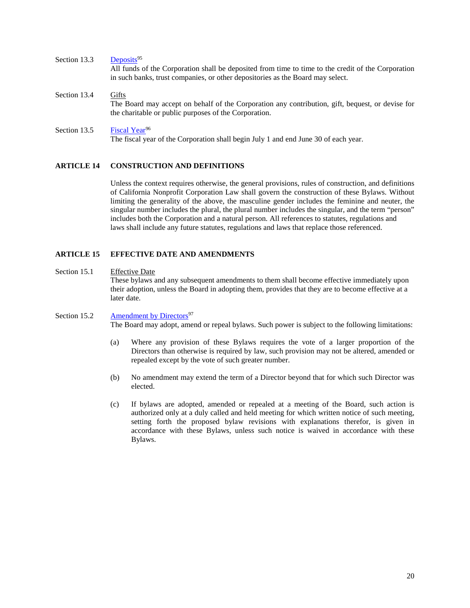<span id="page-26-1"></span><span id="page-26-0"></span>Section 13.3 Deposits<sup>95</sup> All funds of the Corporation shall be deposited from time to time to the credit of the Corporation in such banks, trust companies, or other depositories as the Board may select. Section 13.4 Gifts The Board may accept on behalf of the Corporation any contribution, gift, bequest, or devise for the charitable or public purposes of the Corporation.

# Section 13.5 Fiscal Year<sup>96</sup>

<span id="page-26-2"></span>The fiscal year of the Corporation shall begin July 1 and end June 30 of each year.

# <span id="page-26-3"></span>**ARTICLE 14 CONSTRUCTION AND DEFINITIONS**

Unless the context requires otherwise, the general provisions, rules of construction, and definitions of California Nonprofit Corporation Law shall govern the construction of these Bylaws. Without limiting the generality of the above, the masculine gender includes the feminine and neuter, the singular number includes the plural, the plural number includes the singular, and the term "person" includes both the Corporation and a natural person. All references to statutes, regulations and laws shall include any future statutes, regulations and laws that replace those referenced.

# <span id="page-26-4"></span>**ARTICLE 15 EFFECTIVE DATE AND AMENDMENTS**

#### <span id="page-26-5"></span>Section 15.1 Effective Date

<span id="page-26-6"></span>These bylaws and any subsequent amendments to them shall become effective immediately upon their adoption, unless the Board in adopting them, provides that they are to become effective at a later date.

- Section 15.2 Amendment by Directors<sup>97</sup> The Board may adopt, amend or repeal bylaws. Such power is subject to the following limitations:
	- (a) Where any provision of these Bylaws requires the vote of a larger proportion of the Directors than otherwise is required by law, such provision may not be altered, amended or repealed except by the vote of such greater number.
	- (b) No amendment may extend the term of a Director beyond that for which such Director was elected.
	- (c) If bylaws are adopted, amended or repealed at a meeting of the Board, such action is authorized only at a duly called and held meeting for which written notice of such meeting, setting forth the proposed bylaw revisions with explanations therefor, is given in accordance with these Bylaws, unless such notice is waived in accordance with these Bylaws.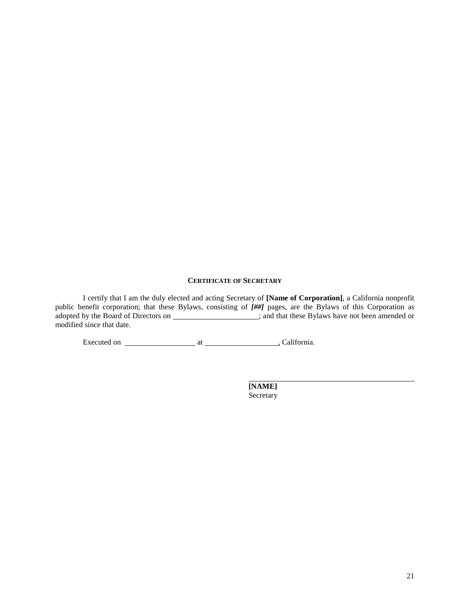# **CERTIFICATE OF SECRETARY**

<span id="page-27-0"></span>I certify that I am the duly elected and acting Secretary of **[Name of Corporation]**, a California nonprofit public benefit corporation; that these Bylaws, consisting of *[##]* pages, are the Bylaws of this Corporation as adopted by the Board of Directors on **Exercise 2021**; and that these Bylaws have not been amended or modified since that date.

Executed on at , California.

**[NAME]** Secretary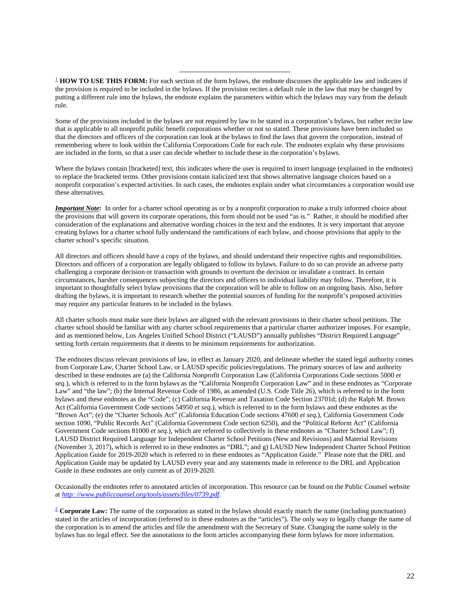<span id="page-28-0"></span><sup>[1](#page-2-0)</sup> **HOW TO USE THIS FORM:** For each section of the form bylaws, the endnote discusses the applicable law and indicates if the provision is required to be included in the bylaws. If the provision recites a default rule in the law that may be changed by putting a different rule into the bylaws, the endnote explains the parameters within which the bylaws may vary from the default rule.

Some of the provisions included in the bylaws are not required by law to be stated in a corporation's bylaws, but rather recite law that is applicable to all nonprofit public benefit corporations whether or not so stated. These provisions have been included so that the directors and officers of the corporation can look at the bylaws to find the laws that govern the corporation, instead of remembering where to look within the California Corporations Code for each rule. The endnotes explain why these provisions are included in the form, so that a user can decide whether to include these in the corporation's bylaws.

Where the bylaws contain [bracketed] text, this indicates where the user is required to insert language (explained in the endnotes) to replace the bracketed terms. Other provisions contain italicized text that shows alternative language choices based on a nonprofit corporation's expected activities. In such cases, the endnotes explain under what circumstances a corporation would use these alternatives.

*Important Note***:** In order for a charter school operating as or by a nonprofit corporation to make a truly informed choice about the provisions that will govern its corporate operations, this form should not be used "as is." Rather, it should be modified after consideration of the explanations and alternative wording choices in the text and the endnotes. It is very important that anyone creating bylaws for a charter school fully understand the ramifications of each bylaw, and choose provisions that apply to the charter school's specific situation.

All directors and officers should have a copy of the bylaws, and should understand their respective rights and responsibilities. Directors and officers of a corporation are legally obligated to follow its bylaws. Failure to do so can provide an adverse party challenging a corporate decision or transaction with grounds to overturn the decision or invalidate a contract. In certain circumstances, harsher consequences subjecting the directors and officers to individual liability may follow. Therefore, it is important to thoughtfully select bylaw provisions that the corporation will be able to follow on an ongoing basis. Also, before drafting the bylaws, it is important to research whether the potential sources of funding for the nonprofit's proposed activities may require any particular features to be included in the bylaws.

All charter schools must make sure their bylaws are aligned with the relevant provisions in their charter school petitions. The charter school should be familiar with any charter school requirements that a particular charter authorizer imposes. For example, and as mentioned below, Los Angeles Unified School District ("LAUSD") annually publishes "District Required Language" setting forth certain requirements that it deems to be minimum requirements for authorization.

The endnotes discuss relevant provisions of law, in effect as January 2020, and delineate whether the stated legal authority comes from Corporate Law, Charter School Law, or LAUSD specific policies/regulations. The primary sources of law and authority described in these endnotes are (a) the California Nonprofit Corporation Law (California Corporations Code sections 5000 *et seq.*), which is referred to in the form bylaws as the "California Nonprofit Corporation Law" and in these endnotes as "Corporate Law" and "the law"; (b) the Internal Revenue Code of 1986, as amended (U.S. Code Title 26), which is referred to in the form bylaws and these endnotes as the "Code"; (c) California Revenue and Taxation Code Section 23701d; (d) the Ralph M. Brown Act (California Government Code sections 54950 *et seq.*), which is referred to in the form bylaws and these endnotes as the "Brown Act"; (e) the "Charter Schools Act" (California Education Code sections 47600 *et seq.*), California Government Code section 1090, "Public Records Act" (California Government Code section 6250), and the "Political Reform Act" (California Government Code sections 81000 *et seq.*), which are referred to collectively in these endnotes as "Charter School Law"; f) LAUSD District Required Language for Independent Charter School Petitions (New and Revisions) and Material Revisions (November 3, 2017), which is referred to in these endnotes as "DRL"; and g) LAUSD New Independent Charter School Petition Application Guide for 2019-2020 which is referred to in these endnotes as "Application Guide." Please note that the DRL and Application Guide may be updated by LAUSD every year and any statements made in reference to the DRL and Application Guide in these endnotes are only current as of 2019-2020.

Occasionally the endnotes refer to annotated articles of incorporation. This resource can be found on the Public Counsel website at *[http: //www.publiccounsel.org/tools/assets/files/0739.pdf](http://www.publiccounsel.org/tools/assets/files/0739.pdf)*.

<span id="page-28-1"></span><sup>[2](#page-7-1)</sup> **Corporate Law:** The name of the corporation as stated in the bylaws should exactly match the name (including punctuation) stated in the articles of incorporation (referred to in these endnotes as the "articles"). The only way to legally change the name of the corporation is to amend the articles and file the amendment with the Secretary of State. Changing the name solely in the bylaws has no legal effect. See the annotations to the form articles accompanying these form bylaws for more information.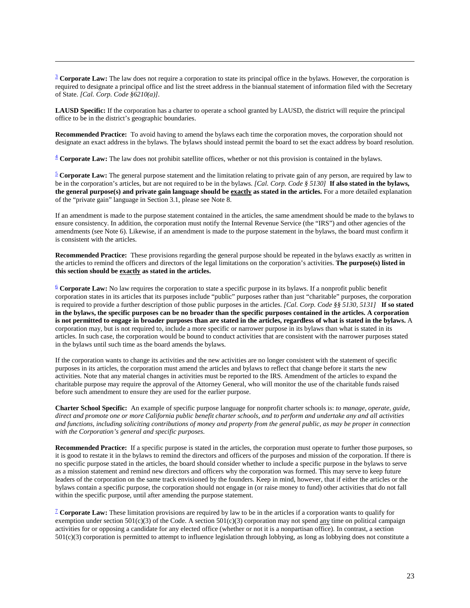<span id="page-29-0"></span><sup>[3](#page-7-3)</sup> **Corporate Law:** The law does not require a corporation to state its principal office in the bylaws. However, the corporation is required to designate a principal office and list the street address in the biannual statement of information filed with the Secretary of State. *[Cal. Corp. Code §6210(a)].*

**LAUSD Specific:** If the corporation has a charter to operate a school granted by LAUSD, the district will require the principal office to be in the district's geographic boundaries.

**Recommended Practice:** To avoid having to amend the bylaws each time the corporation moves, the corporation should not designate an exact address in the bylaws. The bylaws should instead permit the board to set the exact address by board resolution.

<span id="page-29-1"></span>[4](#page-7-4) **Corporate Law:** The law does not prohibit satellite offices, whether or not this provision is contained in the bylaws.

<span id="page-29-2"></span>[5](#page-7-6) **Corporate Law:** The general purpose statement and the limitation relating to private gain of any person, are required by law to be in the corporation's articles, but are not required to be in the bylaws. *[Cal. Corp. Code § 5130]* **If also stated in the bylaws, the general purpose(s) and private gain language should be exactly as stated in the articles.** For a more detailed explanation of the "private gain" language in Section 3.1, please see Note 8.

If an amendment is made to the purpose statement contained in the articles, the same amendment should be made to the bylaws to ensure consistency. In addition, the corporation must notify the Internal Revenue Service (the "IRS") and other agencies of the amendments (see Note 6). Likewise, if an amendment is made to the purpose statement in the bylaws, the board must confirm it is consistent with the articles.

**Recommended Practice:** These provisions regarding the general purpose should be repeated in the bylaws exactly as written in the articles to remind the officers and directors of the legal limitations on the corporation's activities. **The purpose(s) listed in this section should be exactly as stated in the articles.**

<span id="page-29-3"></span>[6](#page-7-7) **Corporate Law:** No law requires the corporation to state a specific purpose in its bylaws. If a nonprofit public benefit corporation states in its articles that its purposes include "public" purposes rather than just "charitable" purposes, the corporation is required to provide a further description of those public purposes in the articles. *[Cal. Corp. Code §§ 5130, 5131]* **If so stated in the bylaws, the specific purposes can be no broader than the specific purposes contained in the articles. A corporation is not permitted to engage in broader purposes than are stated in the articles, regardless of what is stated in the bylaws.** A corporation may, but is not required to, include a more specific or narrower purpose in its bylaws than what is stated in its articles. In such case, the corporation would be bound to conduct activities that are consistent with the narrower purposes stated in the bylaws until such time as the board amends the bylaws.

If the corporation wants to change its activities and the new activities are no longer consistent with the statement of specific purposes in its articles, the corporation must amend the articles and bylaws to reflect that change before it starts the new activities. Note that any material changes in activities must be reported to the IRS. Amendment of the articles to expand the charitable purpose may require the approval of the Attorney General, who will monitor the use of the charitable funds raised before such amendment to ensure they are used for the earlier purpose.

**Charter School Specific:** An example of specific purpose language for nonprofit charter schools is: *to manage, operate, guide, direct and promote one or more California public benefit charter schools, and to perform and undertake any and all activities and functions, including soliciting contributions of money and property from the general public, as may be proper in connection with the Corporation's general and specific purposes*.

**Recommended Practice:** If a specific purpose is stated in the articles, the corporation must operate to further those purposes, so it is good to restate it in the bylaws to remind the directors and officers of the purposes and mission of the corporation. If there is no specific purpose stated in the articles, the board should consider whether to include a specific purpose in the bylaws to serve as a mission statement and remind new directors and officers why the corporation was formed. This may serve to keep future leaders of the corporation on the same track envisioned by the founders. Keep in mind, however, that if either the articles or the bylaws contain a specific purpose, the corporation should not engage in (or raise money to fund) other activities that do not fall within the specific purpose, until after amending the purpose statement.

<span id="page-29-4"></span>[7](#page-7-9) **Corporate Law:** These limitation provisions are required by law to be in the articles if a corporation wants to qualify for exemption under section 501(c)(3) of the Code. A section 501(c)(3) corporation may not spend any time on political campaign activities for or opposing a candidate for any elected office (whether or not it is a nonpartisan office). In contrast, a section 501(c)(3) corporation is permitted to attempt to influence legislation through lobbying, as long as lobbying does not constitute a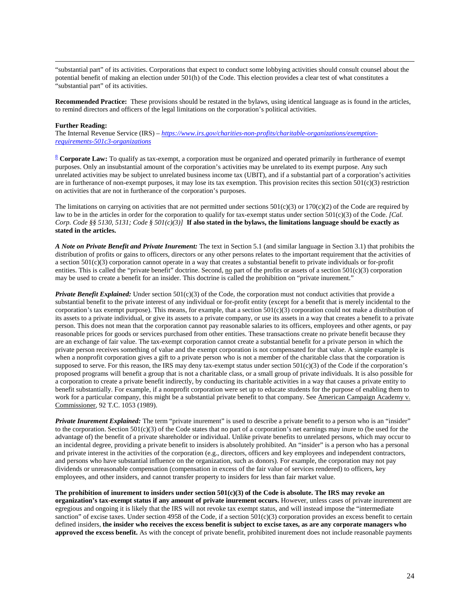"substantial part" of its activities. Corporations that expect to conduct some lobbying activities should consult counsel about the potential benefit of making an election under 501(h) of the Code. This election provides a clear test of what constitutes a "substantial part" of its activities.

**Recommended Practice:** These provisions should be restated in the bylaws, using identical language as is found in the articles, to remind directors and officers of the legal limitations on the corporation's political activities.

#### **Further Reading:**

The Internal Revenue Service (IRS) – *[https://www.irs.gov/charities-non-profits/charitable-organizations/exemption](https://www.irs.gov/charities-non-profits/charitable-organizations/exemption-requirements-501c3-organizations)[requirements-501c3-organizations](https://www.irs.gov/charities-non-profits/charitable-organizations/exemption-requirements-501c3-organizations)*

<span id="page-30-0"></span>[8](#page-7-10) **Corporate Law:** To qualify as tax-exempt, a corporation must be organized and operated primarily in furtherance of exempt purposes. Only an insubstantial amount of the corporation's activities may be unrelated to its exempt purpose. Any such unrelated activities may be subject to unrelated business income tax (UBIT), and if a substantial part of a corporation's activities are in furtherance of non-exempt purposes, it may lose its tax exemption. This provision recites this section  $501(c)(3)$  restriction on activities that are not in furtherance of the corporation's purposes.

The limitations on carrying on activities that are not permitted under sections  $501(c)(3)$  or  $170(c)(2)$  of the Code are required by law to be in the articles in order for the corporation to qualify for tax-exempt status under section 501(c)(3) of the Code. *[Cal. Corp. Code §§ 5130, 5131; Code § 501(c)(3)]* **If also stated in the bylaws, the limitations language should be exactly as stated in the articles.** 

*A Note on Private Benefit and Private Inurement:* The text in Section 5.1 (and similar language in Section 3.1) that prohibits the distribution of profits or gains to officers, directors or any other persons relates to the important requirement that the activities of a section 501(c)(3) corporation cannot operate in a way that creates a substantial benefit to private individuals or for-profit entities. This is called the "private benefit" doctrine. Second, no part of the profits or assets of a section  $501(c)(3)$  corporation may be used to create a benefit for an insider. This doctrine is called the prohibition on "private inurement."

*Private Benefit Explained:* Under section 501(c)(3) of the Code, the corporation must not conduct activities that provide a substantial benefit to the private interest of any individual or for-profit entity (except for a benefit that is merely incidental to the corporation's tax exempt purpose). This means, for example, that a section  $501(c)(3)$  corporation could not make a distribution of its assets to a private individual, or give its assets to a private company, or use its assets in a way that creates a benefit to a private person. This does not mean that the corporation cannot pay reasonable salaries to its officers, employees and other agents, or pay reasonable prices for goods or services purchased from other entities. These transactions create no private benefit because they are an exchange of fair value. The tax-exempt corporation cannot create a substantial benefit for a private person in which the private person receives something of value and the exempt corporation is not compensated for that value. A simple example is when a nonprofit corporation gives a gift to a private person who is not a member of the charitable class that the corporation is supposed to serve. For this reason, the IRS may deny tax-exempt status under section  $501(c)(3)$  of the Code if the corporation's proposed programs will benefit a group that is not a charitable class, or a small group of private individuals. It is also possible for a corporation to create a private benefit indirectly, by conducting its charitable activities in a way that causes a private entity to benefit substantially. For example, if a nonprofit corporation were set up to educate students for the purpose of enabling them to work for a particular company, this might be a substantial private benefit to that company. See American Campaign Academy v. Commissioner, 92 T.C. 1053 (1989).

*Private Inurement Explained:* The term "private inurement" is used to describe a private benefit to a person who is an "insider" to the corporation. Section  $501(c)(3)$  of the Code states that no part of a corporation's net earnings may inure to (be used for the advantage of) the benefit of a private shareholder or individual. Unlike private benefits to unrelated persons, which may occur to an incidental degree, providing a private benefit to insiders is absolutely prohibited. An "insider" is a person who has a personal and private interest in the activities of the corporation (e.g., directors, officers and key employees and independent contractors, and persons who have substantial influence on the organization, such as donors). For example, the corporation may not pay dividends or unreasonable compensation (compensation in excess of the fair value of services rendered) to officers, key employees, and other insiders, and cannot transfer property to insiders for less than fair market value.

**The prohibition of inurement to insiders under section 501(c)(3) of the Code is absolute. The IRS may revoke an organization's tax-exempt status if any amount of private inurement occurs.** However, unless cases of private inurement are egregious and ongoing it is likely that the IRS will not revoke tax exempt status, and will instead impose the "intermediate sanction" of excise taxes. Under section 4958 of the Code, if a section  $501(c)(3)$  corporation provides an excess benefit to certain defined insiders, **the insider who receives the excess benefit is subject to excise taxes, as are any corporate managers who approved the excess benefit.** As with the concept of private benefit, prohibited inurement does not include reasonable payments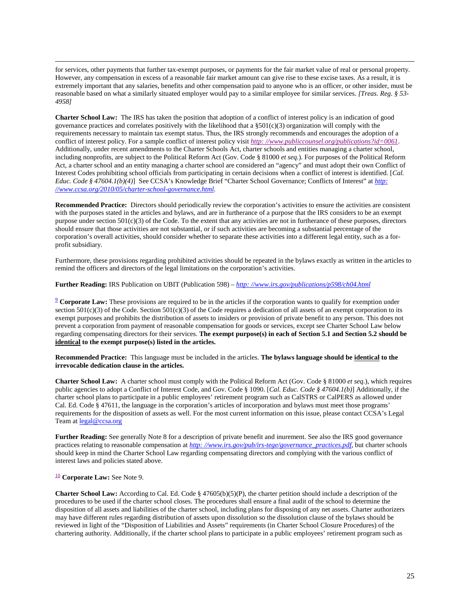for services, other payments that further tax-exempt purposes, or payments for the fair market value of real or personal property. However, any compensation in excess of a reasonable fair market amount can give rise to these excise taxes. As a result, it is extremely important that any salaries, benefits and other compensation paid to anyone who is an officer, or other insider, must be reasonable based on what a similarly situated employer would pay to a similar employee for similar services. *[Treas. Reg. § 53- 4958]*

**Charter School Law:** The IRS has taken the position that adoption of a conflict of interest policy is an indication of good governance practices and correlates positively with the likelihood that a  $\S501(c)(3)$  organization will comply with the requirements necessary to maintain tax exempt status. Thus, the IRS strongly recommends and encourages the adoption of a conflict of interest policy. For a sample conflict of interest policy visit *[http: //www.publiccounsel.org/publications?id=0061](http://www.publiccounsel.org/publications?id=0061)*. Additionally, under recent amendments to the Charter Schools Act, charter schools and entities managing a charter school, including nonprofits, are subject to the Political Reform Act (Gov. Code § 81000 *et seq.*). For purposes of the Political Reform Act, a charter school and an entity managing a charter school are considered an "agency" and must adopt their own Conflict of Interest Codes prohibiting school officials from participating in certain decisions when a conflict of interest is identified. [*Cal. Educ. Code § 47604.1(b)(4)*] See CCSA's Knowledge Brief "Charter School Governance; Conflicts of Interest" at *[http:](http://www.ccsa.org/2010/05/charter-school-governance.html)  [//www.ccsa.org/2010/05/charter-school-governance.html.](http://www.ccsa.org/2010/05/charter-school-governance.html)*

**Recommended Practice:** Directors should periodically review the corporation's activities to ensure the activities are consistent with the purposes stated in the articles and bylaws, and are in furtherance of a purpose that the IRS considers to be an exempt purpose under section  $501(c)(3)$  of the Code. To the extent that any activities are not in furtherance of these purposes, directors should ensure that those activities are not substantial, or if such activities are becoming a substantial percentage of the corporation's overall activities, should consider whether to separate these activities into a different legal entity, such as a forprofit subsidiary.

Furthermore, these provisions regarding prohibited activities should be repeated in the bylaws exactly as written in the articles to remind the officers and directors of the legal limitations on the corporation's activities.

**Further Reading:** IRS Publication on UBIT (Publication 598) – *[http: //www.irs.gov/publications/p598/ch04.html](http://www.irs.gov/publications/p598/ch04.html)*

<span id="page-31-0"></span>[9](#page-8-1) **Corporate Law:** These provisions are required to be in the articles if the corporation wants to qualify for exemption under section  $501(c)(3)$  of the Code. Section  $501(c)(3)$  of the Code requires a dedication of all assets of an exempt corporation to its exempt purposes and prohibits the distribution of assets to insiders or provision of private benefit to any person. This does not prevent a corporation from payment of reasonable compensation for goods or services, except see Charter School Law below regarding compensating directors for their services. **The exempt purpose(s) in each of Section 5.1 and Section 5.2 should be identical to the exempt purpose(s) listed in the articles.**

**Recommended Practice:** This language must be included in the articles. **The bylaws language should be identical to the irrevocable dedication clause in the articles.** 

**Charter School Law:** A charter school must comply with the Political Reform Act (Gov. Code § 81000 *et seq.*), which requires public agencies to adopt a Conflict of Interest Code, and Gov. Code § 1090. [*Cal. Educ. Code § 47604.1(b)*] Additionally, if the charter school plans to participate in a public employees' retirement program such as CalSTRS or CalPERS as allowed under Cal. Ed. Code § 47611, the language in the corporation's articles of incorporation and bylaws must meet those programs' requirements for the disposition of assets as well. For the most current information on this issue, please contact CCSA's Legal Team at **legal@ccsa.org** 

**Further Reading:** See generally Note 8 for a description of private benefit and inurement. See also the IRS good governance practices relating to reasonable compensation at *[http: //www.irs.gov/pub/irs-tege/governance\\_practices.pdf](http://www.irs.gov/pub/irs-tege/governance_practices.pdf)*, but charter schools should keep in mind the Charter School Law regarding compensating directors and complying with the various conflict of interest laws and policies stated above.

#### <span id="page-31-1"></span>[10](#page-8-2) **Corporate Law:** See Note 9.

**Charter School Law:** According to Cal. Ed. Code § 47605(b)(5)(P), the charter petition should include a description of the procedures to be used if the charter school closes. The procedures shall ensure a final audit of the school to determine the disposition of all assets and liabilities of the charter school, including plans for disposing of any net assets. Charter authorizers may have different rules regarding distribution of assets upon dissolution so the dissolution clause of the bylaws should be reviewed in light of the "Disposition of Liabilities and Assets" requirements (in Charter School Closure Procedures) of the chartering authority. Additionally, if the charter school plans to participate in a public employees' retirement program such as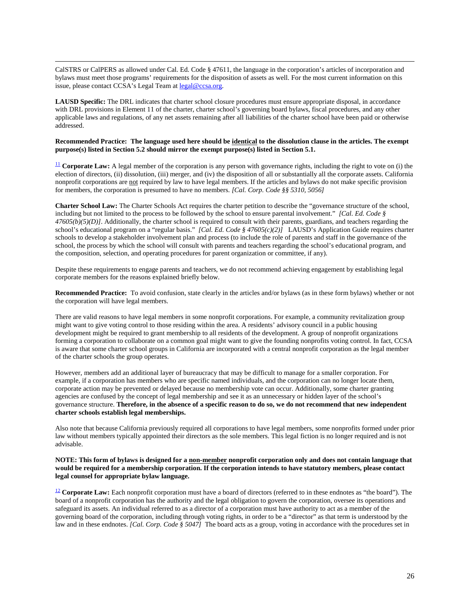CalSTRS or CalPERS as allowed under Cal. Ed. Code § 47611, the language in the corporation's articles of incorporation and bylaws must meet those programs' requirements for the disposition of assets as well. For the most current information on this issue, please contact CCSA's Legal Team at [legal@ccsa.org.](mailto:legal@ccsa.org)

**LAUSD Specific:** The DRL indicates that charter school closure procedures must ensure appropriate disposal, in accordance with DRL provisions in Element 11 of the charter, charter school's governing board bylaws, fiscal procedures, and any other applicable laws and regulations, of any net assets remaining after all liabilities of the charter school have been paid or otherwise addressed.

#### **Recommended Practice: The language used here should be identical to the dissolution clause in the articles. The exempt purpose(s) listed in Section 5.2 should mirror the exempt purpose(s) listed in Section 5.1.**

<span id="page-32-0"></span> $\frac{11}{2}$  $\frac{11}{2}$  $\frac{11}{2}$  **Corporate Law:** A legal member of the corporation is any person with governance rights, including the right to vote on (i) the election of directors, (ii) dissolution, (iii) merger, and (iv) the disposition of all or substantially all the corporate assets. California nonprofit corporations are not required by law to have legal members. If the articles and bylaws do not make specific provision for members, the corporation is presumed to have no members. *[Cal. Corp. Code §§ 5310, 5056]*

**Charter School Law:** The Charter Schools Act requires the charter petition to describe the "governance structure of the school, including but not limited to the process to be followed by the school to ensure parental involvement." *[Cal. Ed. Code § 47605(b)(5)(D)]*. Additionally, the charter school is required to consult with their parents, guardians, and teachers regarding the school's educational program on a "regular basis." *[Cal. Ed. Code § 47605(c)(2)]* LAUSD's Application Guide requires charter schools to develop a stakeholder involvement plan and process (to include the role of parents and staff in the governance of the school, the process by which the school will consult with parents and teachers regarding the school's educational program, and the composition, selection, and operating procedures for parent organization or committee, if any).

Despite these requirements to engage parents and teachers, we do not recommend achieving engagement by establishing legal corporate members for the reasons explained briefly below.

**Recommended Practice:** To avoid confusion, state clearly in the articles and/or bylaws (as in these form bylaws) whether or not the corporation will have legal members.

There are valid reasons to have legal members in some nonprofit corporations. For example, a community revitalization group might want to give voting control to those residing within the area. A residents' advisory council in a public housing development might be required to grant membership to all residents of the development. A group of nonprofit organizations forming a corporation to collaborate on a common goal might want to give the founding nonprofits voting control. In fact, CCSA is aware that some charter school groups in California are incorporated with a central nonprofit corporation as the legal member of the charter schools the group operates.

However, members add an additional layer of bureaucracy that may be difficult to manage for a smaller corporation. For example, if a corporation has members who are specific named individuals, and the corporation can no longer locate them, corporate action may be prevented or delayed because no membership vote can occur. Additionally, some charter granting agencies are confused by the concept of legal membership and see it as an unnecessary or hidden layer of the school's governance structure. **Therefore, in the absence of a specific reason to do so, we do not recommend that new independent charter schools establish legal memberships.** 

Also note that because California previously required all corporations to have legal members, some nonprofits formed under prior law without members typically appointed their directors as the sole members. This legal fiction is no longer required and is not advisable.

#### **NOTE: This form of bylaws is designed for a non-member nonprofit corporation only and does not contain language that would be required for a membership corporation. If the corporation intends to have statutory members, please contact legal counsel for appropriate bylaw language.**

<span id="page-32-1"></span><sup>[12](#page-8-5)</sup> **Corporate Law:** Each nonprofit corporation must have a board of directors (referred to in these endnotes as "the board"). The board of a nonprofit corporation has the authority and the legal obligation to govern the corporation, oversee its operations and safeguard its assets. An individual referred to as a director of a corporation must have authority to act as a member of the governing board of the corporation, including through voting rights, in order to be a "director" as that term is understood by the law and in these endnotes. *[Cal. Corp. Code § 5047]* The board acts as a group, voting in accordance with the procedures set in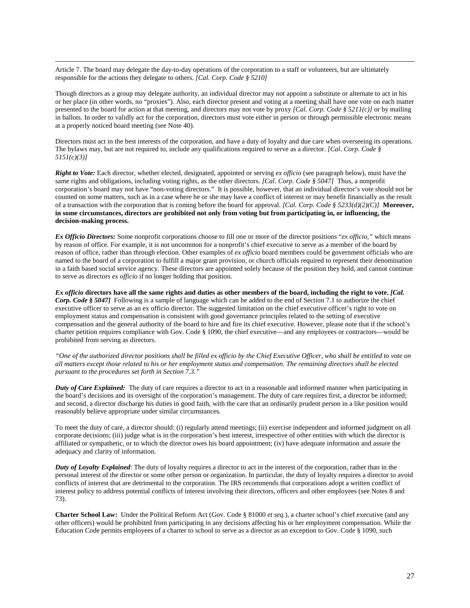Article 7. The board may delegate the day-to-day operations of the corporation to a staff or volunteers, but are ultimately responsible for the actions they delegate to others. *[Cal. Corp. Code § 5210]*

Though directors as a group may delegate authority, an individual director may not appoint a substitute or alternate to act in his or her place (in other words, no "proxies"). Also, each director present and voting at a meeting shall have one vote on each matter presented to the board for action at that meeting, and directors may not vote by proxy *[Cal. Corp. Code § 5211(c)]* or by mailing in ballots. In order to validly act for the corporation, directors must vote either in person or through permissible electronic means at a properly noticed board meeting (see Note 40).

Directors must act in the best interests of the corporation, and have a duty of loyalty and due care when overseeing its operations. The bylaws may, but are not required to, include any qualifications required to serve as a director. *[Cal. Corp. Code § 5151(c)(3)]*

*Right to Vote:* Each director, whether elected, designated, appointed or serving *ex officio* (see paragraph below), must have the same rights and obligations, including voting rights, as the other directors. *[Cal. Corp. Code § 5047]* Thus, a nonprofit corporation's board may not have "non-voting directors." It is possible, however, that an individual director's vote should not be counted on some matters, such as in a case where he or she may have a conflict of interest or may benefit financially as the result of a transaction with the corporation that is coming before the board for approval. *[Cal. Corp. Code § 5233(d)(2)(C)]* **Moreover, in some circumstances, directors are prohibited not only from voting but from participating in, or influencing, the decision-making process.**

*Ex Officio Directors:* Some nonprofit corporations choose to fill one or more of the director positions "*ex officio,"* which means by reason of office. For example, it is not uncommon for a nonprofit's chief executive to serve as a member of the board by reason of office, rather than through election. Other examples of *ex officio* board members could be government officials who are named to the board of a corporation to fulfill a major grant provision, or church officials required to represent their denomination in a faith based social service agency. These directors are appointed solely because of the position they hold, and cannot continue to serve as directors *ex officio* if no longer holding that position.

*Ex officio* **directors have all the same rights and duties as other members of the board, including the right to vote.** *[Cal. Corp. Code § 5047]* Following is a sample of language which can be added to the end of Section 7.1 to authorize the chief executive officer to serve as an ex officio director. The suggested limitation on the chief executive officer's right to vote on employment status and compensation is consistent with good governance principles related to the setting of executive compensation and the general authority of the board to hire and fire its chief executive. However, please note that if the school's charter petition requires compliance with Gov. Code § 1090, the chief executive—and any employees or contractors—would be prohibited from serving as directors.

*"One of the authorized director positions shall be filled ex officio by the Chief Executive Officer, who shall be entitled to vote on all matters except those related to his or her employment status and compensation. The remaining directors shall be elected pursuant to the procedures set forth in Section 7.3."*

*Duty of Care Explained:* The duty of care requires a director to act in a reasonable and informed manner when participating in the board's decisions and its oversight of the corporation's management. The duty of care requires first, a director be informed; and second, a director discharge his duties in good faith, with the care that an ordinarily prudent person in a like position would reasonably believe appropriate under similar circumstances.

To meet the duty of care, a director should: (i) regularly attend meetings; (ii) exercise independent and informed judgment on all corporate decisions; (iii) judge what is in the corporation's best interest, irrespective of other entities with which the director is affiliated or sympathetic, or to which the director owes his board appointment; (iv) have adequate information and assure the adequacy and clarity of information.

*Duty of Loyalty Explained*: The duty of loyalty requires a director to act in the interest of the corporation, rather than in the personal interest of the director or some other person or organization. In particular, the duty of loyalty requires a director to avoid conflicts of interest that are detrimental to the corporation. The IRS recommends that corporations adopt a written conflict of interest policy to address potential conflicts of interest involving their directors, officers and other employees (see Notes 8 and 73).

**Charter School Law:** Under the Political Reform Act (Gov. Code § 81000 *et seq.*), a charter school's chief executive (and any other officers) would be prohibited from participating in any decisions affecting his or her employment compensation. While the Education Code permits employees of a charter to school to serve as a director as an exception to Gov. Code § 1090, such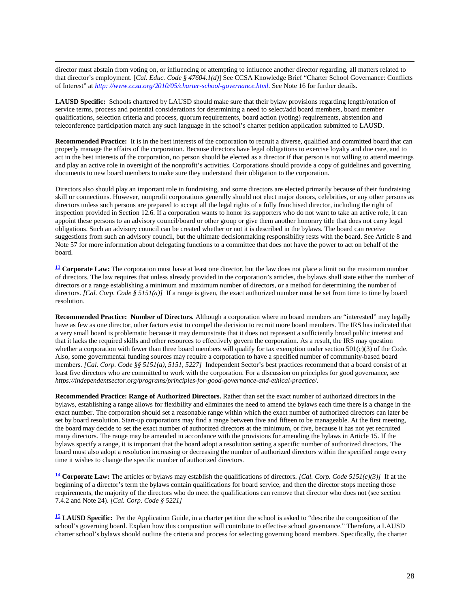director must abstain from voting on, or influencing or attempting to influence another director regarding, all matters related to that director's employment. [*Cal. Educ. Code § 47604.1(d)*] See CCSA Knowledge Brief "Charter School Governance: Conflicts of Interest" at *[http: //www.ccsa.org/2010/05/charter-school-governance.html](http://www.ccsa.org/2010/05/charter-school-governance.html)*. See Not[e 16](#page-8-10) for further details.

**LAUSD Specific:** Schools chartered by LAUSD should make sure that their bylaw provisions regarding length/rotation of service terms, process and potential considerations for determining a need to select/add board members, board member qualifications, selection criteria and process, quorum requirements, board action (voting) requirements, abstention and teleconference participation match any such language in the school's charter petition application submitted to LAUSD.

**Recommended Practice:** It is in the best interests of the corporation to recruit a diverse, qualified and committed board that can properly manage the affairs of the corporation. Because directors have legal obligations to exercise loyalty and due care, and to act in the best interests of the corporation, no person should be elected as a director if that person is not willing to attend meetings and play an active role in oversight of the nonprofit's activities. Corporations should provide a copy of guidelines and governing documents to new board members to make sure they understand their obligation to the corporation.

Directors also should play an important role in fundraising, and some directors are elected primarily because of their fundraising skill or connections. However, nonprofit corporations generally should not elect major donors, celebrities, or any other persons as directors unless such persons are prepared to accept all the legal rights of a fully franchised director, including the right of inspection provided i[n Section 12.6.](#page-25-0) If a corporation wants to honor its supporters who do not want to take an active role, it can appoint these persons to an advisory council/board or other group or give them another honorary title that does not carry legal obligations. Such an advisory council can be created whether or not it is described in the bylaws. The board can receive suggestions from such an advisory council, but the ultimate decisionmaking responsibility rests with the board. See Article 8 and Note 57 for more information about delegating functions to a committee that does not have the power to act on behalf of the board.

<span id="page-34-0"></span><sup>[13](#page-8-6)</sup> Corporate Law: The corporation must have at least one director, but the law does not place a limit on the maximum number of directors. The law requires that unless already provided in the corporation's articles, the bylaws shall state either the number of directors or a range establishing a minimum and maximum number of directors, or a method for determining the number of directors. *[Cal. Corp. Code § 5151(a)]* If a range is given, the exact authorized number must be set from time to time by board resolution.

**Recommended Practice: Number of Directors.** Although a corporation where no board members are "interested" may legally have as few as one director, other factors exist to compel the decision to recruit more board members. The IRS has indicated that a very small board is problematic because it may demonstrate that it does not represent a sufficiently broad public interest and that it lacks the required skills and other resources to effectively govern the corporation. As a result, the IRS may question whether a corporation with fewer than three board members will qualify for tax exemption under section  $501(c)(3)$  of the Code. Also, some governmental funding sources may require a corporation to have a specified number of community-based board members. *[Cal. Corp. Code §§ 5151(a), 5151, 5227]* Independent Sector's best practices recommend that a board consist of at least five directors who are committed to work with the corporation. For a discussion on principles for good governance, see *https://independentsector.org/programs/principles-for-good-governance-and-ethical-practice/.* 

**Recommended Practice: Range of Authorized Directors.** Rather than set the exact number of authorized directors in the bylaws, establishing a range allows for flexibility and eliminates the need to amend the bylaws each time there is a change in the exact number. The corporation should set a reasonable range within which the exact number of authorized directors can later be set by board resolution. Start-up corporations may find a range between five and fifteen to be manageable. At the first meeting, the board may decide to set the exact number of authorized directors at the minimum, or five, because it has not yet recruited many directors. The range may be amended in accordance with the provisions for amending the bylaws in Article 15. If the bylaws specify a range, it is important that the board adopt a resolution setting a specific number of authorized directors. The board must also adopt a resolution increasing or decreasing the number of authorized directors within the specified range every time it wishes to change the specific number of authorized directors.

<span id="page-34-1"></span>[14](#page-8-8) **Corporate Law:** The articles or bylaws may establish the qualifications of directors. *[Cal. Corp. Code 5151(c)(3)]* If at the beginning of a director's term the bylaws contain qualifications for board service, and then the director stops meeting those requirements, the majority of the directors who do meet the qualifications can remove that director who does not (see section 7.4.2 and Note 24). *[Cal. Corp. Code § 5221]* 

<span id="page-34-2"></span><sup>[15](#page-8-11)</sup> **LAUSD Specific:** Per the Application Guide, in a charter petition the school is asked to "describe the composition of the school's governing board. Explain how this composition will contribute to effective school governance." Therefore, a LAUSD charter school's bylaws should outline the criteria and process for selecting governing board members. Specifically, the charter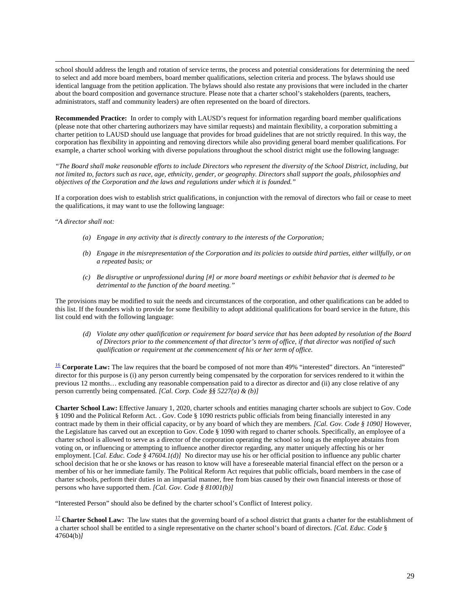school should address the length and rotation of service terms, the process and potential considerations for determining the need to select and add more board members, board member qualifications, selection criteria and process. The bylaws should use identical language from the petition application. The bylaws should also restate any provisions that were included in the charter about the board composition and governance structure. Please note that a charter school's stakeholders (parents, teachers, administrators, staff and community leaders) are often represented on the board of directors.

**Recommended Practice:** In order to comply with LAUSD's request for information regarding board member qualifications (please note that other chartering authorizers may have similar requests) and maintain flexibility, a corporation submitting a charter petition to LAUSD should use language that provides for broad guidelines that are not strictly required. In this way, the corporation has flexibility in appointing and removing directors while also providing general board member qualifications. For example, a charter school working with diverse populations throughout the school district might use the following language:

*"The Board shall make reasonable efforts to include Directors who represent the diversity of the School District, including, but not limited to, factors such as race, age, ethnicity, gender, or geography. Directors shall support the goals, philosophies and objectives of the Corporation and the laws and regulations under which it is founded."*

If a corporation does wish to establish strict qualifications, in conjunction with the removal of directors who fail or cease to meet the qualifications, it may want to use the following language:

"*A director shall not:* 

- *(a) Engage in any activity that is directly contrary to the interests of the Corporation;*
- *(b) Engage in the misrepresentation of the Corporation and its policies to outside third parties, either willfully, or on a repeated basis; or*
- *(c) Be disruptive or unprofessional during [#] or more board meetings or exhibit behavior that is deemed to be detrimental to the function of the board meeting."*

The provisions may be modified to suit the needs and circumstances of the corporation, and other qualifications can be added to this list. If the founders wish to provide for some flexibility to adopt additional qualifications for board service in the future, this list could end with the following language:

*(d) Violate any other qualification or requirement for board service that has been adopted by resolution of the Board of Directors prior to the commencement of that director's term of office, if that director was notified of such qualification or requirement at the commencement of his or her term of office.*

<span id="page-35-0"></span><sup>[16](#page-8-9)</sup> **Corporate Law:** The law requires that the board be composed of not more than 49% "interested" directors. An "interested" director for this purpose is (i) any person currently being compensated by the corporation for services rendered to it within the previous 12 months… excluding any reasonable compensation paid to a director as director and (ii) any close relative of any person currently being compensated. *[Cal. Corp. Code §§ 5227(a) & (b)]*

**Charter School Law:** Effective January 1, 2020, charter schools and entities managing charter schools are subject to Gov. Code § 1090 and the Political Reform Act. . Gov. Code § 1090 restricts public officials from being financially interested in any contract made by them in their official capacity, or by any board of which they are members. *[Cal. Gov. Code § 1090]* However, the Legislature has carved out an exception to Gov. Code § 1090 with regard to charter schools. Specifically, an employee of a charter school is allowed to serve as a director of the corporation operating the school so long as the employee abstains from voting on, or influencing or attempting to influence another director regarding, any matter uniquely affecting his or her employment. [*Cal. Educ. Code § 47604.1(d)*] No director may use his or her official position to influence any public charter school decision that he or she knows or has reason to know will have a foreseeable material financial effect on the person or a member of his or her immediate family. The Political Reform Act requires that public officials, board members in the case of charter schools, perform their duties in an impartial manner, free from bias caused by their own financial interests or those of persons who have supported them. *[Cal. Gov. Code § 81001(b)]*

"Interested Person" should also be defined by the charter school's Conflict of Interest policy.

<span id="page-35-1"></span><sup>[17](#page-9-0)</sup> **Charter School Law:** The law states that the governing board of a school district that grants a charter for the establishment of a charter school shall be entitled to a single representative on the charter school's board of directors. *[Cal. Educ. Code* § 47604(b)*]*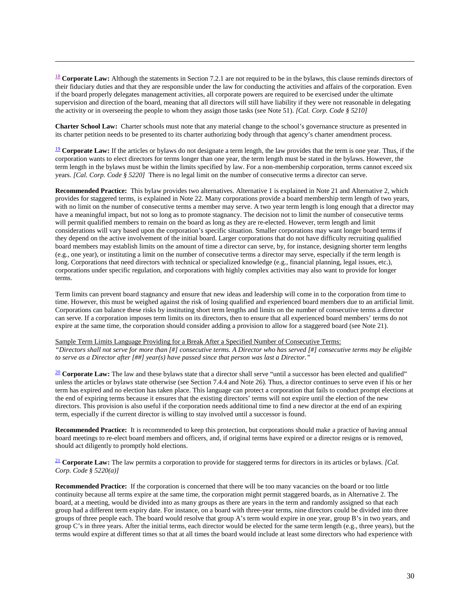<span id="page-36-0"></span><sup>[18](#page-9-2)</sup> **Corporate Law:** Although the statements in Section 7.2.1 are not required to be in the bylaws, this clause reminds directors of their fiduciary duties and that they are responsible under the law for conducting the activities and affairs of the corporation. Even if the board properly delegates management activities, all corporate powers are required to be exercised under the ultimate supervision and direction of the board, meaning that all directors will still have liability if they were not reasonable in delegating the activity or in overseeing the people to whom they assign those tasks (see Note 51). *[Cal. Corp. Code § 5210]*

 $\overline{a}$ 

**Charter School Law:** Charter schools must note that any material change to the school's governance structure as presented in its charter petition needs to be presented to its charter authorizing body through that agency's charter amendment process.

<span id="page-36-1"></span><sup>[19](#page-9-4)</sup> **Corporate Law:** If the articles or bylaws do not designate a term length, the law provides that the term is one year. Thus, if the corporation wants to elect directors for terms longer than one year, the term length must be stated in the bylaws. However, the term length in the bylaws must be within the limits specified by law. For a non-membership corporation, terms cannot exceed six years. *[Cal. Corp. Code § 5220]* There is no legal limit on the number of consecutive terms a director can serve.

**Recommended Practice:** This bylaw provides two alternatives. Alternative 1 is explained in Note 21 and Alternative 2, which provides for staggered terms, is explained in Note 22. Many corporations provide a board membership term length of two years, with no limit on the number of consecutive terms a member may serve. A two year term length is long enough that a director may have a meaningful impact, but not so long as to promote stagnancy. The decision not to limit the number of consecutive terms will permit qualified members to remain on the board as long as they are re-elected. However, term length and limit considerations will vary based upon the corporation's specific situation. Smaller corporations may want longer board terms if they depend on the active involvement of the initial board. Larger corporations that do not have difficulty recruiting qualified board members may establish limits on the amount of time a director can serve, by, for instance, designing shorter term lengths (e.g., one year), or instituting a limit on the number of consecutive terms a director may serve, especially if the term length is long. Corporations that need directors with technical or specialized knowledge (e.g., financial planning, legal issues, etc.), corporations under specific regulation, and corporations with highly complex activities may also want to provide for longer terms.

Term limits can prevent board stagnancy and ensure that new ideas and leadership will come in to the corporation from time to time. However, this must be weighed against the risk of losing qualified and experienced board members due to an artificial limit. Corporations can balance these risks by instituting short term lengths and limits on the number of consecutive terms a director can serve. If a corporation imposes term limits on its directors, then to ensure that all experienced board members' terms do not expire at the same time, the corporation should consider adding a provision to allow for a staggered board (see Note 21).

# Sample Term Limits Language Providing for a Break After a Specified Number of Consecutive Terms:

*"Directors shall not serve for more than [#] consecutive terms. A Director who has served [#] consecutive terms may be eligible to serve as a Director after [##] year(s) have passed since that person was last a Director."*

<span id="page-36-2"></span><sup>[20](#page-9-5)</sup> **Corporate Law:** The law and these bylaws state that a director shall serve "until a successor has been elected and qualified" unless the articles or bylaws state otherwise (see Section 7.4.4 and Note 26). Thus, a director continues to serve even if his or her term has expired and no election has taken place. This language can protect a corporation that fails to conduct prompt elections at the end of expiring terms because it ensures that the existing directors' terms will not expire until the election of the new directors. This provision is also useful if the corporation needs additional time to find a new director at the end of an expiring term, especially if the current director is willing to stay involved until a successor is found.

**Recommended Practice:** It is recommended to keep this protection, but corporations should make a practice of having annual board meetings to re-elect board members and officers, and, if original terms have expired or a director resigns or is removed, should act diligently to promptly hold elections.

<span id="page-36-3"></span>[21](#page-10-5) **Corporate Law:** The law permits a corporation to provide for staggered terms for directors in its articles or bylaws. *[Cal. Corp. Code § 5220(a)]*

**Recommended Practice:** If the corporation is concerned that there will be too many vacancies on the board or too little continuity because all terms expire at the same time, the corporation might permit staggered boards, as in Alternative 2. The board, at a meeting, would be divided into as many groups as there are years in the term and randomly assigned so that each group had a different term expiry date. For instance, on a board with three-year terms, nine directors could be divided into three groups of three people each. The board would resolve that group A's term would expire in one year, group B's in two years, and group C's in three years. After the initial terms, each director would be elected for the same term length (e.g., three years), but the terms would expire at different times so that at all times the board would include at least some directors who had experience with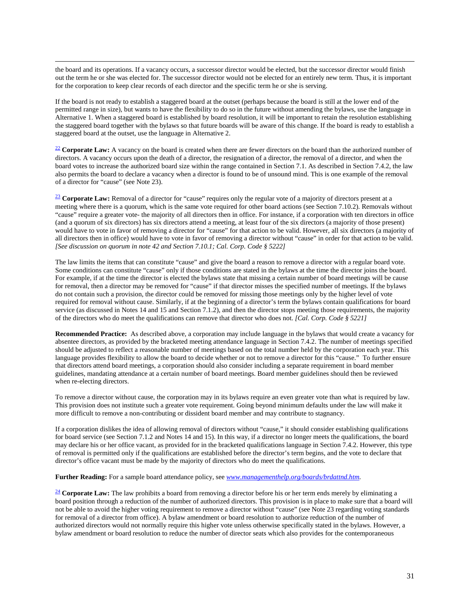the board and its operations. If a vacancy occurs, a successor director would be elected, but the successor director would finish out the term he or she was elected for. The successor director would not be elected for an entirely new term. Thus, it is important for the corporation to keep clear records of each director and the specific term he or she is serving.

If the board is not ready to establish a staggered board at the outset (perhaps because the board is still at the lower end of the permitted range in size), but wants to have the flexibility to do so in the future without amending the bylaws, use the language in Alternative 1. When a staggered board is established by board resolution, it will be important to retain the resolution establishing the staggered board together with the bylaws so that future boards will be aware of this change. If the board is ready to establish a staggered board at the outset, use the language in Alternative 2.

<span id="page-37-0"></span><sup>[22](#page-10-1)</sup> **Corporate Law:** A vacancy on the board is created when there are fewer directors on the board than the authorized number of directors. A vacancy occurs upon the death of a director, the resignation of a director, the removal of a director, and when the board votes to increase the authorized board size within the range contained in Section 7.1. As described in Section 7.4.2, the law also permits the board to declare a vacancy when a director is found to be of unsound mind. This is one example of the removal of a director for "cause" (see Note 23).

<span id="page-37-1"></span><sup>[23](#page-10-2)</sup> **Corporate Law:** Removal of a director for "cause" requires only the regular vote of a majority of directors present at a meeting where there is a quorum, which is the same vote required for other board actions (see Section 7.10.2). Removals without "cause" require a greater vote- the majority of all directors then in office. For instance, if a corporation with ten directors in office (and a quorum of six directors) has six directors attend a meeting, at least four of the six directors (a majority of those present) would have to vote in favor of removing a director for "cause" for that action to be valid. However, all six directors (a majority of all directors then in office) would have to vote in favor of removing a director without "cause" in order for that action to be valid. *[See discussion on quorum in note 42 and Section 7.10.1; Cal. Corp. Code § 5222]*

The law limits the items that can constitute "cause" and give the board a reason to remove a director with a regular board vote. Some conditions can constitute "cause" only if those conditions are stated in the bylaws at the time the director joins the board. For example, if at the time the director is elected the bylaws state that missing a certain number of board meetings will be cause for removal, then a director may be removed for "cause" if that director misses the specified number of meetings. If the bylaws do not contain such a provision, the director could be removed for missing those meetings only by the higher level of vote required for removal without cause. Similarly, if at the beginning of a director's term the bylaws contain qualifications for board service (as discussed in Notes 14 and 15 and Section 7.1.2), and then the director stops meeting those requirements, the majority of the directors who do meet the qualifications can remove that director who does not. *[Cal. Corp. Code § 5221]*

**Recommended Practice:** As described above, a corporation may include language in the bylaws that would create a vacancy for absentee directors, as provided by the bracketed meeting attendance language in Section 7.4.2. The number of meetings specified should be adjusted to reflect a reasonable number of meetings based on the total number held by the corporation each year. This language provides flexibility to allow the board to decide whether or not to remove a director for this "cause." To further ensure that directors attend board meetings, a corporation should also consider including a separate requirement in board member guidelines, mandating attendance at a certain number of board meetings. Board member guidelines should then be reviewed when re-electing directors.

To remove a director without cause, the corporation may in its bylaws require an even greater vote than what is required by law. This provision does not institute such a greater vote requirement. Going beyond minimum defaults under the law will make it more difficult to remove a non-contributing or dissident board member and may contribute to stagnancy.

If a corporation dislikes the idea of allowing removal of directors without "cause," it should consider establishing qualifications for board service (see Section 7.1.2 and Notes 14 and 15). In this way, if a director no longer meets the qualifications, the board may declare his or her office vacant, as provided for in the bracketed qualifications language in Section 7.4.2. However, this type of removal is permitted only if the qualifications are established before the director's term begins, and the vote to declare that director's office vacant must be made by the majority of directors who do meet the qualifications.

**Further Reading:** For a sample board attendance policy, see *[www.managementhelp.org/boards/brdattnd.htm.](http://www.managementhelp.org/boards/brdattnd.htm)*

<span id="page-37-2"></span><sup>[24](#page-10-3)</sup> **Corporate Law:** The law prohibits a board from removing a director before his or her term ends merely by eliminating a board position through a reduction of the number of authorized directors. This provision is in place to make sure that a board will not be able to avoid the higher voting requirement to remove a director without "cause" (see Note 23 regarding voting standards for removal of a director from office). A bylaw amendment or board resolution to authorize reduction of the number of authorized directors would not normally require this higher vote unless otherwise specifically stated in the bylaws. However, a bylaw amendment or board resolution to reduce the number of director seats which also provides for the contemporaneous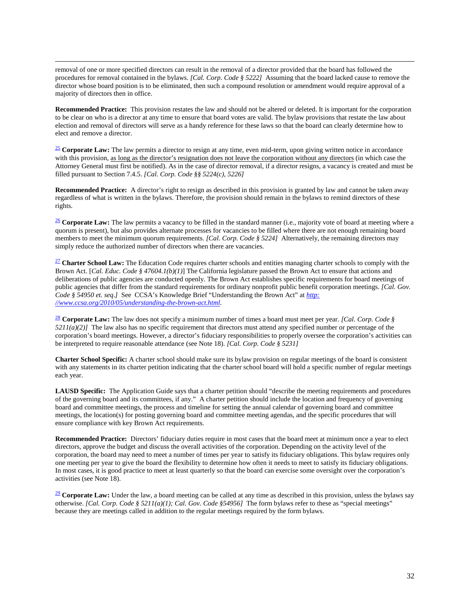removal of one or more specified directors can result in the removal of a director provided that the board has followed the procedures for removal contained in the bylaws. *[Cal. Corp. Code § 5222]* Assuming that the board lacked cause to remove the director whose board position is to be eliminated, then such a compound resolution or amendment would require approval of a majority of directors then in office.

**Recommended Practice:** This provision restates the law and should not be altered or deleted. It is important for the corporation to be clear on who is a director at any time to ensure that board votes are valid. The bylaw provisions that restate the law about election and removal of directors will serve as a handy reference for these laws so that the board can clearly determine how to elect and remove a director.

<span id="page-38-0"></span><sup>[25](#page-10-4)</sup> **Corporate Law:** The law permits a director to resign at any time, even mid-term, upon giving written notice in accordance with this provision, as long as the director's resignation does not leave the corporation without any directors (in which case the Attorney General must first be notified). As in the case of director removal, if a director resigns, a vacancy is created and must be filled pursuant to Section 7.4.5. *[Cal. Corp. Code §§ 5224(c), 5226]*

**Recommended Practice:** A director's right to resign as described in this provision is granted by law and cannot be taken away regardless of what is written in the bylaws. Therefore, the provision should remain in the bylaws to remind directors of these rights.

<span id="page-38-1"></span><sup>[26](#page-11-0)</sup> **Corporate Law:** The law permits a vacancy to be filled in the standard manner (i.e., majority vote of board at meeting where a quorum is present), but also provides alternate processes for vacancies to be filled where there are not enough remaining board members to meet the minimum quorum requirements. *[Cal. Corp. Code § 5224]* Alternatively, the remaining directors may simply reduce the authorized number of directors when there are vacancies.

<span id="page-38-2"></span><sup>[27](#page-11-1)</sup> **Charter School Law:** The Education Code requires charter schools and entities managing charter schools to comply with the Brown Act. [*Cal. Educ. Code § 47604.1(b)(1)*] The California legislature passed the Brown Act to ensure that actions and deliberations of public agencies are conducted openly. The Brown Act establishes specific requirements for board meetings of public agencies that differ from the standard requirements for ordinary nonprofit public benefit corporation meetings. *[Cal. Gov. Code § 54950 et. seq*.*]* See CCSA's Knowledge Brief "Understanding the Brown Act" at *[http:](http://www.ccsa.org/2010/05/understanding-the-brown-act.html)  [//www.ccsa.org/2010/05/understanding-the-brown-act.html.](http://www.ccsa.org/2010/05/understanding-the-brown-act.html)* 

<span id="page-38-3"></span>[28](#page-11-2) **Corporate Law:** The law does not specify a minimum number of times a board must meet per year. *[Cal. Corp. Code § 5211(a)(2)]* The law also has no specific requirement that directors must attend any specified number or percentage of the corporation's board meetings. However, a director's fiduciary responsibilities to properly oversee the corporation's activities can be interpreted to require reasonable attendance (see Note 18). *[Cal. Corp. Code § 5231]*

**Charter School Specific:** A charter school should make sure its bylaw provision on regular meetings of the board is consistent with any statements in its charter petition indicating that the charter school board will hold a specific number of regular meetings each year.

**LAUSD Specific:** The Application Guide says that a charter petition should "describe the meeting requirements and procedures of the governing board and its committees, if any." A charter petition should include the location and frequency of governing board and committee meetings, the process and timeline for setting the annual calendar of governing board and committee meetings, the location(s) for posting governing board and committee meeting agendas, and the specific procedures that will ensure compliance with key Brown Act requirements.

**Recommended Practice:** Directors' fiduciary duties require in most cases that the board meet at minimum once a year to elect directors, approve the budget and discuss the overall activities of the corporation. Depending on the activity level of the corporation, the board may need to meet a number of times per year to satisfy its fiduciary obligations. This bylaw requires only one meeting per year to give the board the flexibility to determine how often it needs to meet to satisfy its fiduciary obligations. In most cases, it is good practice to meet at least quarterly so that the board can exercise some oversight over the corporation's activities (see Note 18).

<span id="page-38-4"></span><sup>[29](#page-11-3)</sup> **Corporate Law:** Under the law, a board meeting can be called at any time as described in this provision, unless the bylaws say otherwise. *[Cal. Corp. Code § 5211(a)(1); Cal. Gov. Code §54956]* The form bylaws refer to these as "special meetings" because they are meetings called in addition to the regular meetings required by the form bylaws.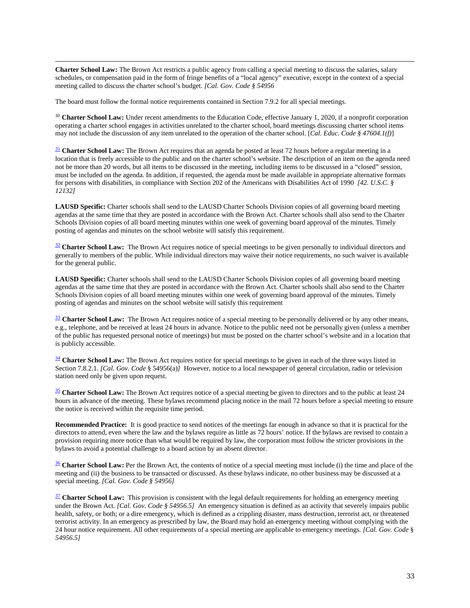$\overline{a}$ **Charter School Law:** The Brown Act restricts a public agency from calling a special meeting to discuss the salaries, salary schedules, or compensation paid in the form of fringe benefits of a "local agency" executive, except in the context of a special meeting called to discuss the charter school's budget. *[Cal. Gov. Code § 54956*

The board must follow the formal notice requirements contained in Section [7.9.2](#page-12-0) for all special meetings.

<span id="page-39-0"></span><sup>30</sup> **Charter School Law:** Under recent amendments to the Education Code, effective January 1, 2020, if a nonprofit corporation operating a charter school engages in activities unrelated to the charter school, board meetings discussing charter school items may not include the discussion of any item unrelated to the operation of the charter school. [*Cal. Educ. Code § 47604.1(f)*]

<sup>[31](#page-11-6)</sup> **Charter School Law:** The Brown Act requires that an agenda be posted at least 72 hours before a regular meeting in a location that is freely accessible to the public and on the charter school's website. The description of an item on the agenda need not be more than 20 words, but all items to be discussed in the meeting, including items to be discussed in a "closed" session, must be included on the agenda. In addition, if requested, the agenda must be made available in appropriate alternative formats for persons with disabilities, in compliance with Section 202 of the Americans with Disabilities Act of 1990 *[42. U.S.C. § 12132]*

**LAUSD Specific:** Charter schools shall send to the LAUSD Charter Schools Division copies of all governing board meeting agendas at the same time that they are posted in accordance with the Brown Act. Charter schools shall also send to the Charter Schools Division copies of all board meeting minutes within one week of governing board approval of the minutes. Timely posting of agendas and minutes on the school website will satisfy this requirement.

<span id="page-39-1"></span><sup>[32](#page-12-0)</sup> Charter School Law: The Brown Act requires notice of special meetings to be given personally to individual directors and generally to members of the public. While individual directors may waive their notice requirements, no such waiver is available for the general public.

**LAUSD Specific:** Charter schools shall send to the LAUSD Charter Schools Division copies of all governing board meeting agendas at the same time that they are posted in accordance with the Brown Act. Charter schools shall also send to the Charter Schools Division copies of all board meeting minutes within one week of governing board approval of the minutes. Timely posting of agendas and minutes on the school website will satisfy this requirement

<sup>[33](#page-12-1)</sup> **Charter School Law:** The Brown Act requires notice of a special meeting to be personally delivered or by any other means, e.g., telephone, and be received at least 24 hours in advance. Notice to the public need not be personally given (unless a member of the public has requested personal notice of meetings) but must be posted on the charter school's website and in a location that is publicly accessible.

<span id="page-39-2"></span><sup>[34](#page-12-2)</sup> **Charter School Law:** The Brown Act requires notice for special meetings to be given in each of the three ways listed in Section 7.8.2.1. *[Cal. Gov. Code* § 54956(a)*]* However, notice to a local newspaper of general circulation, radio or television station need only be given upon request.

<span id="page-39-3"></span><sup>[35](#page-12-3)</sup> **Charter School Law:** The Brown Act requires notice of a special meeting be given to directors and to the public at least 24 hours in advance of the meeting. These bylaws recommend placing notice in the mail 72 hours before a special meeting to ensure the notice is received within the requisite time period.

**Recommended Practice:** It is good practice to send notices of the meetings far enough in advance so that it is practical for the directors to attend, even where the law and the bylaws require as little as 72 hours' notice. If the bylaws are revised to contain a provision requiring more notice than what would be required by law, the corporation must follow the stricter provisions in the bylaws to avoid a potential challenge to a board action by an absent director.

<span id="page-39-4"></span><sup>[36](#page-12-4)</sup> **Charter School Law:** Per the Brown Act, the contents of notice of a special meeting must include (i) the time and place of the meeting and (ii) the business to be transacted or discussed. As these bylaws indicate, no other business may be discussed at a special meeting. *[Cal. Gov. Code § 54956]*

<span id="page-39-5"></span><sup>[37](#page-13-0)</sup> **Charter School Law:** This provision is consistent with the legal default requirements for holding an emergency meeting under the Brown Act. *[Cal. Gov. Code § 54956.5]* An emergency situation is defined as an activity that severely impairs public health, safety, or both; or a dire emergency, which is defined as a crippling disaster, mass destruction, terrorist act, or threatened terrorist activity. In an emergency as prescribed by law, the Board may hold an emergency meeting without complying with the 24 hour notice requirement. All other requirements of a special meeting are applicable to emergency meetings. *[Cal. Gov. Code* § *54956.5]*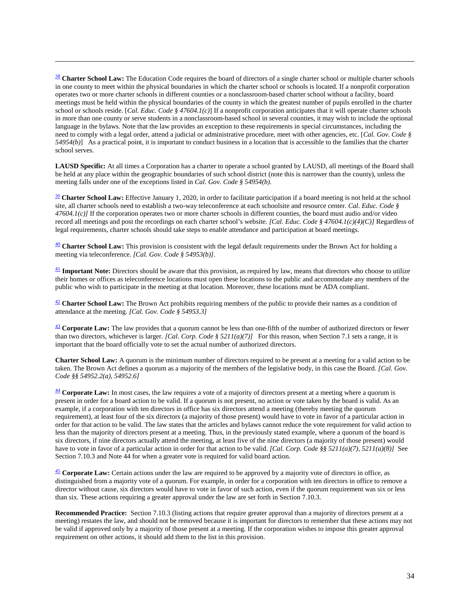<span id="page-40-0"></span><sup>[38](#page-13-1)</sup> **Charter School Law:** The Education Code requires the board of directors of a single charter school or multiple charter schools in one county to meet within the physical boundaries in which the charter school or schools is located. If a nonprofit corporation operates two or more charter schools in different counties or a nonclassroom-based charter school without a facility, board meetings must be held within the physical boundaries of the county in which the greatest number of pupils enrolled in the charter school or schools reside. [*Cal. Educ. Code § 47604.1(c)*] If a nonprofit corporation anticipates that it will operate charter schools in more than one county or serve students in a nonclassroom-based school in several counties, it may wish to include the optional language in the bylaws. Note that the law provides an exception to these requirements in special circumstances, including the need to comply with a legal order, attend a judicial or administrative procedure, meet with other agencies, etc. [*Cal. Gov. Code § 54954(b)*] As a practical point, it is important to conduct business in a location that is accessible to the families that the charter school serves.

**LAUSD Specific:** At all times a Corporation has a charter to operate a school granted by LAUSD, all meetings of the Board shall be held at any place within the geographic boundaries of such school district (note this is narrower than the county), unless the meeting falls under one of the exceptions listed in *Cal. Gov. Code § 54954(b).* 

<span id="page-40-1"></span><sup>[39](#page-13-2)</sup> **Charter School Law:** Effective January 1, 2020, in order to facilitate participation if a board meeting is not held at the school site, all charter schools need to establish a two-way teleconference at each schoolsite and resource center. *Cal. Educ. Code § 47604.1(c)]* If the corporation operates two or more charter schools in different counties, the board must audio and/or video record all meetings and post the recordings on each charter school's website. *[Cal. Educ. Code § 47604.1(c)(4)(C)]* Regardless of legal requirements, charter schools should take steps to enable attendance and participation at board meetings.

[40](#page-13-2) **Charter School Law:** This provision is consistent with the legal default requirements under the Brown Act for holding a meeting via teleconference. *[Cal. Gov. Code § 54953(b)]*.

<span id="page-40-2"></span><sup>[41](#page-13-4)</sup> **Important Note:** Directors should be aware that this provision, as required by law, means that directors who choose to utilize their homes or offices as teleconference locations must open these locations to the public and accommodate any members of the public who wish to participate in the meeting at that location. Moreover, these locations must be ADA compliant.

<span id="page-40-3"></span>[42](#page-14-7) **Charter School Law:** The Brown Act prohibits requiring members of the public to provide their names as a condition of attendance at the meeting. *[Cal. Gov. Code § 54953.3]*

<span id="page-40-4"></span>[43](#page-14-1) **Corporate Law:** The law provides that a quorum cannot be less than one-fifth of the number of authorized directors or fewer than two directors, whichever is larger. *[Cal. Corp. Code § 5211(a)(7)]* For this reason, when [Section 7.1](#page-8-6) sets a range, it is important that the board officially vote to set the actual number of authorized directors.

**Charter School Law:** A quorum is the minimum number of directors required to be present at a meeting for a valid action to be taken. The Brown Act defines a quorum as a majority of the members of the legislative body, in this case the Board. *[Cal. Gov. Code §§ 54952.2(a), 54952.6]*

<span id="page-40-5"></span><sup>[44](#page-14-8)</sup> Corporate Law: In most cases, the law requires a vote of a majority of directors present at a meeting where a quorum is present in order for a board action to be valid. If a quorum is not present, no action or vote taken by the board is valid. As an example, if a corporation with ten directors in office has six directors attend a meeting (thereby meeting the quorum requirement), at least four of the six directors (a majority of those present) would have to vote in favor of a particular action in order for that action to be valid. The law states that the articles and bylaws cannot reduce the vote requirement for valid action to less than the majority of directors present at a meeting. Thus, in the previously stated example, where a quorum of the board is six directors, if nine directors actually attend the meeting, at least five of the nine directors (a majority of those present) would have to vote in favor of a particular action in order for that action to be valid. *[Cal. Corp. Code §§ 5211(a)(7), 5211(a)(8)]* See Section 7.10.3 and Note 44 for when a greater vote is required for valid board action.

<span id="page-40-6"></span>[45](#page-14-3) **Corporate Law:** Certain actions under the law are required to be approved by a majority vote of directors in office, as distinguished from a majority vote of a quorum. For example, in order for a corporation with ten directors in office to remove a director without cause, six directors would have to vote in favor of such action, even if the quorum requirement was six or less than six. These actions requiring a greater approval under the law are set forth in Section 7.10.3.

**Recommended Practice:** Section 7.10.3 (listing actions that require greater approval than a majority of directors present at a meeting) restates the law, and should not be removed because it is important for directors to remember that these actions may not be valid if approved only by a majority of those present at a meeting. If the corporation wishes to impose this greater approval requirement on other actions, it should add them to the list in this provision.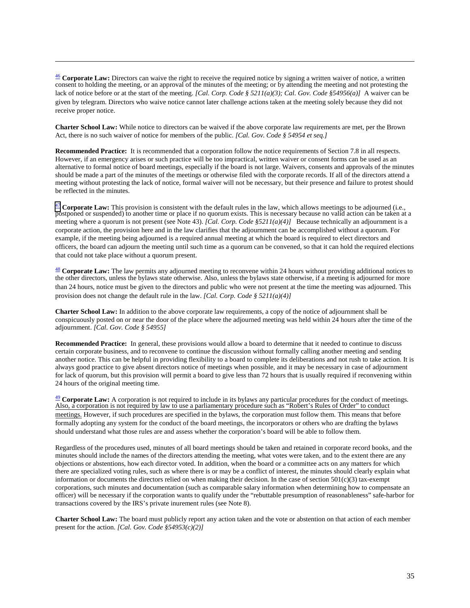<span id="page-41-0"></span><sup>[46](#page-14-4)</sup> Corporate Law: Directors can waive the right to receive the required notice by signing a written waiver of notice, a written consent to holding the meeting, or an approval of the minutes of the meeting; or by attending the meeting and not protesting the lack of notice before or at the start of the meeting. *[Cal. Corp. Code § 5211(a)(3); Cal. Gov. Code §54956(a)]* A waiver can be given by telegram. Directors who waive notice cannot later challenge actions taken at the meeting solely because they did not receive proper notice.

**Charter School Law:** While notice to directors can be waived if the above corporate law requirements are met, per the Brown Act, there is no such waiver of notice for members of the public. *[Cal. Gov. Code § 54954 et seq.]* 

**Recommended Practice:** It is recommended that a corporation follow the notice requirements of Section 7.8 in all respects. However, if an emergency arises or such practice will be too impractical, written waiver or consent forms can be used as an alternative to formal notice of board meetings, especially if the board is not large. Waivers, consents and approvals of the minutes should be made a part of the minutes of the meetings or otherwise filed with the corporate records. If all of the directors attend a meeting without protesting the lack of notice, formal waiver will not be necessary, but their presence and failure to protest should be reflected in the minutes.

<span id="page-41-1"></span> $\frac{47}{12}$  $\frac{47}{12}$  $\frac{47}{12}$  **Corporate Law:** This provision is consistent with the default rules in the law, which allows meetings to be adjourned (i.e., postponed or suspended) to another time or place if no quorum exists. This is neces meeting where a quorum is not present (see Note 43). *[Cal. Corp. Code §5211(a)(4)]* Because technically an adjournment is a corporate action, the provision here and in the law clarifies that the adjournment can be accomplished without a quorum. For example, if the meeting being adjourned is a required annual meeting at which the board is required to elect directors and officers, the board can adjourn the meeting until such time as a quorum can be convened, so that it can hold the required elections that could not take place without a quorum present.

<span id="page-41-2"></span>[48](#page-14-6) **Corporate Law:** The law permits any adjourned meeting to reconvene within 24 hours without providing additional notices to the other directors, unless the bylaws state otherwise. Also, unless the bylaws state otherwise, if a meeting is adjourned for more than 24 hours, notice must be given to the directors and public who were not present at the time the meeting was adjourned. This provision does not change the default rule in the law. *[Cal. Corp. Code § 5211(a)(4)]*

**Charter School Law:** In addition to the above corporate law requirements, a copy of the notice of adjournment shall be conspicuously posted on or near the door of the place where the adjourned meeting was held within 24 hours after the time of the adjournment. *[Cal. Gov. Code § 54955]*

**Recommended Practice:** In general, these provisions would allow a board to determine that it needed to continue to discuss certain corporate business, and to reconvene to continue the discussion without formally calling another meeting and sending another notice. This can be helpful in providing flexibility to a board to complete its deliberations and not rush to take action. It is always good practice to give absent directors notice of meetings when possible, and it may be necessary in case of adjournment for lack of quorum, but this provision will permit a board to give less than 72 hours that is usually required if reconvening within 24 hours of the original meeting time.

<span id="page-41-3"></span>[49](#page-15-0) **Corporate Law:** A corporation is not required to include in its bylaws any particular procedures for the conduct of meetings. Also, a corporation is not required by law to use a parliamentary procedure such as "Robert's Rules of Order" to conduct meetings. However, if such procedures are specified in the bylaws, the corporation must follow them. This means that before formally adopting any system for the conduct of the board meetings, the incorporators or others who are drafting the bylaws should understand what those rules are and assess whether the corporation's board will be able to follow them.

Regardless of the procedures used, minutes of all board meetings should be taken and retained in corporate record books, and the minutes should include the names of the directors attending the meeting, what votes were taken, and to the extent there are any objections or abstentions, how each director voted. In addition, when the board or a committee acts on any matters for which there are specialized voting rules, such as where there is or may be a conflict of interest, the minutes should clearly explain what information or documents the directors relied on when making their decision. In the case of section  $501(c)(3)$  tax-exempt corporations, such minutes and documentation (such as comparable salary information when determining how to compensate an officer) will be necessary if the corporation wants to qualify under the "rebuttable presumption of reasonableness" safe-harbor for transactions covered by the IRS's private inurement rules (see Note 8).

**Charter School Law:** The board must publicly report any action taken and the vote or abstention on that action of each member present for the action. *[Cal. Gov. Code §54953(c)(2)]*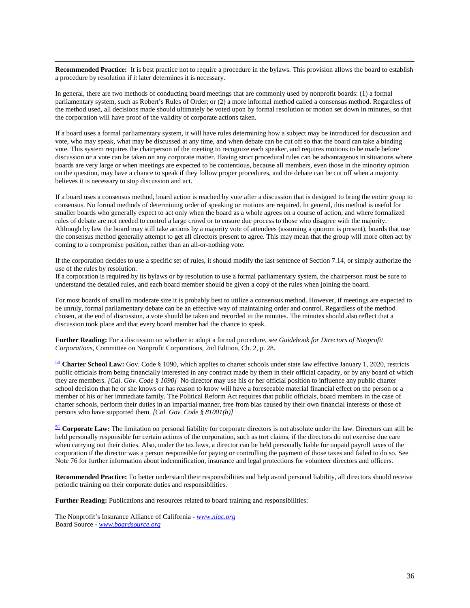**Recommended Practice:** It is best practice not to require a procedure in the bylaws. This provision allows the board to establish a procedure by resolution if it later determines it is necessary.

In general, there are two methods of conducting board meetings that are commonly used by nonprofit boards: (1) a formal parliamentary system, such as Robert's Rules of Order; or (2) a more informal method called a consensus method. Regardless of the method used, all decisions made should ultimately be voted upon by formal resolution or motion set down in minutes, so that the corporation will have proof of the validity of corporate actions taken.

If a board uses a formal parliamentary system, it will have rules determining how a subject may be introduced for discussion and vote, who may speak, what may be discussed at any time, and when debate can be cut off so that the board can take a binding vote. This system requires the chairperson of the meeting to recognize each speaker, and requires motions to be made before discussion or a vote can be taken on any corporate matter. Having strict procedural rules can be advantageous in situations where boards are very large or when meetings are expected to be contentious, because all members, even those in the minority opinion on the question, may have a chance to speak if they follow proper procedures, and the debate can be cut off when a majority believes it is necessary to stop discussion and act.

If a board uses a consensus method, board action is reached by vote after a discussion that is designed to bring the entire group to consensus. No formal methods of determining order of speaking or motions are required. In general, this method is useful for smaller boards who generally expect to act only when the board as a whole agrees on a course of action, and where formalized rules of debate are not needed to control a large crowd or to ensure due process to those who disagree with the majority. Although by law the board may still take actions by a majority vote of attendees (assuming a quorum is present), boards that use the consensus method generally attempt to get all directors present to agree. This may mean that the group will more often act by coming to a compromise position, rather than an all-or-nothing vote.

If the corporation decides to use a specific set of rules, it should modify the last sentence of Section 7.14, or simply authorize the use of the rules by resolution.

If a corporation is required by its bylaws or by resolution to use a formal parliamentary system, the chairperson must be sure to understand the detailed rules, and each board member should be given a copy of the rules when joining the board.

For most boards of small to moderate size it is probably best to utilize a consensus method. However, if meetings are expected to be unruly, formal parliamentary debate can be an effective way of maintaining order and control. Regardless of the method chosen, at the end of discussion, a vote should be taken and recorded in the minutes. The minutes should also reflect that a discussion took place and that every board member had the chance to speak.

**Further Reading:** For a discussion on whether to adopt a formal procedure, see *Guidebook for Directors of Nonprofit Corporations*, Committee on Nonprofit Corporations, 2nd Edition, Ch. 2, p. 28.

<span id="page-42-0"></span>[50](#page-15-1) **Charter School Law:** Gov. Code § 1090, which applies to charter schools under state law effective January 1, 2020, restricts public officials from being financially interested in any contract made by them in their official capacity, or by any board of which they are members. *[Cal. Gov. Code § 1090]* No director may use his or her official position to influence any public charter school decision that he or she knows or has reason to know will have a foreseeable material financial effect on the person or a member of his or her immediate family. The Political Reform Act requires that public officials, board members in the case of charter schools, perform their duties in an impartial manner, free from bias caused by their own financial interests or those of persons who have supported them. *[Cal. Gov. Code § 81001(b)]*

<span id="page-42-1"></span>[51](#page-15-2) **Corporate Law:** The limitation on personal liability for corporate directors is not absolute under the law. Directors can still be held personally responsible for certain actions of the corporation, such as tort claims, if the directors do not exercise due care when carrying out their duties. Also, under the tax laws, a director can be held personally liable for unpaid payroll taxes of the corporation if the director was a person responsible for paying or controlling the payment of those taxes and failed to do so. See Note 76 for further information about indemnification, insurance and legal protections for volunteer directors and officers.

**Recommended Practice:** To better understand their responsibilities and help avoid personal liability, all directors should receive periodic training on their corporate duties and responsibilities.

**Further Reading:** Publications and resources related to board training and responsibilities:

The Nonprofit's Insurance Alliance of California - *[www.niac.org](http://www.niac.org/)* Board Source - *[www.boardsource.org](http://www.boardsource.org/)*

 $\overline{a}$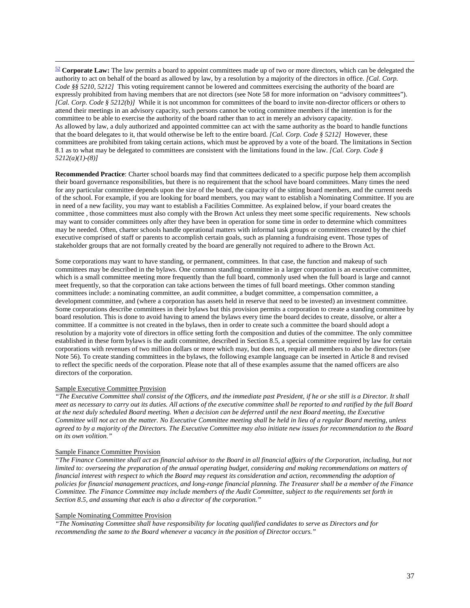<span id="page-43-0"></span> [52](#page-15-4) **Corporate Law:** The law permits a board to appoint committees made up of two or more directors, which can be delegated the authority to act on behalf of the board as allowed by law, by a resolution by a majority of the directors in office. *[Cal. Corp. Code §§ 5210, 5212]* This voting requirement cannot be lowered and committees exercising the authority of the board are expressly prohibited from having members that are not directors (see Note 58 for more information on "advisory committees"). *[Cal. Corp. Code § 5212(b)]* While it is not uncommon for committees of the board to invite non-director officers or others to attend their meetings in an advisory capacity, such persons cannot be voting committee members if the intention is for the committee to be able to exercise the authority of the board rather than to act in merely an advisory capacity. As allowed by law, a duly authorized and appointed committee can act with the same authority as the board to handle functions that the board delegates to it, that would otherwise be left to the entire board. *[Cal. Corp. Code § 5212]* However, these committees are prohibited from taking certain actions, which must be approved by a vote of the board. The limitations in Section 8.1 as to what may be delegated to committees are consistent with the limitations found in the law. *[Cal. Corp. Code § 5212(a)(1)-(8)]*

**Recommended Practice**: Charter school boards may find that committees dedicated to a specific purpose help them accomplish their board governance responsibilities, but there is no requirement that the school have board committees. Many times the need for any particular committee depends upon the size of the board, the capacity of the sitting board members, and the current needs of the school. For example, if you are looking for board members, you may want to establish a Nominating Committee. If you are in need of a new facility, you may want to establish a Facilities Committee. As explained below, if your board creates the committee , those committees must also comply with the Brown Act unless they meet some specific requirements. New schools may want to consider committees only after they have been in operation for some time in order to determine which committees may be needed. Often, charter schools handle operational matters with informal task groups or committees created by the chief executive comprised of staff or parents to accomplish certain goals, such as planning a fundraising event. Those types of stakeholder groups that are not formally created by the board are generally not required to adhere to the Brown Act.

Some corporations may want to have standing, or permanent, committees. In that case, the function and makeup of such committees may be described in the bylaws. One common standing committee in a larger corporation is an executive committee, which is a small committee meeting more frequently than the full board, commonly used when the full board is large and cannot meet frequently, so that the corporation can take actions between the times of full board meetings. Other common standing committees include: a nominating committee, an audit committee, a budget committee, a compensation committee, a development committee, and (where a corporation has assets held in reserve that need to be invested) an investment committee. Some corporations describe committees in their bylaws but this provision permits a corporation to create a standing committee by board resolution. This is done to avoid having to amend the bylaws every time the board decides to create, dissolve, or alter a committee. If a committee is not created in the bylaws, then in order to create such a committee the board should adopt a resolution by a majority vote of directors in office setting forth the composition and duties of the committee. The only committee established in these form bylaws is the audit committee, described in Section 8.5, a special committee required by law for certain corporations with revenues of two million dollars or more which may, but does not, require all members to also be directors (see Note 56). To create standing committees in the bylaws, the following example language can be inserted in Article 8 and revised to reflect the specific needs of the corporation. Please note that all of these examples assume that the named officers are also directors of the corporation.

#### Sample Executive Committee Provision

*"The Executive Committee shall consist of the Officers, and the immediate past President, if he or she still is a Director. It shall meet as necessary to carry out its duties. All actions of the executive committee shall be reported to and ratified by the full Board at the next duly scheduled Board meeting. When a decision can be deferred until the next Board meeting, the Executive Committee will not act on the matter. No Executive Committee meeting shall be held in lieu of a regular Board meeting, unless agreed to by a majority of the Directors. The Executive Committee may also initiate new issues for recommendation to the Board on its own volition."*

#### Sample Finance Committee Provision

*"The Finance Committee shall act as financial advisor to the Board in all financial affairs of the Corporation, including, but not limited to: overseeing the preparation of the annual operating budget, considering and making recommendations on matters of financial interest with respect to which the Board may request its consideration and action, recommending the adoption of policies for financial management practices, and long-range financial planning. The Treasurer shall be a member of the Finance Committee. The Finance Committee may include members of the Audit Committee, subject to the requirements set forth in Section 8.5, and assuming that each is also a director of the corporation."*

### Sample Nominating Committee Provision

*"The Nominating Committee shall have responsibility for locating qualified candidates to serve as Directors and for recommending the same to the Board whenever a vacancy in the position of Director occurs."*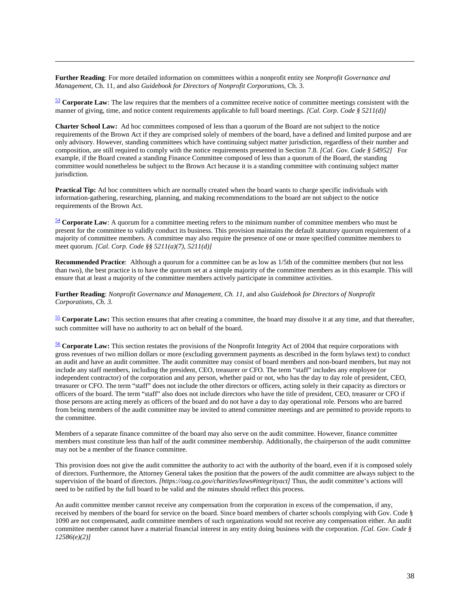**Further Reading**: For more detailed information on committees within a nonprofit entity see *Nonprofit Governance and Management*, Ch. 11, and also *Guidebook for Directors of Nonprofit Corporations*, Ch. 3.

 $\overline{a}$ 

<span id="page-44-0"></span><sup>[53](#page-16-0)</sup> Corporate Law: The law requires that the members of a committee receive notice of committee meetings consistent with the manner of giving, time, and notice content requirements applicable to full board meetings. *[Cal. Corp. Code § 5211(d)]*

**Charter School Law:** Ad hoc committees composed of less than a quorum of the Board are not subject to the notice requirements of the Brown Act if they are comprised solely of members of the board, have a defined and limited purpose and are only advisory. However, standing committees which have continuing subject matter jurisdiction, regardless of their number and composition, are still required to comply with the notice requirements presented in Section 7.8. *[Cal. Gov. Code § 54952]* For example, if the Board created a standing Finance Committee composed of less than a quorum of the Board, the standing committee would nonetheless be subject to the Brown Act because it is a standing committee with continuing subject matter jurisdiction.

**Practical Tip:** Ad hoc committees which are normally created when the board wants to charge specific individuals with information-gathering, researching, planning, and making recommendations to the board are not subject to the notice requirements of the Brown Act.

<span id="page-44-1"></span>[54](#page-16-1) **Corporate Law**: A quorum for a committee meeting refers to the minimum number of committee members who must be present for the committee to validly conduct its business. This provision maintains the default statutory quorum requirement of a majority of committee members. A committee may also require the presence of one or more specified committee members to meet quorum. *[Cal. Corp. Code §§ 5211(a)(7), 5211(d)]*

**Recommended Practice**: Although a quorum for a committee can be as low as 1/5th of the committee members (but not less than two), the best practice is to have the quorum set at a simple majority of the committee members as in this example. This will ensure that at least a majority of the committee members actively participate in committee activities.

**Further Reading**: *Nonprofit Governance and Management, Ch. 11,* and also *Guidebook for Directors of Nonprofit Corporations, Ch. 3.*

<span id="page-44-2"></span>[55](#page-16-4) **Corporate Law:** This section ensures that after creating a committee, the board may dissolve it at any time, and that thereafter, such committee will have no authority to act on behalf of the board.

<span id="page-44-3"></span>[56](#page-16-3) **Corporate Law:** This section restates the provisions of the Nonprofit Integrity Act of 2004 that require corporations with gross revenues of two million dollars or more (excluding government payments as described in the form bylaws text) to conduct an audit and have an audit committee. The audit committee may consist of board members and non-board members, but may not include any staff members, including the president, CEO, treasurer or CFO. The term "staff" includes any employee (or independent contractor) of the corporation and any person, whether paid or not, who has the day to day role of president, CEO, treasurer or CFO. The term "staff" does not include the other directors or officers, acting solely in their capacity as directors or officers of the board. The term "staff" also does not include directors who have the title of president, CEO, treasurer or CFO if those persons are acting merely as officers of the board and do not have a day to day operational role. Persons who are barred from being members of the audit committee may be invited to attend committee meetings and are permitted to provide reports to the committee.

Members of a separate finance committee of the board may also serve on the audit committee. However, finance committee members must constitute less than half of the audit committee membership. Additionally, the chairperson of the audit committee may not be a member of the finance committee.

This provision does not give the audit committee the authority to act with the authority of the board, even if it is composed solely of directors. Furthermore, the Attorney General takes the position that the powers of the audit committee are always subject to the supervision of the board of directors. *[https://oag.ca.gov/charities/laws#integrityact]* Thus, the audit committee's actions will need to be ratified by the full board to be valid and the minutes should reflect this process.

An audit committee member cannot receive any compensation from the corporation in excess of the compensation, if any, received by members of the board for service on the board. Since board members of charter schools complying with Gov. Code § 1090 are not compensated, audit committee members of such organizations would not receive any compensation either*.* An audit committee member cannot have a material financial interest in any entity doing business with the corporation*. [Cal. Gov. Code § 12586(e)(2)]*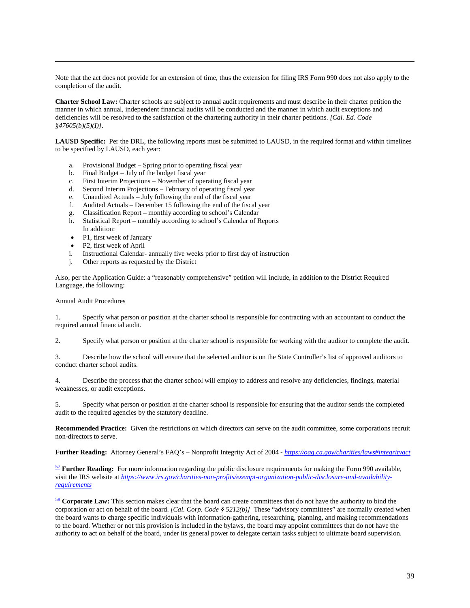Note that the act does not provide for an extension of time, thus the extension for filing IRS Form 990 does not also apply to the completion of the audit.

**Charter School Law:** Charter schools are subject to annual audit requirements and must describe in their charter petition the manner in which annual, independent financial audits will be conducted and the manner in which audit exceptions and deficiencies will be resolved to the satisfaction of the chartering authority in their charter petitions. *[Cal. Ed. Code §47605(b)(5)(I)].* 

LAUSD Specific: Per the DRL, the following reports must be submitted to LAUSD, in the required format and within timelines to be specified by LAUSD, each year:

- a. Provisional Budget Spring prior to operating fiscal year
- b. Final Budget July of the budget fiscal year
- c. First Interim Projections November of operating fiscal year
- d. Second Interim Projections February of operating fiscal year
- e. Unaudited Actuals July following the end of the fiscal year
- f. Audited Actuals December 15 following the end of the fiscal year
- g. Classification Report monthly according to school's Calendar
- h. Statistical Report monthly according to school's Calendar of Reports In addition:
- P1, first week of January
- P2, first week of April<br>i. Instructional Calendar-
- Instructional Calendar- annually five weeks prior to first day of instruction
- j. Other reports as requested by the District

Also, per the Application Guide: a "reasonably comprehensive" petition will include, in addition to the District Required Language, the following:

#### Annual Audit Procedures

 $\overline{a}$ 

1. Specify what person or position at the charter school is responsible for contracting with an accountant to conduct the required annual financial audit.

2. Specify what person or position at the charter school is responsible for working with the auditor to complete the audit.

3. Describe how the school will ensure that the selected auditor is on the State Controller's list of approved auditors to conduct charter school audits.

4. Describe the process that the charter school will employ to address and resolve any deficiencies, findings, material weaknesses, or audit exceptions.

5. Specify what person or position at the charter school is responsible for ensuring that the auditor sends the completed audit to the required agencies by the statutory deadline.

**Recommended Practice:** Given the restrictions on which directors can serve on the audit committee, some corporations recruit non-directors to serve.

**Further Reading:** Attorney General's FAQ's – Nonprofit Integrity Act of 2004 - *<https://oag.ca.gov/charities/laws#integrityact>*

<span id="page-45-0"></span>[57](#page-16-5) **Further Reading:** For more information regarding the public disclosure requirements for making the Form 990 available, visit the IRS website at *[https://www.irs.gov/charities-non-profits/exempt-organization-public-disclosure-and-availability](https://www.irs.gov/charities-non-profits/exempt-organization-public-disclosure-and-availability-requirements)[requirements](https://www.irs.gov/charities-non-profits/exempt-organization-public-disclosure-and-availability-requirements)*

<span id="page-45-1"></span>[58](#page-17-0) **Corporate Law:** This section makes clear that the board can create committees that do not have the authority to bind the corporation or act on behalf of the board. *[Cal. Corp. Code § 5212(b)]* These "advisory committees" are normally created when the board wants to charge specific individuals with information-gathering, researching, planning, and making recommendations to the board. Whether or not this provision is included in the bylaws, the board may appoint committees that do not have the authority to act on behalf of the board, under its general power to delegate certain tasks subject to ultimate board supervision.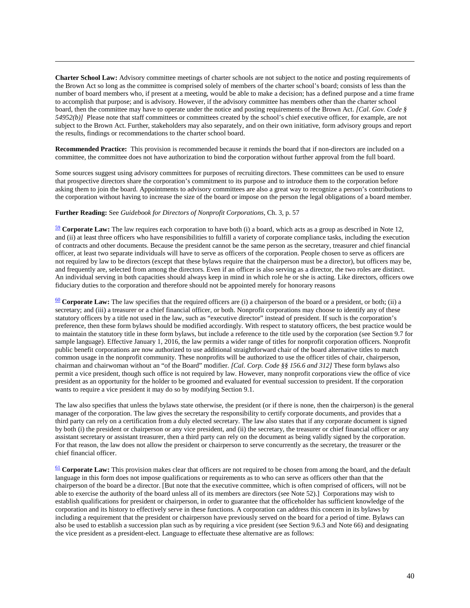**Charter School Law:** Advisory committee meetings of charter schools are not subject to the notice and posting requirements of the Brown Act so long as the committee is comprised solely of members of the charter school's board; consists of less than the number of board members who, if present at a meeting, would be able to make a decision; has a defined purpose and a time frame to accomplish that purpose; and is advisory. However, if the advisory committee has members other than the charter school board, then the committee may have to operate under the notice and posting requirements of the Brown Act. *[Cal. Gov. Code § 54952(b)]* Please note that staff committees or committees created by the school's chief executive officer, for example, are not subject to the Brown Act. Further, stakeholders may also separately, and on their own initiative, form advisory groups and report the results, findings or recommendations to the charter school board.

**Recommended Practice:** This provision is recommended because it reminds the board that if non-directors are included on a committee, the committee does not have authorization to bind the corporation without further approval from the full board.

Some sources suggest using advisory committees for purposes of recruiting directors. These committees can be used to ensure that prospective directors share the corporation's commitment to its purpose and to introduce them to the corporation before asking them to join the board. Appointments to advisory committees are also a great way to recognize a person's contributions to the corporation without having to increase the size of the board or impose on the person the legal obligations of a board member.

#### **Further Reading:** See *Guidebook for Directors of Nonprofit Corporations,* Ch. 3, p. 57

 $\overline{a}$ 

<span id="page-46-0"></span>[59](#page-17-1) **Corporate Law:** The law requires each corporation to have both (i) a board, which acts as a group as described in Note 12, and (ii) at least three officers who have responsibilities to fulfill a variety of corporate compliance tasks, including the execution of contracts and other documents. Because the president cannot be the same person as the secretary, treasurer and chief financial officer, at least two separate individuals will have to serve as officers of the corporation. People chosen to serve as officers are not required by law to be directors (except that these bylaws require that the chairperson must be a director), but officers may be, and frequently are, selected from among the directors. Even if an officer is also serving as a director, the two roles are distinct. An individual serving in both capacities should always keep in mind in which role he or she is acting. Like directors, officers owe fiduciary duties to the corporation and therefore should not be appointed merely for honorary reasons

<span id="page-46-1"></span>[60](#page-17-2) **Corporate Law:** The law specifies that the required officers are (i) a chairperson of the board or a president, or both; (ii) a secretary; and (iii) a treasurer or a chief financial officer, or both. Nonprofit corporations may choose to identify any of these statutory officers by a title not used in the law, such as "executive director" instead of president. If such is the corporation's preference, then these form bylaws should be modified accordingly. With respect to statutory officers, the best practice would be to maintain the statutory title in these form bylaws, but include a reference to the title used by the corporation (see Section 9.7 for sample language). Effective January 1, 2016, the law permits a wider range of titles for nonprofit corporation officers. Nonprofit public benefit corporations are now authorized to use additional straightforward chair of the board alternative titles to match common usage in the nonprofit community. These nonprofits will be authorized to use the officer titles of chair, chairperson, chairman and chairwoman without an "of the Board" modifier. *[Cal. Corp. Code §§ 156.6 and 312]* These form bylaws also permit a vice president, though such office is not required by law. However, many nonprofit corporations view the office of vice president as an opportunity for the holder to be groomed and evaluated for eventual succession to president. If the corporation wants to require a vice president it may do so by modifying Section 9.1.

The law also specifies that unless the bylaws state otherwise, the president (or if there is none, then the chairperson) is the general manager of the corporation. The law gives the secretary the responsibility to certify corporate documents, and provides that a third party can rely on a certification from a duly elected secretary. The law also states that if any corporate document is signed by both (i) the president or chairperson or any vice president, and (ii) the secretary, the treasurer or chief financial officer or any assistant secretary or assistant treasurer, then a third party can rely on the document as being validly signed by the corporation. For that reason, the law does not allow the president or chairperson to serve concurrently as the secretary, the treasurer or the chief financial officer.

<span id="page-46-2"></span>[61](#page-17-7) **Corporate Law:** This provision makes clear that officers are not required to be chosen from among the board, and the default language in this form does not impose qualifications or requirements as to who can serve as officers other than that the chairperson of the board be a director. [But note that the executive committee, which is often comprised of officers, will not be able to exercise the authority of the board unless all of its members are directors (see Note 52).] Corporations may wish to establish qualifications for president or chairperson, in order to guarantee that the officeholder has sufficient knowledge of the corporation and its history to effectively serve in these functions. A corporation can address this concern in its bylaws by including a requirement that the president or chairperson have previously served on the board for a period of time. Bylaws can also be used to establish a succession plan such as by requiring a vice president (see Section 9.6.3 and Note 66) and designating the vice president as a president-elect. Language to effectuate these alternative are as follows: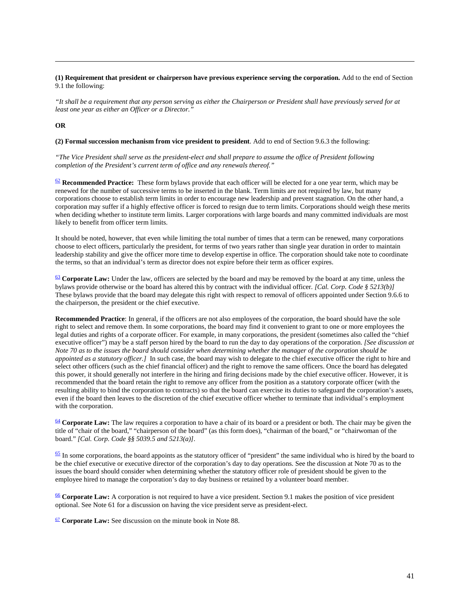#### **(1) Requirement that president or chairperson have previous experience serving the corporation.** Add to the end of Section 9.1 the following:

*"It shall be a requirement that any person serving as either the Chairperson or President shall have previously served for at least one year as either an Officer or a Director."*

#### **OR**

 $\overline{a}$ 

**(2) Formal succession mechanism from vice president to president**. Add to end of Section 9.6.3 the following:

*"The Vice President shall serve as the president-elect and shall prepare to assume the office of President following completion of the President's current term of office and any renewals thereof."*

<span id="page-47-0"></span> $\frac{62}{2}$  $\frac{62}{2}$  $\frac{62}{2}$  **Recommended Practice:** These form bylaws provide that each officer will be elected for a one year term, which may be renewed for the number of successive terms to be inserted in the blank. Term limits are not required by law, but many corporations choose to establish term limits in order to encourage new leadership and prevent stagnation. On the other hand, a corporation may suffer if a highly effective officer is forced to resign due to term limits. Corporations should weigh these merits when deciding whether to institute term limits. Larger corporations with large boards and many committed individuals are most likely to benefit from officer term limits.

It should be noted, however, that even while limiting the total number of times that a term can be renewed, many corporations choose to elect officers, particularly the president, for terms of two years rather than single year duration in order to maintain leadership stability and give the officer more time to develop expertise in office. The corporation should take note to coordinate the terms, so that an individual's term as director does not expire before their term as officer expires.

<span id="page-47-1"></span>[63](#page-17-4) **Corporate Law:** Under the law, officers are selected by the board and may be removed by the board at any time, unless the bylaws provide otherwise or the board has altered this by contract with the individual officer. *[Cal. Corp. Code § 5213(b)]*  These bylaws provide that the board may delegate this right with respect to removal of officers appointed under Section 9.6.6 to the chairperson, the president or the chief executive.

**Recommended Practice**: In general, if the officers are not also employees of the corporation, the board should have the sole right to select and remove them. In some corporations, the board may find it convenient to grant to one or more employees the legal duties and rights of a corporate officer. For example, in many corporations, the president (sometimes also called the "chief executive officer") may be a staff person hired by the board to run the day to day operations of the corporation. *[See discussion at Note 70 as to the issues the board should consider when determining whether the manager of the corporation should be appointed as a statutory officer.]* In such case, the board may wish to delegate to the chief executive officer the right to hire and select other officers (such as the chief financial officer) and the right to remove the same officers. Once the board has delegated this power, it should generally not interfere in the hiring and firing decisions made by the chief executive officer. However, it is recommended that the board retain the right to remove any officer from the position as a statutory corporate officer (with the resulting ability to bind the corporation to contracts) so that the board can exercise its duties to safeguard the corporation's assets, even if the board then leaves to the discretion of the chief executive officer whether to terminate that individual's employment with the corporation.

<span id="page-47-2"></span>[64](#page-18-1) **Corporate Law:** The law requires a corporation to have a chair of its board or a president or both. The chair may be given the title of "chair of the board," "chairperson of the board" (as this form does), "chairman of the board," or "chairwoman of the board." *[Cal. Corp. Code §§ 5039.5 and 5213(a)]*.

<span id="page-47-3"></span> $\frac{65}{2}$  $\frac{65}{2}$  $\frac{65}{2}$  In some corporations, the board appoints as the statutory officer of "president" the same individual who is hired by the board to be the chief executive or executive director of the corporation's day to day operations. See the discussion at Note 70 as to the issues the board should consider when determining whether the statutory officer role of president should be given to the employee hired to manage the corporation's day to day business or retained by a volunteer board member.

<span id="page-47-4"></span>[66](#page-18-3) **Corporate Law:** A corporation is not required to have a vice president. Section 9.1 makes the position of vice president optional. See Note 61 for a discussion on having the vice president serve as president-elect.

<span id="page-47-5"></span>[67](#page-18-6) **Corporate Law:** See discussion on the minute book in Note 88.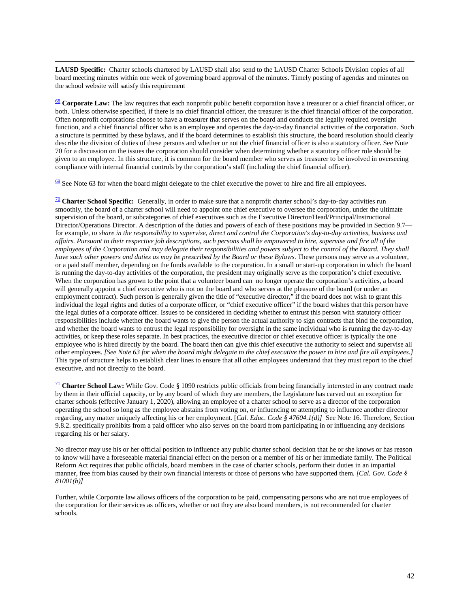$\overline{a}$ **LAUSD Specific:** Charter schools chartered by LAUSD shall also send to the LAUSD Charter Schools Division copies of all board meeting minutes within one week of governing board approval of the minutes. Timely posting of agendas and minutes on the school website will satisfy this requirement

<span id="page-48-0"></span>[68](#page-18-5) **Corporate Law:** The law requires that each nonprofit public benefit corporation have a treasurer or a chief financial officer, or both. Unless otherwise specified, if there is no chief financial officer, the treasurer is the chief financial officer of the corporation. Often nonprofit corporations choose to have a treasurer that serves on the board and conducts the legally required oversight function, and a chief financial officer who is an employee and operates the day-to-day financial activities of the corporation. Such a structure is permitted by these bylaws, and if the board determines to establish this structure, the board resolution should clearly describe the division of duties of these persons and whether or not the chief financial officer is also a statutory officer. See Note 70 for a discussion on the issues the corporation should consider when determining whether a statutory officer role should be given to an employee. In this structure, it is common for the board member who serves as treasurer to be involved in overseeing compliance with internal financial controls by the corporation's staff (including the chief financial officer).

<span id="page-48-1"></span> $69$  See Note 63 for when the board might delegate to the chief executive the power to hire and fire all employees.

<span id="page-48-2"></span>[70](#page-19-4) **Charter School Specific:** Generally, in order to make sure that a nonprofit charter school's day-to-day activities run smoothly, the board of a charter school will need to appoint one chief executive to oversee the corporation, under the ultimate supervision of the board, or subcategories of chief executives such as the Executive Director/Head/Principal/Instructional Director/Operations Director. A description of the duties and powers of each of these positions may be provided in Section 9.7 for example, *to share in the responsibility to supervise, direct and control the Corporation's day-to-day activities, business and affairs. Pursuant to their respective job descriptions, such persons shall be empowered to hire, supervise and fire all of the employees of the Corporation and may delegate their responsibilities and powers subject to the control of the Board. They shall have such other powers and duties as may be prescribed by the Board or these Bylaws*. These persons may serve as a volunteer, or a paid staff member, depending on the funds available to the corporation. In a small or start-up corporation in which the board is running the day-to-day activities of the corporation, the president may originally serve as the corporation's chief executive. When the corporation has grown to the point that a volunteer board can no longer operate the corporation's activities, a board will generally appoint a chief executive who is not on the board and who serves at the pleasure of the board (or under an employment contract). Such person is generally given the title of "executive director," if the board does not wish to grant this individual the legal rights and duties of a corporate officer, or "chief executive officer" if the board wishes that this person have the legal duties of a corporate officer. Issues to be considered in deciding whether to entrust this person with statutory officer responsibilities include whether the board wants to give the person the actual authority to sign contracts that bind the corporation, and whether the board wants to entrust the legal responsibility for oversight in the same individual who is running the day-to-day activities, or keep these roles separate. In best practices, the executive director or chief executive officer is typically the one employee who is hired directly by the board. The board then can give this chief executive the authority to select and supervise all other employees. *[See Note 63 for when the board might delegate to the chief executive the power to hire and fire all employees.]* This type of structure helps to establish clear lines to ensure that all other employees understand that they must report to the chief executive, and not directly to the board.

<span id="page-48-3"></span>[71](#page-19-5) **Charter School Law:** While Gov. Code § 1090 restricts public officials from being financially interested in any contract made by them in their official capacity, or by any board of which they are members, the Legislature has carved out an exception for charter schools (effective January 1, 2020), allowing an employee of a charter school to serve as a director of the corporation operating the school so long as the employee abstains from voting on, or influencing or attempting to influence another director regarding, any matter uniquely affecting his or her employment. [*Cal. Educ. Code § 47604.1(d)]* See Note 16. Therefore, Section 9.8.2. specifically prohibits from a paid officer who also serves on the board from participating in or influencing any decisions regarding his or her salary.

No director may use his or her official position to influence any public charter school decision that he or she knows or has reason to know will have a foreseeable material financial effect on the person or a member of his or her immediate family. The Political Reform Act requires that public officials, board members in the case of charter schools, perform their duties in an impartial manner, free from bias caused by their own financial interests or those of persons who have supported them. *[Cal. Gov. Code § 81001(b)]*

Further, while Corporate law allows officers of the corporation to be paid, compensating persons who are not true employees of the corporation for their services as officers, whether or not they are also board members, is not recommended for charter schools.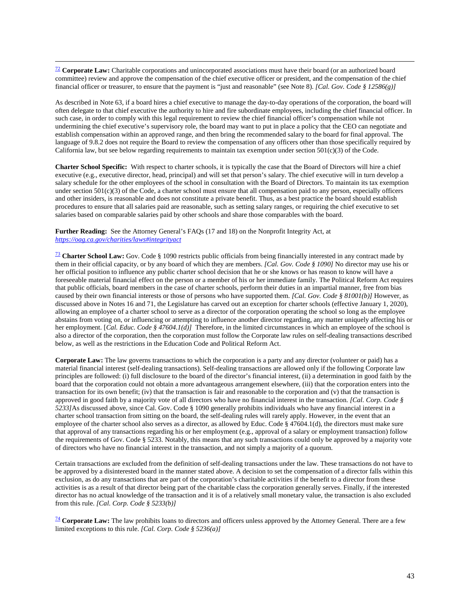<span id="page-49-0"></span><sup>22</sup> Corporate Law: Charitable corporations and unincorporated associations must have their board (or an authorized board committee) review and approve the compensation of the chief executive officer or president, and the compensation of the chief financial officer or treasurer, to ensure that the payment is "just and reasonable" (see Note 8). *[Cal. Gov. Code § 12586(g)]* 

As described in Note 63, if a board hires a chief executive to manage the day-to-day operations of the corporation, the board will often delegate to that chief executive the authority to hire and fire subordinate employees, including the chief financial officer. In such case, in order to comply with this legal requirement to review the chief financial officer's compensation while not undermining the chief executive's supervisory role, the board may want to put in place a policy that the CEO can negotiate and establish compensation within an approved range, and then bring the recommended salary to the board for final approval. The language of 9.8.2 does not require the Board to review the compensation of any officers other than those specifically required by California law, but see below regarding requirements to maintain tax exemption under section 501(c)(3) of the Code.

**Charter School Specific:** With respect to charter schools, it is typically the case that the Board of Directors will hire a chief executive (e.g., executive director, head, principal) and will set that person's salary. The chief executive will in turn develop a salary schedule for the other employees of the school in consultation with the Board of Directors. To maintain its tax exemption under section  $501(c)(3)$  of the Code, a charter school must ensure that all compensation paid to any person, especially officers and other insiders, is reasonable and does not constitute a private benefit. Thus, as a best practice the board should establish procedures to ensure that all salaries paid are reasonable, such as setting salary ranges, or requiring the chief executive to set salaries based on comparable salaries paid by other schools and share those comparables with the board.

**Further Reading:** See the Attorney General's FAQs (17 and 18) on the Nonprofit Integrity Act, at *<https://oag.ca.gov/charities/laws#integrityact>*

<span id="page-49-1"></span>[73](#page-20-5) **Charter School Law:** Gov. Code § 1090 restricts public officials from being financially interested in any contract made by them in their official capacity, or by any board of which they are members. *[Cal. Gov. Code § 1090]* No director may use his or her official position to influence any public charter school decision that he or she knows or has reason to know will have a foreseeable material financial effect on the person or a member of his or her immediate family. The Political Reform Act requires that public officials, board members in the case of charter schools, perform their duties in an impartial manner, free from bias caused by their own financial interests or those of persons who have supported them. *[Cal. Gov. Code § 81001(b)]* However, as discussed above in Notes 16 and 71, the Legislature has carved out an exception for charter schools (effective January 1, 2020), allowing an employee of a charter school to serve as a director of the corporation operating the school so long as the employee abstains from voting on, or influencing or attempting to influence another director regarding, any matter uniquely affecting his or her employment. [*Cal. Educ. Code § 47604.1(d)]* Therefore, in the limited circumstances in which an employee of the school is also a director of the corporation, then the corporation must follow the Corporate law rules on self-dealing transactions described below, as well as the restrictions in the Education Code and Political Reform Act.

**Corporate Law:** The law governs transactions to which the corporation is a party and any director (volunteer or paid) has a material financial interest (self-dealing transactions). Self-dealing transactions are allowed only if the following Corporate law principles are followed: (i) full disclosure to the board of the director's financial interest, (ii) a determination in good faith by the board that the corporation could not obtain a more advantageous arrangement elsewhere, (iii) that the corporation enters into the transaction for its own benefit; (iv) that the transaction is fair and reasonable to the corporation and (v) that the transaction is approved in good faith by a majority vote of all directors who have no financial interest in the transaction. *[Cal. Corp. Code § 5233]*As discussed above, since Cal. Gov. Code § 1090 generally prohibits individuals who have any financial interest in a charter school transaction from sitting on the board, the self-dealing rules will rarely apply. However, in the event that an employee of the charter school also serves as a director, as allowed by Educ. Code § 47604.1(d), the directors must make sure that approval of any transactions regarding his or her employment (e.g., approval of a salary or employment transaction) follow the requirements of Gov. Code § 5233. Notably, this means that any such transactions could only be approved by a majority vote of directors who have no financial interest in the transaction, and not simply a majority of a quorum.

Certain transactions are excluded from the definition of self-dealing transactions under the law. These transactions do not have to be approved by a disinterested board in the manner stated above. A decision to set the compensation of a director falls within this exclusion, as do any transactions that are part of the corporation's charitable activities if the benefit to a director from these activities is as a result of that director being part of the charitable class the corporation generally serves. Finally, if the interested director has no actual knowledge of the transaction and it is of a relatively small monetary value, the transaction is also excluded from this rule. *[Cal. Corp. Code § 5233(b)]*

<span id="page-49-2"></span>[74](#page-20-4) **Corporate Law:** The law prohibits loans to directors and officers unless approved by the Attorney General. There are a few limited exceptions to this rule. *[Cal. Corp. Code § 5236(a)]*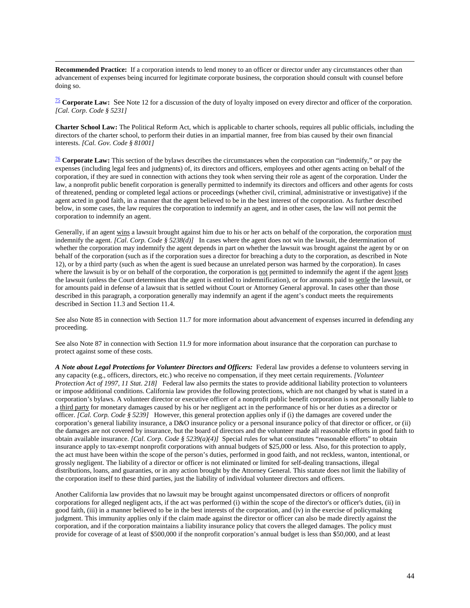**Recommended Practice:** If a corporation intends to lend money to an officer or director under any circumstances other than advancement of expenses being incurred for legitimate corporate business, the corporation should consult with counsel before doing so.

 $\overline{a}$ 

[75](#page-21-1) **Corporate Law:** See Note 12 for a discussion of the duty of loyalty imposed on every director and officer of the corporation. *[Cal. Corp. Code § 5231]*

**Charter School Law:** The Political Reform Act, which is applicable to charter schools, requires all public officials, including the directors of the charter school, to perform their duties in an impartial manner, free from bias caused by their own financial interests. *[Cal. Gov. Code § 81001]*

<span id="page-50-0"></span>[76](#page-21-2) **Corporate Law:** This section of the bylaws describes the circumstances when the corporation can "indemnify," or pay the expenses (including legal fees and judgments) of, its directors and officers, employees and other agents acting on behalf of the corporation, if they are sued in connection with actions they took when serving their role as agent of the corporation. Under the law, a nonprofit public benefit corporation is generally permitted to indemnify its directors and officers and other agents for costs of threatened, pending or completed legal actions or proceedings (whether civil, criminal, administrative or investigative) if the agent acted in good faith, in a manner that the agent believed to be in the best interest of the corporation. As further described below, in some cases, the law requires the corporation to indemnify an agent, and in other cases, the law will not permit the corporation to indemnify an agent.

Generally, if an agent wins a lawsuit brought against him due to his or her acts on behalf of the corporation, the corporation must indemnify the agent. *[Cal. Corp. Code § 5238(d)]* In cases where the agent does not win the lawsuit, the determination of whether the corporation may indemnify the agent depends in part on whether the lawsuit was brought against the agent by or on behalf of the corporation (such as if the corporation sues a director for breaching a duty to the corporation, as described in Note 12), or by a third party (such as when the agent is sued because an unrelated person was harmed by the corporation). In cases where the lawsuit is by or on behalf of the corporation, the corporation is not permitted to indemnify the agent if the agent loses the lawsuit (unless the Court determines that the agent is entitled to indemnification), or for amounts paid to settle the lawsuit, or for amounts paid in defense of a lawsuit that is settled without Court or Attorney General approval. In cases other than those described in this paragraph, a corporation generally may indemnify an agent if the agent's conduct meets the requirements described in Section 11.3 and Section 11.4.

See also Note 85 in connection with Section 11.7 for more information about advancement of expenses incurred in defending any proceeding.

See also Note 87 in connection with Section 11.9 for more information about insurance that the corporation can purchase to protect against some of these costs.

*A Note about Legal Protections for Volunteer Directors and Officers:* Federal law provides a defense to volunteers serving in any capacity (e.g., officers, directors, etc.) who receive no compensation, if they meet certain requirements. *[Volunteer Protection Act of 1997, 11 Stat. 218]* Federal law also permits the states to provide additional liability protection to volunteers or impose additional conditions. California law provides the following protections, which are not changed by what is stated in a corporation's bylaws. A volunteer director or executive officer of a nonprofit public benefit corporation is not personally liable to a third party for monetary damages caused by his or her negligent act in the performance of his or her duties as a director or officer. *[Cal. Corp. Code § 5239]* However, this general protection applies only if (i) the damages are covered under the corporation's general liability insurance, a D&O insurance policy or a personal insurance policy of that director or officer, or (ii) the damages are not covered by insurance, but the board of directors and the volunteer made all reasonable efforts in good faith to obtain available insurance. *[Cal. Corp. Code § 5239(a)(4)]* Special rules for what constitutes "reasonable efforts" to obtain insurance apply to tax-exempt nonprofit corporations with annual budgets of \$25,000 or less. Also, for this protection to apply, the act must have been within the scope of the person's duties, performed in good faith, and not reckless, wanton, intentional, or grossly negligent. The liability of a director or officer is not eliminated or limited for self-dealing transactions, illegal distributions, loans, and guaranties, or in any action brought by the Attorney General. This statute does not limit the liability of the corporation itself to these third parties, just the liability of individual volunteer directors and officers.

Another California law provides that no lawsuit may be brought against uncompensated directors or officers of nonprofit corporations for alleged negligent acts, if the act was performed (i) within the scope of the director's or officer's duties, (ii) in good faith, (iii) in a manner believed to be in the best interests of the corporation, and (iv) in the exercise of policymaking judgment. This immunity applies only if the claim made against the director or officer can also be made directly against the corporation, and if the corporation maintains a liability insurance policy that covers the alleged damages. The policy must provide for coverage of at least of \$500,000 if the nonprofit corporation's annual budget is less than \$50,000, and at least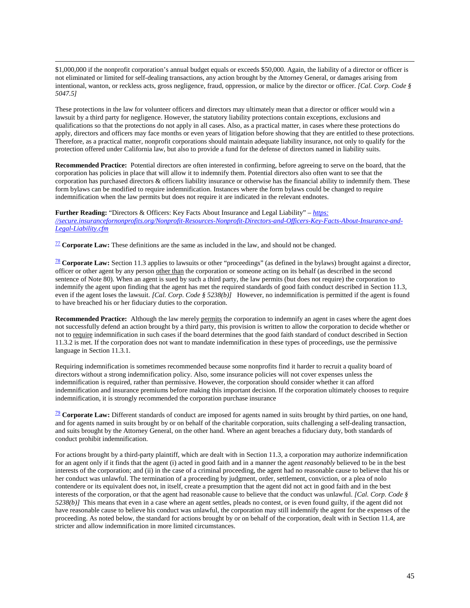\$1,000,000 if the nonprofit corporation's annual budget equals or exceeds \$50,000. Again, the liability of a director or officer is not eliminated or limited for self-dealing transactions, any action brought by the Attorney General, or damages arising from intentional, wanton, or reckless acts, gross negligence, fraud, oppression, or malice by the director or officer. *[Cal. Corp. Code § 5047.5]*

These protections in the law for volunteer officers and directors may ultimately mean that a director or officer would win a lawsuit by a third party for negligence. However, the statutory liability protections contain exceptions, exclusions and qualifications so that the protections do not apply in all cases. Also, as a practical matter, in cases where these protections do apply, directors and officers may face months or even years of litigation before showing that they are entitled to these protections. Therefore, as a practical matter, nonprofit corporations should maintain adequate liability insurance, not only to qualify for the protection offered under California law, but also to provide a fund for the defense of directors named in liability suits.

**Recommended Practice:** Potential directors are often interested in confirming, before agreeing to serve on the board, that the corporation has policies in place that will allow it to indemnify them. Potential directors also often want to see that the corporation has purchased directors & officers liability insurance or otherwise has the financial ability to indemnify them. These form bylaws can be modified to require indemnification. Instances where the form bylaws could be changed to require indemnification when the law permits but does not require it are indicated in the relevant endnotes.

**Further Reading:** "Directors & Officers: Key Facts About Insurance and Legal Liability" – *[https:](https://secure.insurancefornonprofits.org/Nonprofit-Resources-Nonprofit-Directors-and-Officers-Key-Facts-About-Insurance-and-Legal-Liability.cfm)  [//secure.insurancefornonprofits.org/Nonprofit-Resources-Nonprofit-Directors-and-Officers-Key-Facts-About-Insurance-and-](https://secure.insurancefornonprofits.org/Nonprofit-Resources-Nonprofit-Directors-and-Officers-Key-Facts-About-Insurance-and-Legal-Liability.cfm)[Legal-Liability.cfm](https://secure.insurancefornonprofits.org/Nonprofit-Resources-Nonprofit-Directors-and-Officers-Key-Facts-About-Insurance-and-Legal-Liability.cfm)*

<span id="page-51-0"></span>[77](#page-21-3) **Corporate Law:** These definitions are the same as included in the law, and should not be changed.

<span id="page-51-1"></span>[78](#page-22-2) **Corporate Law:** Section 11.3 applies to lawsuits or other "proceedings" (as defined in the bylaws) brought against a director, officer or other agent by any person other than the corporation or someone acting on its behalf (as described in the second sentence of Note 80). When an agent is sued by such a third party, the law permits (but does not require) the corporation to indemnify the agent upon finding that the agent has met the required standards of good faith conduct described in Section 11.3, even if the agent loses the lawsuit. *[Cal. Corp. Code § 5238(b)]* However, no indemnification is permitted if the agent is found to have breached his or her fiduciary duties to the corporation.

**Recommended Practice:** Although the law merely permits the corporation to indemnify an agent in cases where the agent does not successfully defend an action brought by a third party, this provision is written to allow the corporation to decide whether or not to require indemnification in such cases if the board determines that the good faith standard of conduct described in Section 11.3.2 is met. If the corporation does not want to mandate indemnification in these types of proceedings, use the permissive language in Section 11.3.1.

Requiring indemnification is sometimes recommended because some nonprofits find it harder to recruit a quality board of directors without a strong indemnification policy. Also, some insurance policies will not cover expenses unless the indemnification is required, rather than permissive. However, the corporation should consider whether it can afford indemnification and insurance premiums before making this important decision. If the corporation ultimately chooses to require indemnification, it is strongly recommended the corporation purchase insurance

<span id="page-51-2"></span>[79](#page-22-3) **Corporate Law:** Different standards of conduct are imposed for agents named in suits brought by third parties, on one hand, and for agents named in suits brought by or on behalf of the charitable corporation, suits challenging a self-dealing transaction, and suits brought by the Attorney General, on the other hand. Where an agent breaches a fiduciary duty, both standards of conduct prohibit indemnification.

For actions brought by a third-party plaintiff, which are dealt with in Section 11.3, a corporation may authorize indemnification for an agent only if it finds that the agent (i) acted in good faith and in a manner the agent *reasonably* believed to be in the best interests of the corporation; and (ii) in the case of a criminal proceeding, the agent had no reasonable cause to believe that his or her conduct was unlawful. The termination of a proceeding by judgment, order, settlement, conviction, or a plea of nolo contendere or its equivalent does not, in itself, create a presumption that the agent did not act in good faith and in the best interests of the corporation, or that the agent had reasonable cause to believe that the conduct was unlawful. *[Cal. Corp. Code § 5238(b)]* This means that even in a case where an agent settles, pleads no contest, or is even found guilty, if the agent did not have reasonable cause to believe his conduct was unlawful, the corporation may still indemnify the agent for the expenses of the proceeding. As noted below, the standard for actions brought by or on behalf of the corporation, dealt with in Section 11.4, are stricter and allow indemnification in more limited circumstances.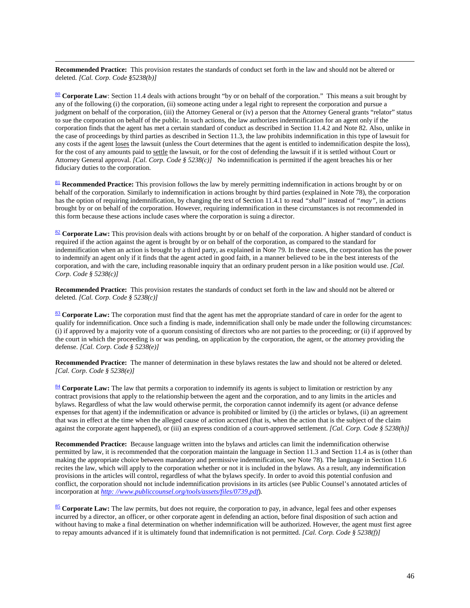$\overline{a}$ **Recommended Practice:** This provision restates the standards of conduct set forth in the law and should not be altered or deleted. *[Cal. Corp. Code §5238(b)]*

<span id="page-52-0"></span>[80](#page-22-4) **Corporate Law**: Section 11.4 deals with actions brought "by or on behalf of the corporation." This means a suit brought by any of the following (i) the corporation, (ii) someone acting under a legal right to represent the corporation and pursue a judgment on behalf of the corporation, (iii) the Attorney General or (iv) a person that the Attorney General grants "relator" status to sue the corporation on behalf of the public. In such actions, the law authorizes indemnification for an agent only if the corporation finds that the agent has met a certain standard of conduct as described in Section 11.4.2 and Note 82. Also, unlike in the case of proceedings by third parties as described in Section 11.3, the law prohibits indemnification in this type of lawsuit for any costs if the agent loses the lawsuit (unless the Court determines that the agent is entitled to indemnification despite the loss), for the cost of any amounts paid to settle the lawsuit, or for the cost of defending the lawsuit if it is settled without Court or Attorney General approval. *[Cal. Corp. Code § 5238(c)]* No indemnification is permitted if the agent breaches his or her fiduciary duties to the corporation.

<span id="page-52-1"></span>[81](#page-22-5) **Recommended Practice:** This provision follows the law by merely permitting indemnification in actions brought by or on behalf of the corporation. Similarly to indemnification in actions brought by third parties (explained in Note 78), the corporation has the option of requiring indemnification, by changing the text of Section 11.4.1 to read *"shall"* instead of *"may"*, in actions brought by or on behalf of the corporation. However, requiring indemnification in these circumstances is not recommended in this form because these actions include cases where the corporation is suing a director.

<span id="page-52-2"></span>[82](#page-22-6) **Corporate Law:** This provision deals with actions brought by or on behalf of the corporation. A higher standard of conduct is required if the action against the agent is brought by or on behalf of the corporation, as compared to the standard for indemnification when an action is brought by a third party, as explained in Note 79. In these cases, the corporation has the power to indemnify an agent only if it finds that the agent acted in good faith, in a manner believed to be in the best interests of the corporation, and with the care, including reasonable inquiry that an ordinary prudent person in a like position would use. *[Cal. Corp. Code § 5238(c)]* 

**Recommended Practice:** This provision restates the standards of conduct set forth in the law and should not be altered or deleted. *[Cal. Corp. Code § 5238(c)]* 

<span id="page-52-3"></span>[83](#page-23-1) **Corporate Law:** The corporation must find that the agent has met the appropriate standard of care in order for the agent to qualify for indemnification. Once such a finding is made, indemnification shall only be made under the following circumstances: (i) if approved by a majority vote of a quorum consisting of directors who are not parties to the proceeding; or (ii) if approved by the court in which the proceeding is or was pending, on application by the corporation, the agent, or the attorney providing the defense. *[Cal. Corp. Code § 5238(e)]* 

**Recommended Practice:** The manner of determination in these bylaws restates the law and should not be altered or deleted. *[Cal. Corp. Code § 5238(e)]*

<span id="page-52-4"></span>[84](#page-23-2) **Corporate Law:** The law that permits a corporation to indemnify its agents is subject to limitation or restriction by any contract provisions that apply to the relationship between the agent and the corporation, and to any limits in the articles and bylaws. Regardless of what the law would otherwise permit, the corporation cannot indemnify its agent (or advance defense expenses for that agent) if the indemnification or advance is prohibited or limited by (i) the articles or bylaws, (ii) an agreement that was in effect at the time when the alleged cause of action accrued (that is, when the action that is the subject of the claim against the corporate agent happened), or (iii) an express condition of a court-approved settlement. *[Cal. Corp. Code § 5238(h)]* 

**Recommended Practice:** Because language written into the bylaws and articles can limit the indemnification otherwise permitted by law, it is recommended that the corporation maintain the language in Section 11.3 and Section 11.4 as is (other than making the appropriate choice between mandatory and permissive indemnification, see Note 78). The language in Section 11.6 recites the law, which will apply to the corporation whether or not it is included in the bylaws. As a result, any indemnification provisions in the articles will control, regardless of what the bylaws specify. In order to avoid this potential confusion and conflict, the corporation should not include indemnification provisions in its articles (see Public Counsel's annotated articles of incorporation at *[http: //www.publiccounsel.org/tools/assets/files/0739.pdf](http://www.publiccounsel.org/tools/assets/files/0739.pdf)*).

<span id="page-52-5"></span>[85](#page-23-3) **Corporate Law:** The law permits, but does not require, the corporation to pay, in advance, legal fees and other expenses incurred by a director, an officer, or other corporate agent in defending an action, before final disposition of such action and without having to make a final determination on whether indemnification will be authorized. However, the agent must first agree to repay amounts advanced if it is ultimately found that indemnification is not permitted. *[Cal. Corp. Code § 5238(f)]*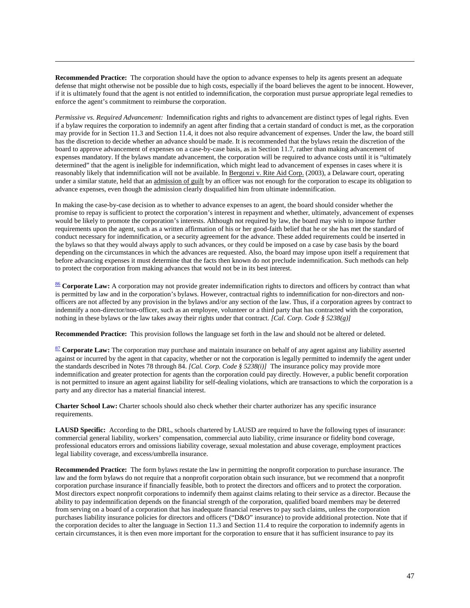**Recommended Practice:** The corporation should have the option to advance expenses to help its agents present an adequate defense that might otherwise not be possible due to high costs, especially if the board believes the agent to be innocent. However, if it is ultimately found that the agent is not entitled to indemnification, the corporation must pursue appropriate legal remedies to enforce the agent's commitment to reimburse the corporation.

 $\overline{a}$ 

*Permissive vs. Required Advancement:* Indemnification rights and rights to advancement are distinct types of legal rights. Even if a bylaw requires the corporation to indemnify an agent after finding that a certain standard of conduct is met, as the corporation may provide for in Section 11.3 and Section 11.4, it does not also require advancement of expenses. Under the law, the board still has the discretion to decide whether an advance should be made. It is recommended that the bylaws retain the discretion of the board to approve advancement of expenses on a case-by-case basis, as in Section 11.7, rather than making advancement of expenses mandatory. If the bylaws mandate advancement, the corporation will be required to advance costs until it is "ultimately determined" that the agent is ineligible for indemnification, which might lead to advancement of expenses in cases where it is reasonably likely that indemnification will not be available. In Bergonzi v. Rite Aid Corp. (2003), a Delaware court, operating under a similar statute, held that an admission of guilt by an officer was not enough for the corporation to escape its obligation to advance expenses, even though the admission clearly disqualified him from ultimate indemnification.

In making the case-by-case decision as to whether to advance expenses to an agent, the board should consider whether the promise to repay is sufficient to protect the corporation's interest in repayment and whether, ultimately, advancement of expenses would be likely to promote the corporation's interests. Although not required by law, the board may wish to impose further requirements upon the agent, such as a written affirmation of his or her good-faith belief that he or she has met the standard of conduct necessary for indemnification, or a security agreement for the advance. These added requirements could be inserted in the bylaws so that they would always apply to such advances, or they could be imposed on a case by case basis by the board depending on the circumstances in which the advances are requested. Also, the board may impose upon itself a requirement that before advancing expenses it must determine that the facts then known do not preclude indemnification. Such methods can help to protect the corporation from making advances that would not be in its best interest.

<span id="page-53-0"></span>[86](#page-23-4) **Corporate Law:** A corporation may not provide greater indemnification rights to directors and officers by contract than what is permitted by law and in the corporation's bylaws. However, contractual rights to indemnification for non-directors and nonofficers are not affected by any provision in the bylaws and/or any section of the law. Thus, if a corporation agrees by contract to indemnify a non-director/non-officer, such as an employee, volunteer or a third party that has contracted with the corporation, nothing in these bylaws or the law takes away their rights under that contract. *[Cal. Corp. Code § 5238(g)]*

**Recommended Practice:** This provision follows the language set forth in the law and should not be altered or deleted.

<span id="page-53-1"></span>[87](#page-24-0) **Corporate Law:** The corporation may purchase and maintain insurance on behalf of any agent against any liability asserted against or incurred by the agent in that capacity, whether or not the corporation is legally permitted to indemnify the agent under the standards described in Notes 78 through 84. *[Cal. Corp. Code § 5238(i)]* The insurance policy may provide more indemnification and greater protection for agents than the corporation could pay directly. However, a public benefit corporation is not permitted to insure an agent against liability for self-dealing violations, which are transactions to which the corporation is a party and any director has a material financial interest.

**Charter School Law:** Charter schools should also check whether their charter authorizer has any specific insurance requirements.

LAUSD Specific: According to the DRL, schools chartered by LAUSD are required to have the following types of insurance: commercial general liability, workers' compensation, commercial auto liability, crime insurance or fidelity bond coverage, professional educators errors and omissions liability coverage, sexual molestation and abuse coverage, employment practices legal liability coverage, and excess/umbrella insurance.

**Recommended Practice:** The form bylaws restate the law in permitting the nonprofit corporation to purchase insurance. The law and the form bylaws do not require that a nonprofit corporation obtain such insurance, but we recommend that a nonprofit corporation purchase insurance if financially feasible, both to protect the directors and officers and to protect the corporation. Most directors expect nonprofit corporations to indemnify them against claims relating to their service as a director. Because the ability to pay indemnification depends on the financial strength of the corporation, qualified board members may be deterred from serving on a board of a corporation that has inadequate financial reserves to pay such claims, unless the corporation purchases liability insurance policies for directors and officers ("D&O" insurance) to provide additional protection. Note that if the corporation decides to alter the language in Section 11.3 and Section 11.4 to require the corporation to indemnify agents in certain circumstances, it is then even more important for the corporation to ensure that it has sufficient insurance to pay its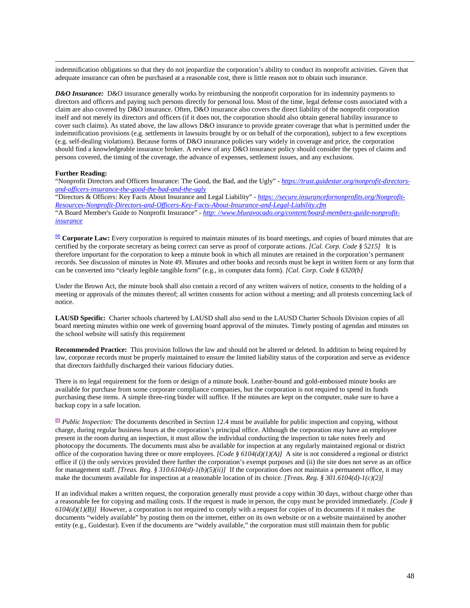indemnification obligations so that they do not jeopardize the corporation's ability to conduct its nonprofit activities. Given that adequate insurance can often be purchased at a reasonable cost, there is little reason not to obtain such insurance.

*D&O Insurance:* D&O insurance generally works by reimbursing the nonprofit corporation for its indemnity payments to directors and officers and paying such persons directly for personal loss. Most of the time, legal defense costs associated with a claim are also covered by D&O insurance. Often, D&O insurance also covers the direct liability of the nonprofit corporation itself and not merely its directors and officers (if it does not, the corporation should also obtain general liability insurance to cover such claims). As stated above, the law allows D&O insurance to provide greater coverage that what is permitted under the indemnification provisions (e.g. settlements in lawsuits brought by or on behalf of the corporation), subject to a few exceptions (e.g. self-dealing violations). Because forms of D&O insurance policies vary widely in coverage and price, the corporation should find a knowledgeable insurance broker. A review of any D&O insurance policy should consider the types of claims and persons covered, the timing of the coverage, the advance of expenses, settlement issues, and any exclusions.

#### **Further Reading:**

"Nonprofit Directors and Officers Insurance: The Good, the Bad, and the Ugly" - *[https://trust.guidestar.org/nonprofit-directors](https://trust.guidestar.org/nonprofit-directors-and-officers-insurance-the-good-the-bad-and-the-ugly)[and-officers-insurance-the-good-the-bad-and-the-ugly](https://trust.guidestar.org/nonprofit-directors-and-officers-insurance-the-good-the-bad-and-the-ugly)*

"Directors & Officers: Key Facts About Insurance and Legal Liability" - *[https: //secure.insurancefornonprofits.org/Nonprofit-](https://secure.insurancefornonprofits.org/Nonprofit-Resources-Nonprofit-Directors-and-Officers-Key-Facts-About-Insurance-and-Legal-Liability.cfm)[Resources-Nonprofit-Directors-and-Officers-Key-Facts-About-Insurance-and-Legal-Liability.cfm](https://secure.insurancefornonprofits.org/Nonprofit-Resources-Nonprofit-Directors-and-Officers-Key-Facts-About-Insurance-and-Legal-Liability.cfm)* "A Board Member's Guide to Nonprofit Insurance" - *[http: //www.blueavocado.org/content/board-members-guide-nonprofit](http://www.blueavocado.org/content/board-members-guide-nonprofit-insurance)[insurance](http://www.blueavocado.org/content/board-members-guide-nonprofit-insurance)*

<span id="page-54-0"></span>[88](#page-24-3) **Corporate Law:** Every corporation is required to maintain minutes of its board meetings, and copies of board minutes that are certified by the corporate secretary as being correct can serve as proof of corporate actions. *[Cal. Corp. Code § 5215]* It is therefore important for the corporation to keep a minute book in which all minutes are retained in the corporation's permanent records. See discussion of minutes in Note 49. Minutes and other books and records must be kept in written form or any form that can be converted into "clearly legible tangible form" (e.g., in computer data form). *[Cal. Corp. Code § 6320(b]* 

Under the Brown Act, the minute book shall also contain a record of any written waivers of notice, consents to the holding of a meeting or approvals of the minutes thereof; all written consents for action without a meeting; and all protests concerning lack of notice.

**LAUSD Specific:** Charter schools chartered by LAUSD shall also send to the LAUSD Charter Schools Division copies of all board meeting minutes within one week of governing board approval of the minutes. Timely posting of agendas and minutes on the school website will satisfy this requirement

**Recommended Practice:** This provision follows the law and should not be altered or deleted. In addition to being required by law, corporate records must be properly maintained to ensure the limited liability status of the corporation and serve as evidence that directors faithfully discharged their various fiduciary duties.

There is no legal requirement for the form or design of a minute book. Leather-bound and gold-embossed minute books are available for purchase from some corporate compliance companies, but the corporation is not required to spend its funds purchasing these items. A simple three-ring binder will suffice. If the minutes are kept on the computer, make sure to have a backup copy in a safe location.

<span id="page-54-1"></span> $\frac{89}{2}$  $\frac{89}{2}$  $\frac{89}{2}$  *Public Inspection:* The documents described in Section 12.4 must be available for public inspection and copying, without charge, during regular business hours at the corporation's principal office. Although the corporation may have an employee present in the room during an inspection, it must allow the individual conducting the inspection to take notes freely and photocopy the documents. The documents must also be available for inspection at any regularly maintained regional or district office of the corporation having three or more employees. *[Code § 6104(d)(1)(A)]* A site is not considered a regional or district office if (i) the only services provided there further the corporation's exempt purposes and (ii) the site does not serve as an office for management staff. *[Treas. Reg. § 310.6104(d)-1(b)(5)(ii)]* If the corporation does not maintain a permanent office, it may make the documents available for inspection at a reasonable location of its choice. *[Treas. Reg. § 301.6104(d)-1(c)(2)]* 

If an individual makes a written request, the corporation generally must provide a copy within 30 days, without charge other than a reasonable fee for copying and mailing costs. If the request is made in person, the copy must be provided immediately. *[Code §*   $6104(d)(I)(B)$  However, a corporation is not required to comply with a request for copies of its documents if it makes the documents "widely available" by posting them on the internet, either on its own website or on a website maintained by another entity (e.g., Guidestar). Even if the documents are "widely available," the corporation must still maintain them for public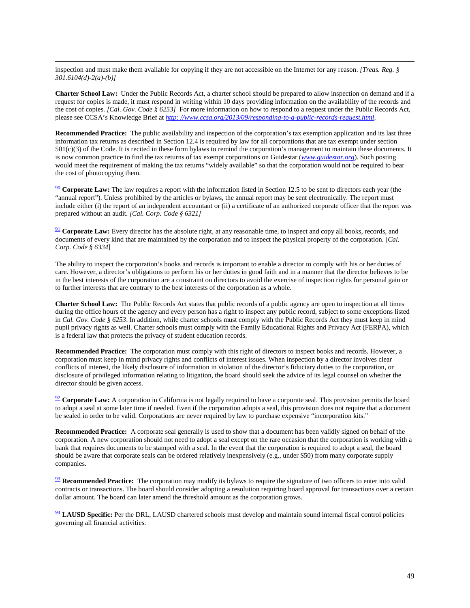inspection and must make them available for copying if they are not accessible on the Internet for any reason. *[Treas. Reg. § 301.6104(d)-2(a)-(b)]* 

**Charter School Law:** Under the Public Records Act, a charter school should be prepared to allow inspection on demand and if a request for copies is made, it must respond in writing within 10 days providing information on the availability of the records and the cost of copies. *[Cal. Gov. Code § 6253]* For more information on how to respond to a request under the Public Records Act, please see CCSA's Knowledge Brief at *[http: //www.ccsa.org/2013/09/responding-to-a-public-records-request.html](http://www.ccsa.org/2013/09/responding-to-a-public-records-request.html)*.

**Recommended Practice:** The public availability and inspection of the corporation's tax exemption application and its last three information tax returns as described in Section 12.4 is required by law for all corporations that are tax exempt under section 501(c)(3) of the Code. It is recited in these form bylaws to remind the corporation's management to maintain these documents. It is now common practice to find the tax returns of tax exempt corporations on Guidestar (*[www.guidestar.org](http://www.guidestar.org/)*). Such posting would meet the requirement of making the tax returns "widely available" so that the corporation would not be required to bear the cost of photocopying them.

<span id="page-55-0"></span>[90](#page-24-7) **Corporate Law:** The law requires a report with the information listed in Section 12.5 to be sent to directors each year (the "annual report"). Unless prohibited by the articles or bylaws, the annual report may be sent electronically. The report must include either (i) the report of an independent accountant or (ii) a certificate of an authorized corporate officer that the report was prepared without an audit. *[Cal. Corp. Code § 6321]* 

<span id="page-55-1"></span><sup>[91](#page-25-0)</sup> **Corporate Law:** Every director has the absolute right, at any reasonable time, to inspect and copy all books, records, and documents of every kind that are maintained by the corporation and to inspect the physical property of the corporation. [*Cal. Corp. Code § 6334*]

The ability to inspect the corporation's books and records is important to enable a director to comply with his or her duties of care. However, a director's obligations to perform his or her duties in good faith and in a manner that the director believes to be in the best interests of the corporation are a constraint on directors to avoid the exercise of inspection rights for personal gain or to further interests that are contrary to the best interests of the corporation as a whole.

**Charter School Law:** The Public Records Act states that public records of a public agency are open to inspection at all times during the office hours of the agency and every person has a right to inspect any public record, subject to some exceptions listed in *Cal. Gov. Code § 6253*. In addition, while charter schools must comply with the Public Records Act they must keep in mind pupil privacy rights as well. Charter schools must comply with the Family Educational Rights and Privacy Act (FERPA), which is a federal law that protects the privacy of student education records.

**Recommended Practice:** The corporation must comply with this right of directors to inspect books and records. However, a corporation must keep in mind privacy rights and conflicts of interest issues. When inspection by a director involves clear conflicts of interest, the likely disclosure of information in violation of the director's fiduciary duties to the corporation, or disclosure of privileged information relating to litigation, the board should seek the advice of its legal counsel on whether the director should be given access.

<span id="page-55-2"></span>[92](#page-25-1) **Corporate Law:** A corporation in California is not legally required to have a corporate seal. This provision permits the board to adopt a seal at some later time if needed. Even if the corporation adopts a seal, this provision does not require that a document be sealed in order to be valid. Corporations are never required by law to purchase expensive "incorporation kits."

**Recommended Practice:** A corporate seal generally is used to show that a document has been validly signed on behalf of the corporation. A new corporation should not need to adopt a seal except on the rare occasion that the corporation is working with a bank that requires documents to be stamped with a seal. In the event that the corporation is required to adopt a seal, the board should be aware that corporate seals can be ordered relatively inexpensively (e.g., under \$50) from many corporate supply companies.

<span id="page-55-3"></span><sup>[93](#page-25-3)</sup> **Recommended Practice:** The corporation may modify its bylaws to require the signature of two officers to enter into valid contracts or transactions. The board should consider adopting a resolution requiring board approval for transactions over a certain dollar amount. The board can later amend the threshold amount as the corporation grows.

<span id="page-55-4"></span>[94](#page-25-4) **LAUSD Specific:** Per the DRL, LAUSD chartered schools must develop and maintain sound internal fiscal control policies governing all financial activities.